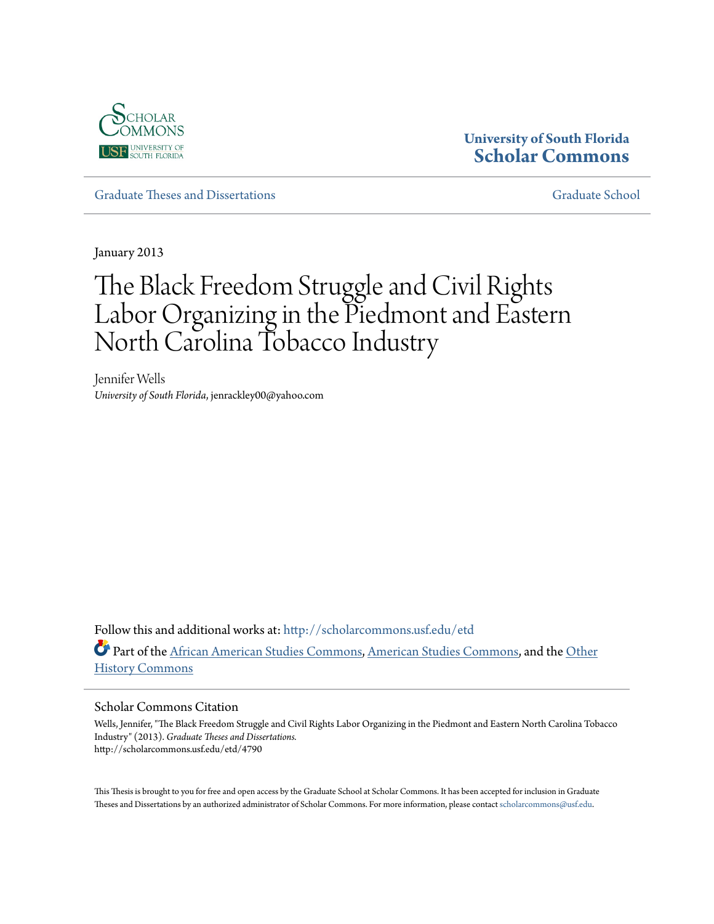

# **University of South Florida [Scholar Commons](http://scholarcommons.usf.edu?utm_source=scholarcommons.usf.edu%2Fetd%2F4790&utm_medium=PDF&utm_campaign=PDFCoverPages)**

[Graduate Theses and Dissertations](http://scholarcommons.usf.edu/etd?utm_source=scholarcommons.usf.edu%2Fetd%2F4790&utm_medium=PDF&utm_campaign=PDFCoverPages) [Graduate School](http://scholarcommons.usf.edu/grad?utm_source=scholarcommons.usf.edu%2Fetd%2F4790&utm_medium=PDF&utm_campaign=PDFCoverPages)

January 2013

# The Black Freedom Struggle and Civil Rights Labor Organizing in the Piedmont and Eastern North Carolina Tobacco Industry

Jennifer Wells *University of South Florida*, jenrackley00@yahoo.com

Follow this and additional works at: [http://scholarcommons.usf.edu/etd](http://scholarcommons.usf.edu/etd?utm_source=scholarcommons.usf.edu%2Fetd%2F4790&utm_medium=PDF&utm_campaign=PDFCoverPages) Part of the [African American Studies Commons,](http://network.bepress.com/hgg/discipline/567?utm_source=scholarcommons.usf.edu%2Fetd%2F4790&utm_medium=PDF&utm_campaign=PDFCoverPages) [American Studies Commons,](http://network.bepress.com/hgg/discipline/439?utm_source=scholarcommons.usf.edu%2Fetd%2F4790&utm_medium=PDF&utm_campaign=PDFCoverPages) and the [Other](http://network.bepress.com/hgg/discipline/508?utm_source=scholarcommons.usf.edu%2Fetd%2F4790&utm_medium=PDF&utm_campaign=PDFCoverPages) [History Commons](http://network.bepress.com/hgg/discipline/508?utm_source=scholarcommons.usf.edu%2Fetd%2F4790&utm_medium=PDF&utm_campaign=PDFCoverPages)

#### Scholar Commons Citation

Wells, Jennifer, "The Black Freedom Struggle and Civil Rights Labor Organizing in the Piedmont and Eastern North Carolina Tobacco Industry" (2013). *Graduate Theses and Dissertations.* http://scholarcommons.usf.edu/etd/4790

This Thesis is brought to you for free and open access by the Graduate School at Scholar Commons. It has been accepted for inclusion in Graduate Theses and Dissertations by an authorized administrator of Scholar Commons. For more information, please contact [scholarcommons@usf.edu.](mailto:scholarcommons@usf.edu)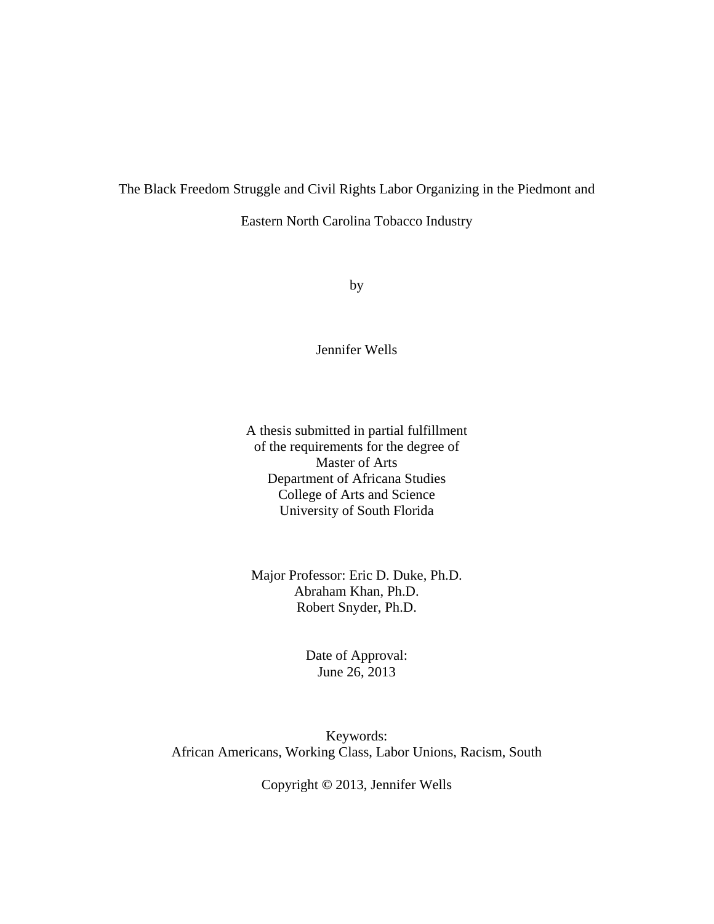# The Black Freedom Struggle and Civil Rights Labor Organizing in the Piedmont and

Eastern North Carolina Tobacco Industry

by

Jennifer Wells

A thesis submitted in partial fulfillment of the requirements for the degree of Master of Arts Department of Africana Studies College of Arts and Science University of South Florida

Major Professor: Eric D. Duke, Ph.D. Abraham Khan, Ph.D. Robert Snyder, Ph.D.

> Date of Approval: June 26, 2013

Keywords: African Americans, Working Class, Labor Unions, Racism, South

Copyright **©** 2013, Jennifer Wells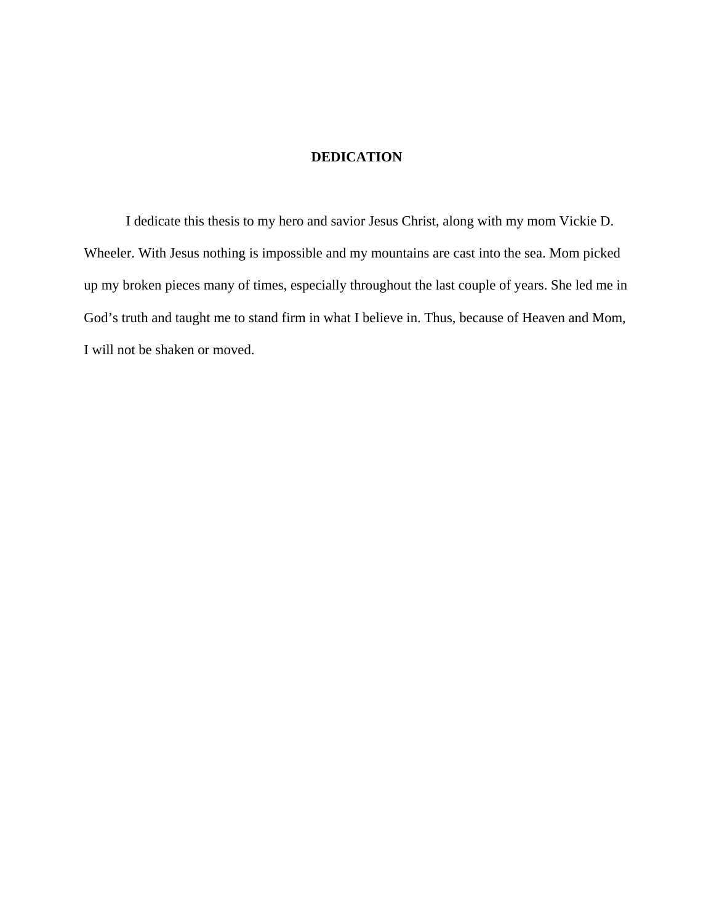# **DEDICATION**

 I dedicate this thesis to my hero and savior Jesus Christ, along with my mom Vickie D. Wheeler. With Jesus nothing is impossible and my mountains are cast into the sea. Mom picked up my broken pieces many of times, especially throughout the last couple of years. She led me in God's truth and taught me to stand firm in what I believe in. Thus, because of Heaven and Mom, I will not be shaken or moved.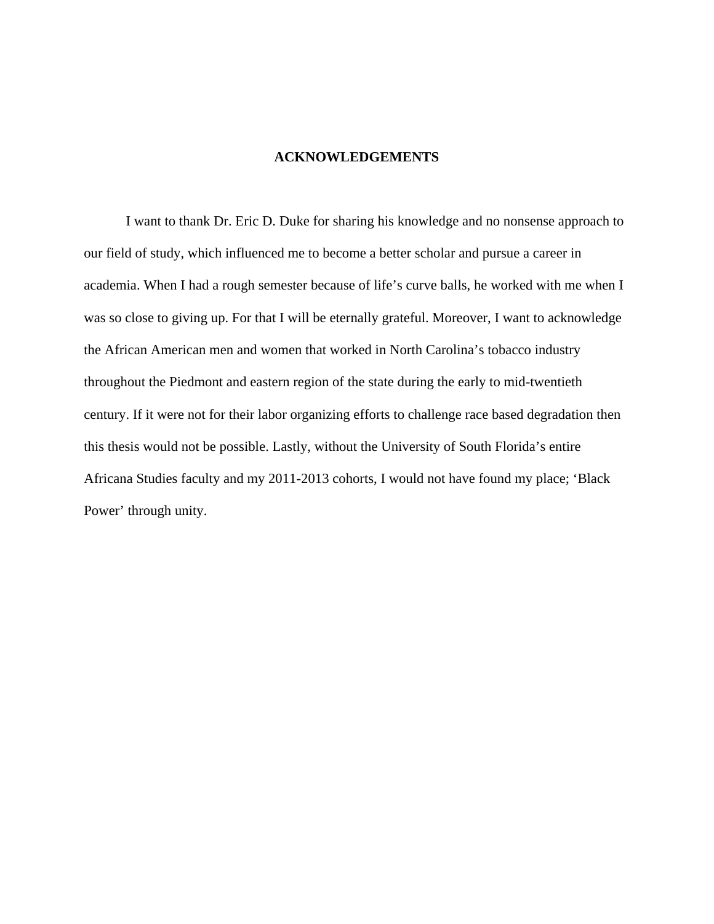# **ACKNOWLEDGEMENTS**

I want to thank Dr. Eric D. Duke for sharing his knowledge and no nonsense approach to our field of study, which influenced me to become a better scholar and pursue a career in academia. When I had a rough semester because of life's curve balls, he worked with me when I was so close to giving up. For that I will be eternally grateful. Moreover, I want to acknowledge the African American men and women that worked in North Carolina's tobacco industry throughout the Piedmont and eastern region of the state during the early to mid-twentieth century. If it were not for their labor organizing efforts to challenge race based degradation then this thesis would not be possible. Lastly, without the University of South Florida's entire Africana Studies faculty and my 2011-2013 cohorts, I would not have found my place; 'Black Power' through unity.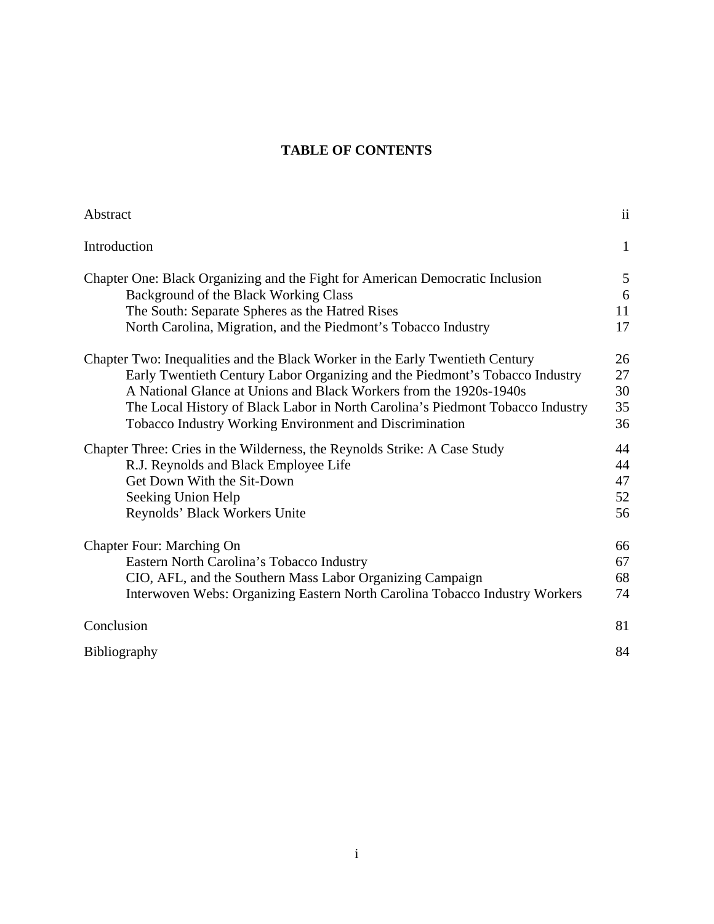# **TABLE OF CONTENTS**

| Abstract                                                                       | $\overline{11}$ |
|--------------------------------------------------------------------------------|-----------------|
| Introduction                                                                   | $\mathbf{1}$    |
| Chapter One: Black Organizing and the Fight for American Democratic Inclusion  | 5               |
| Background of the Black Working Class                                          | 6               |
| The South: Separate Spheres as the Hatred Rises                                | 11              |
| North Carolina, Migration, and the Piedmont's Tobacco Industry                 | 17              |
| Chapter Two: Inequalities and the Black Worker in the Early Twentieth Century  | 26              |
| Early Twentieth Century Labor Organizing and the Piedmont's Tobacco Industry   | 27              |
| A National Glance at Unions and Black Workers from the 1920s-1940s             | 30              |
| The Local History of Black Labor in North Carolina's Piedmont Tobacco Industry | 35              |
| <b>Tobacco Industry Working Environment and Discrimination</b>                 | 36              |
| Chapter Three: Cries in the Wilderness, the Reynolds Strike: A Case Study      | 44              |
| R.J. Reynolds and Black Employee Life                                          | 44              |
| Get Down With the Sit-Down                                                     | 47              |
| Seeking Union Help                                                             | 52              |
| Reynolds' Black Workers Unite                                                  | 56              |
| <b>Chapter Four: Marching On</b>                                               | 66              |
| Eastern North Carolina's Tobacco Industry                                      | 67              |
| CIO, AFL, and the Southern Mass Labor Organizing Campaign                      | 68              |
| Interwoven Webs: Organizing Eastern North Carolina Tobacco Industry Workers    | 74              |
| Conclusion                                                                     | 81              |
| <b>Bibliography</b>                                                            | 84              |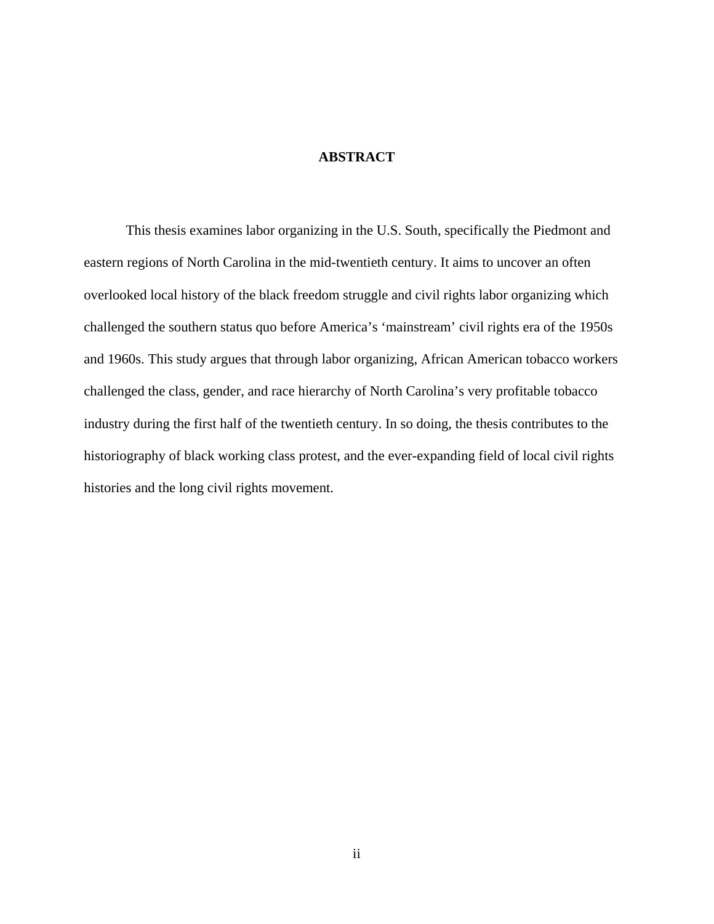# **ABSTRACT**

This thesis examines labor organizing in the U.S. South, specifically the Piedmont and eastern regions of North Carolina in the mid-twentieth century. It aims to uncover an often overlooked local history of the black freedom struggle and civil rights labor organizing which challenged the southern status quo before America's 'mainstream' civil rights era of the 1950s and 1960s. This study argues that through labor organizing, African American tobacco workers challenged the class, gender, and race hierarchy of North Carolina's very profitable tobacco industry during the first half of the twentieth century. In so doing, the thesis contributes to the historiography of black working class protest, and the ever-expanding field of local civil rights histories and the long civil rights movement.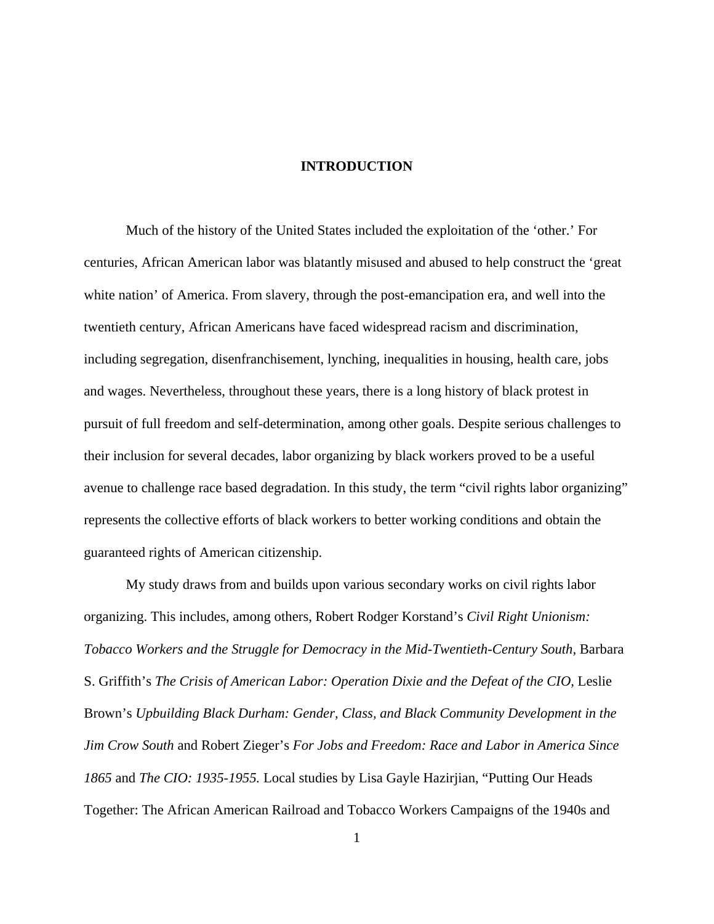# **INTRODUCTION**

Much of the history of the United States included the exploitation of the 'other.' For centuries, African American labor was blatantly misused and abused to help construct the 'great white nation' of America. From slavery, through the post-emancipation era, and well into the twentieth century, African Americans have faced widespread racism and discrimination, including segregation, disenfranchisement, lynching, inequalities in housing, health care, jobs and wages. Nevertheless, throughout these years, there is a long history of black protest in pursuit of full freedom and self-determination, among other goals. Despite serious challenges to their inclusion for several decades, labor organizing by black workers proved to be a useful avenue to challenge race based degradation. In this study, the term "civil rights labor organizing" represents the collective efforts of black workers to better working conditions and obtain the guaranteed rights of American citizenship.

My study draws from and builds upon various secondary works on civil rights labor organizing. This includes, among others, Robert Rodger Korstand's *Civil Right Unionism: Tobacco Workers and the Struggle for Democracy in the Mid-Twentieth-Century South,* Barbara S. Griffith's *The Crisis of American Labor: Operation Dixie and the Defeat of the CIO*, Leslie Brown's *Upbuilding Black Durham: Gender, Class, and Black Community Development in the Jim Crow South* and Robert Zieger's *For Jobs and Freedom: Race and Labor in America Since 1865* and *The CIO: 1935-1955.* Local studies by Lisa Gayle Hazirjian, "Putting Our Heads Together: The African American Railroad and Tobacco Workers Campaigns of the 1940s and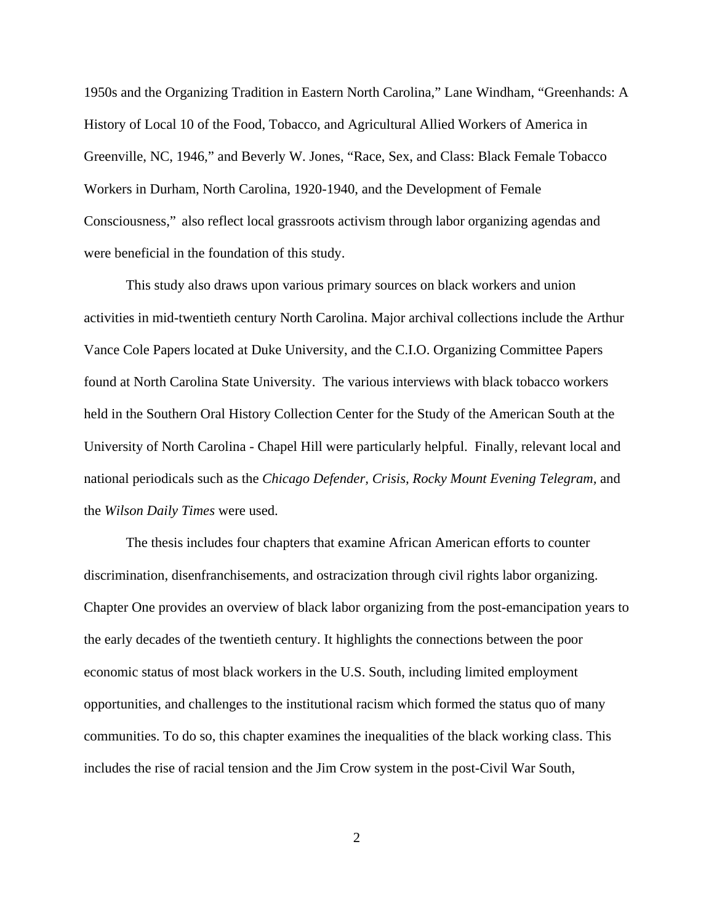1950s and the Organizing Tradition in Eastern North Carolina," Lane Windham, "Greenhands: A History of Local 10 of the Food, Tobacco, and Agricultural Allied Workers of America in Greenville, NC, 1946," and Beverly W. Jones, "Race, Sex, and Class: Black Female Tobacco Workers in Durham, North Carolina, 1920-1940, and the Development of Female Consciousness," also reflect local grassroots activism through labor organizing agendas and were beneficial in the foundation of this study.

This study also draws upon various primary sources on black workers and union activities in mid-twentieth century North Carolina. Major archival collections include the Arthur Vance Cole Papers located at Duke University, and the C.I.O. Organizing Committee Papers found at North Carolina State University. The various interviews with black tobacco workers held in the Southern Oral History Collection Center for the Study of the American South at the University of North Carolina - Chapel Hill were particularly helpful. Finally, relevant local and national periodicals such as the *Chicago Defender, Crisis, Rocky Mount Evening Telegram,* and the *Wilson Daily Times* were used.

The thesis includes four chapters that examine African American efforts to counter discrimination, disenfranchisements, and ostracization through civil rights labor organizing. Chapter One provides an overview of black labor organizing from the post-emancipation years to the early decades of the twentieth century. It highlights the connections between the poor economic status of most black workers in the U.S. South, including limited employment opportunities, and challenges to the institutional racism which formed the status quo of many communities. To do so, this chapter examines the inequalities of the black working class. This includes the rise of racial tension and the Jim Crow system in the post-Civil War South,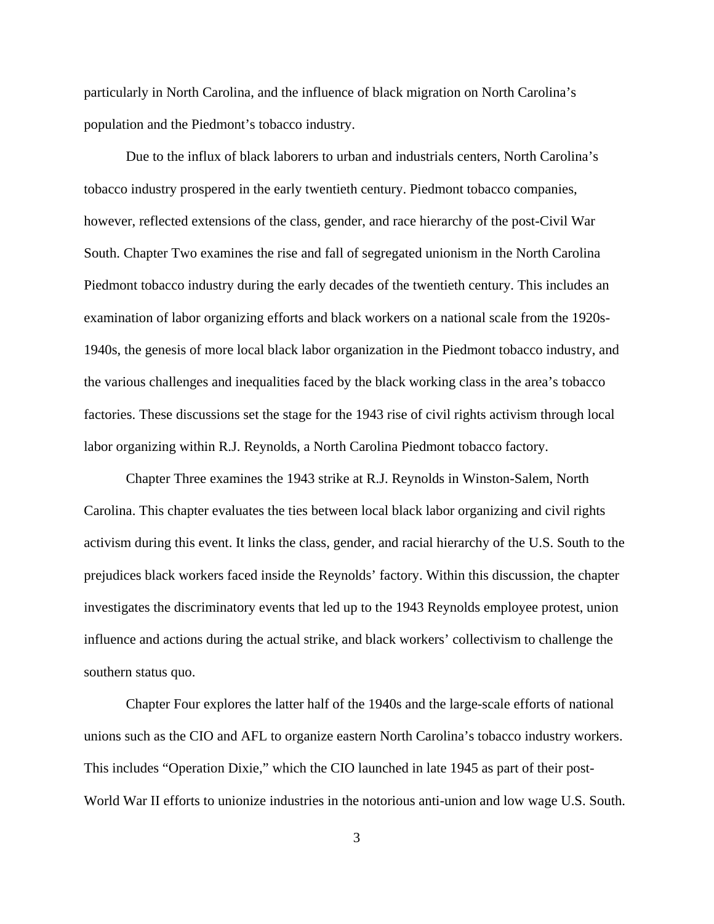particularly in North Carolina, and the influence of black migration on North Carolina's population and the Piedmont's tobacco industry.

Due to the influx of black laborers to urban and industrials centers, North Carolina's tobacco industry prospered in the early twentieth century. Piedmont tobacco companies, however, reflected extensions of the class, gender, and race hierarchy of the post-Civil War South. Chapter Two examines the rise and fall of segregated unionism in the North Carolina Piedmont tobacco industry during the early decades of the twentieth century. This includes an examination of labor organizing efforts and black workers on a national scale from the 1920s-1940s, the genesis of more local black labor organization in the Piedmont tobacco industry, and the various challenges and inequalities faced by the black working class in the area's tobacco factories. These discussions set the stage for the 1943 rise of civil rights activism through local labor organizing within R.J. Reynolds, a North Carolina Piedmont tobacco factory.

Chapter Three examines the 1943 strike at R.J. Reynolds in Winston-Salem, North Carolina. This chapter evaluates the ties between local black labor organizing and civil rights activism during this event. It links the class, gender, and racial hierarchy of the U.S. South to the prejudices black workers faced inside the Reynolds' factory. Within this discussion, the chapter investigates the discriminatory events that led up to the 1943 Reynolds employee protest, union influence and actions during the actual strike, and black workers' collectivism to challenge the southern status quo.

Chapter Four explores the latter half of the 1940s and the large-scale efforts of national unions such as the CIO and AFL to organize eastern North Carolina's tobacco industry workers. This includes "Operation Dixie," which the CIO launched in late 1945 as part of their post-World War II efforts to unionize industries in the notorious anti-union and low wage U.S. South.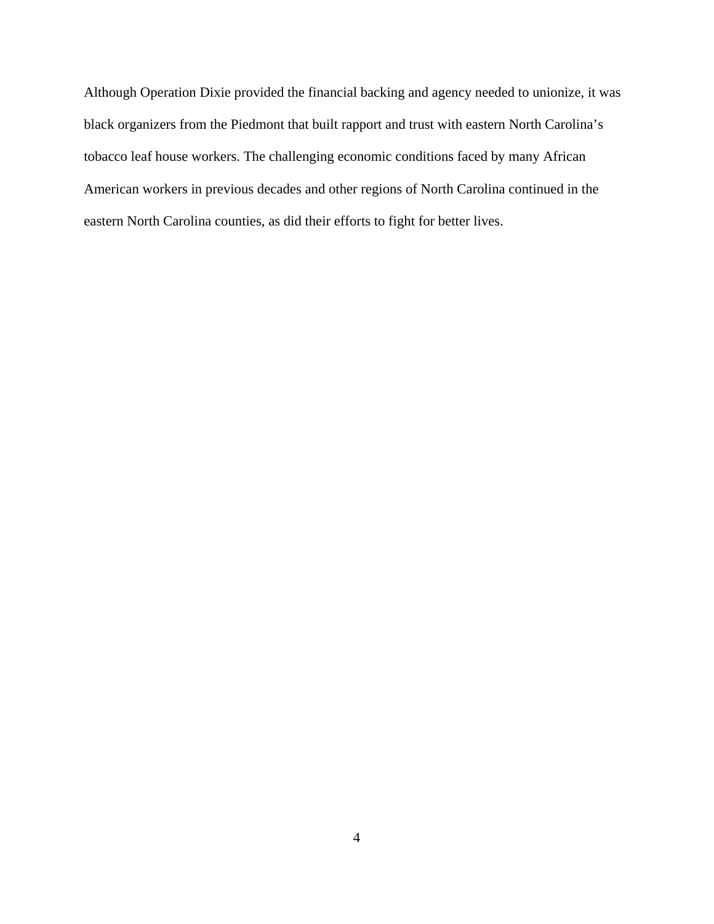Although Operation Dixie provided the financial backing and agency needed to unionize, it was black organizers from the Piedmont that built rapport and trust with eastern North Carolina's tobacco leaf house workers. The challenging economic conditions faced by many African American workers in previous decades and other regions of North Carolina continued in the eastern North Carolina counties, as did their efforts to fight for better lives.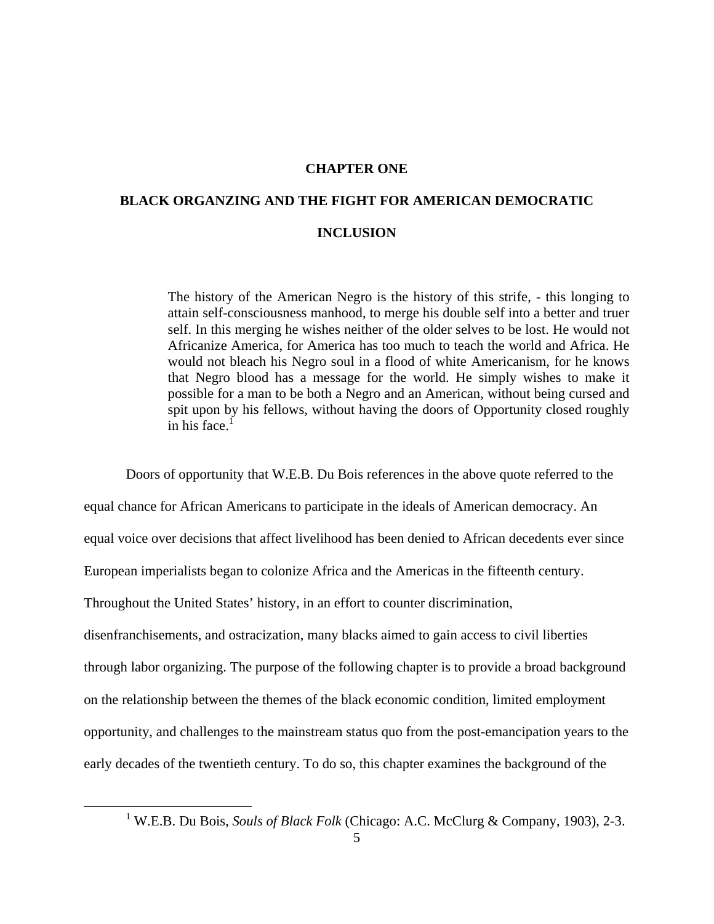# **CHAPTER ONE**

# **BLACK ORGANZING AND THE FIGHT FOR AMERICAN DEMOCRATIC INCLUSION**

The history of the American Negro is the history of this strife, - this longing to attain self-consciousness manhood, to merge his double self into a better and truer self. In this merging he wishes neither of the older selves to be lost. He would not Africanize America, for America has too much to teach the world and Africa. He would not bleach his Negro soul in a flood of white Americanism, for he knows that Negro blood has a message for the world. He simply wishes to make it possible for a man to be both a Negro and an American, without being cursed and spit upon by his fellows, without having the doors of Opportunity closed roughly in his face. $1$ 

Doors of opportunity that W.E.B. Du Bois references in the above quote referred to the

equal chance for African Americans to participate in the ideals of American democracy. An

equal voice over decisions that affect livelihood has been denied to African decedents ever since

European imperialists began to colonize Africa and the Americas in the fifteenth century.

Throughout the United States' history, in an effort to counter discrimination,

disenfranchisements, and ostracization, many blacks aimed to gain access to civil liberties through labor organizing. The purpose of the following chapter is to provide a broad background on the relationship between the themes of the black economic condition, limited employment opportunity, and challenges to the mainstream status quo from the post-emancipation years to the early decades of the twentieth century. To do so, this chapter examines the background of the

 <sup>1</sup> W.E.B. Du Bois, *Souls of Black Folk* (Chicago: A.C. McClurg & Company, 1903), 2-3.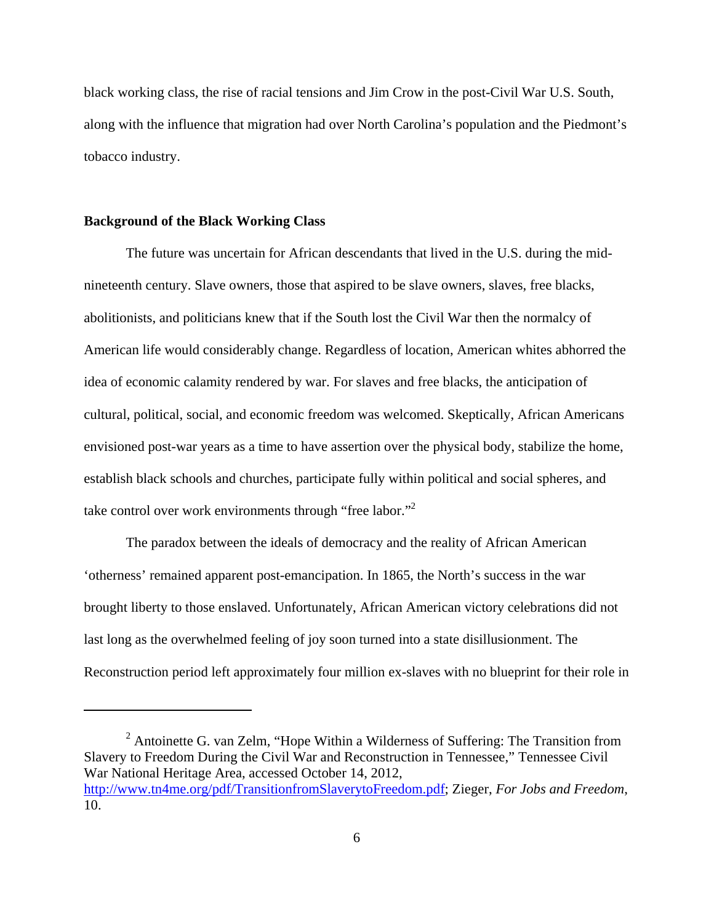black working class, the rise of racial tensions and Jim Crow in the post-Civil War U.S. South, along with the influence that migration had over North Carolina's population and the Piedmont's tobacco industry.

# **Background of the Black Working Class**

The future was uncertain for African descendants that lived in the U.S. during the midnineteenth century. Slave owners, those that aspired to be slave owners, slaves, free blacks, abolitionists, and politicians knew that if the South lost the Civil War then the normalcy of American life would considerably change. Regardless of location, American whites abhorred the idea of economic calamity rendered by war. For slaves and free blacks, the anticipation of cultural, political, social, and economic freedom was welcomed. Skeptically, African Americans envisioned post-war years as a time to have assertion over the physical body, stabilize the home, establish black schools and churches, participate fully within political and social spheres, and take control over work environments through "free labor."<sup>2</sup>

The paradox between the ideals of democracy and the reality of African American 'otherness' remained apparent post-emancipation. In 1865, the North's success in the war brought liberty to those enslaved. Unfortunately, African American victory celebrations did not last long as the overwhelmed feeling of joy soon turned into a state disillusionment. The Reconstruction period left approximately four million ex-slaves with no blueprint for their role in

<sup>&</sup>lt;sup>2</sup> Antoinette G. van Zelm, "Hope Within a Wilderness of Suffering: The Transition from Slavery to Freedom During the Civil War and Reconstruction in Tennessee," Tennessee Civil War National Heritage Area, accessed October 14, 2012, http://www.tn4me.org/pdf/TransitionfromSlaverytoFreedom.pdf; Zieger, *For Jobs and Freedom*, 10.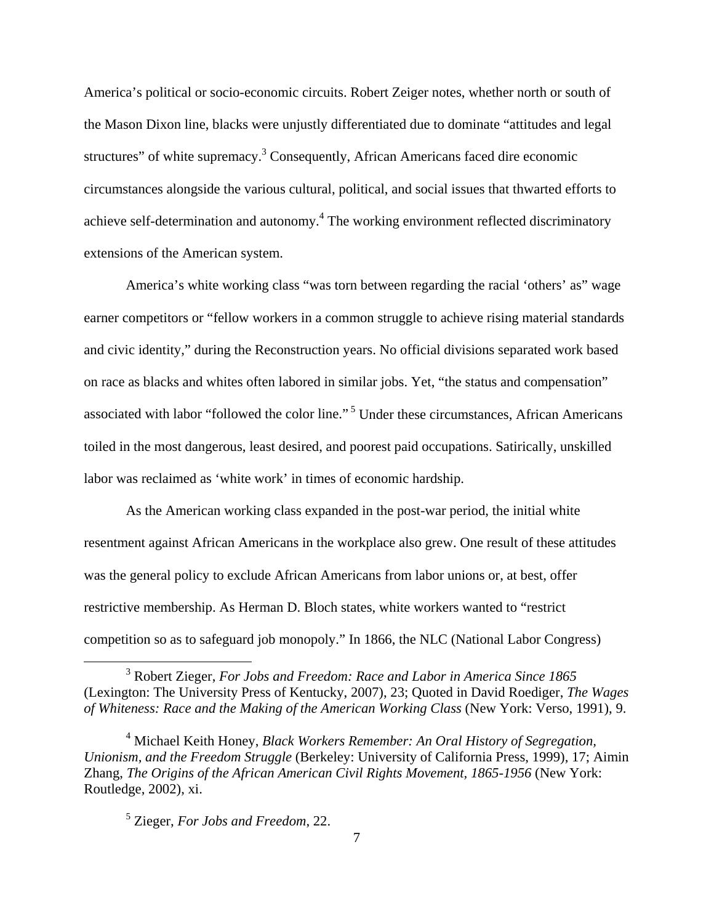America's political or socio-economic circuits. Robert Zeiger notes, whether north or south of the Mason Dixon line, blacks were unjustly differentiated due to dominate "attitudes and legal structures" of white supremacy.<sup>3</sup> Consequently, African Americans faced dire economic circumstances alongside the various cultural, political, and social issues that thwarted efforts to achieve self-determination and autonomy.<sup>4</sup> The working environment reflected discriminatory extensions of the American system.

America's white working class "was torn between regarding the racial 'others' as" wage earner competitors or "fellow workers in a common struggle to achieve rising material standards and civic identity," during the Reconstruction years. No official divisions separated work based on race as blacks and whites often labored in similar jobs. Yet, "the status and compensation" associated with labor "followed the color line." 5 Under these circumstances, African Americans toiled in the most dangerous, least desired, and poorest paid occupations. Satirically, unskilled labor was reclaimed as 'white work' in times of economic hardship.

As the American working class expanded in the post-war period, the initial white resentment against African Americans in the workplace also grew. One result of these attitudes was the general policy to exclude African Americans from labor unions or, at best, offer restrictive membership. As Herman D. Bloch states, white workers wanted to "restrict competition so as to safeguard job monopoly." In 1866, the NLC (National Labor Congress)

 <sup>3</sup> Robert Zieger, *For Jobs and Freedom: Race and Labor in America Since 1865* (Lexington: The University Press of Kentucky, 2007), 23; Quoted in David Roediger, *The Wages of Whiteness: Race and the Making of the American Working Class* (New York: Verso, 1991), 9.

<sup>4</sup> Michael Keith Honey, *Black Workers Remember: An Oral History of Segregation, Unionism, and the Freedom Struggle* (Berkeley: University of California Press, 1999), 17; Aimin Zhang, *The Origins of the African American Civil Rights Movement, 1865-1956* (New York: Routledge, 2002), xi.

<sup>5</sup> Zieger, *For Jobs and Freedom*, 22.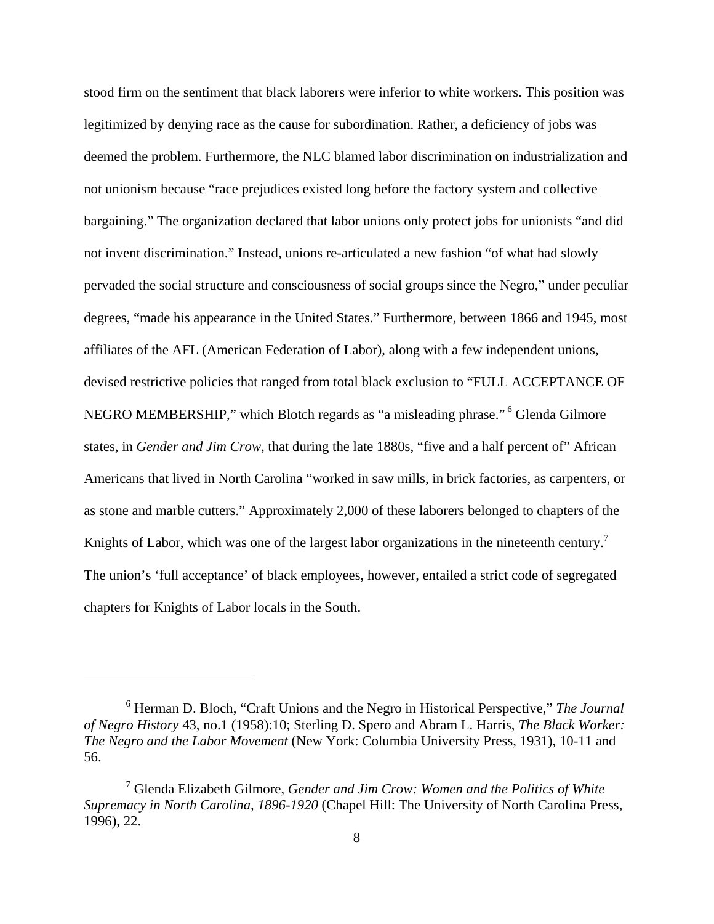stood firm on the sentiment that black laborers were inferior to white workers. This position was legitimized by denying race as the cause for subordination. Rather, a deficiency of jobs was deemed the problem. Furthermore, the NLC blamed labor discrimination on industrialization and not unionism because "race prejudices existed long before the factory system and collective bargaining." The organization declared that labor unions only protect jobs for unionists "and did not invent discrimination." Instead, unions re-articulated a new fashion "of what had slowly pervaded the social structure and consciousness of social groups since the Negro," under peculiar degrees, "made his appearance in the United States." Furthermore, between 1866 and 1945, most affiliates of the AFL (American Federation of Labor), along with a few independent unions, devised restrictive policies that ranged from total black exclusion to "FULL ACCEPTANCE OF NEGRO MEMBERSHIP," which Blotch regards as "a misleading phrase." 6 Glenda Gilmore states, in *Gender and Jim Crow*, that during the late 1880s, "five and a half percent of" African Americans that lived in North Carolina "worked in saw mills, in brick factories, as carpenters, or as stone and marble cutters." Approximately 2,000 of these laborers belonged to chapters of the Knights of Labor, which was one of the largest labor organizations in the nineteenth century.<sup>7</sup> The union's 'full acceptance' of black employees, however, entailed a strict code of segregated chapters for Knights of Labor locals in the South.

<sup>6</sup> Herman D. Bloch, "Craft Unions and the Negro in Historical Perspective," *The Journal of Negro History* 43, no.1 (1958):10; Sterling D. Spero and Abram L. Harris, *The Black Worker: The Negro and the Labor Movement* (New York: Columbia University Press, 1931), 10-11 and 56.

<sup>7</sup> Glenda Elizabeth Gilmore, *Gender and Jim Crow: Women and the Politics of White Supremacy in North Carolina, 1896-1920* (Chapel Hill: The University of North Carolina Press, 1996), 22.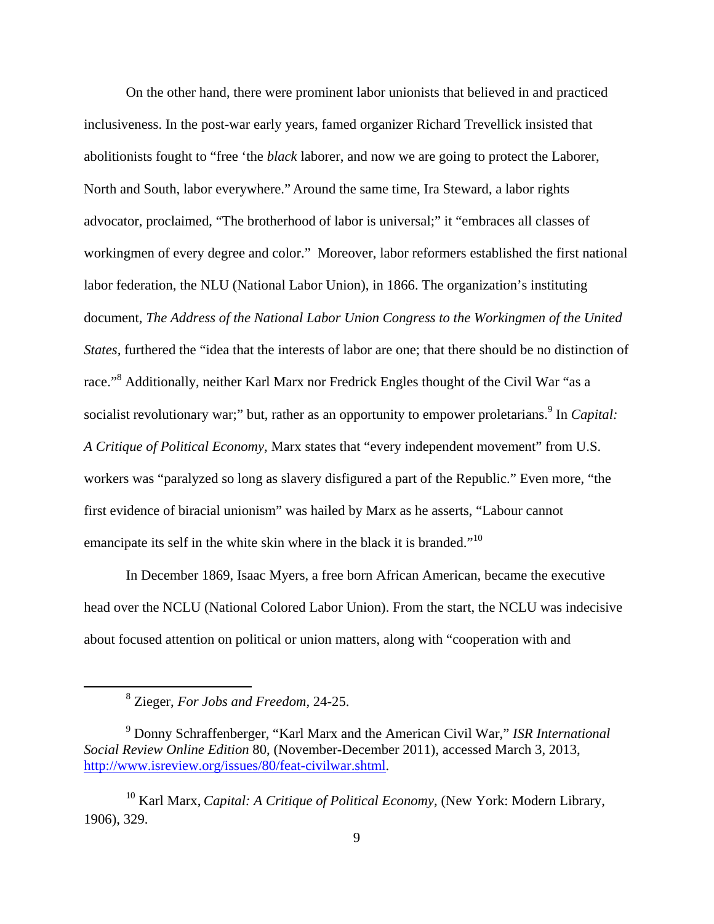On the other hand, there were prominent labor unionists that believed in and practiced inclusiveness. In the post-war early years, famed organizer Richard Trevellick insisted that abolitionists fought to "free 'the *black* laborer, and now we are going to protect the Laborer, North and South, labor everywhere." Around the same time, Ira Steward, a labor rights advocator, proclaimed, "The brotherhood of labor is universal;" it "embraces all classes of workingmen of every degree and color." Moreover, labor reformers established the first national labor federation, the NLU (National Labor Union), in 1866. The organization's instituting document, *The Address of the National Labor Union Congress to the Workingmen of the United States,* furthered the "idea that the interests of labor are one; that there should be no distinction of race."<sup>8</sup> Additionally, neither Karl Marx nor Fredrick Engles thought of the Civil War "as a socialist revolutionary war;" but, rather as an opportunity to empower proletarians.<sup>9</sup> In *Capital*: *A Critique of Political Economy,* Marx states that "every independent movement" from U.S. workers was "paralyzed so long as slavery disfigured a part of the Republic." Even more, "the first evidence of biracial unionism" was hailed by Marx as he asserts, "Labour cannot emancipate its self in the white skin where in the black it is branded."<sup>10</sup>

In December 1869, Isaac Myers, a free born African American, became the executive head over the NCLU (National Colored Labor Union). From the start, the NCLU was indecisive about focused attention on political or union matters, along with "cooperation with and

 <sup>8</sup> Zieger, *For Jobs and Freedom,* 24-25.

<sup>9</sup> Donny Schraffenberger, "Karl Marx and the American Civil War," *ISR International Social Review Online Edition* 80, (November-December 2011), accessed March 3, 2013, http://www.isreview.org/issues/80/feat-civilwar.shtml.

<sup>10</sup> Karl Marx, *Capital: A Critique of Political Economy,* (New York: Modern Library, 1906), 329.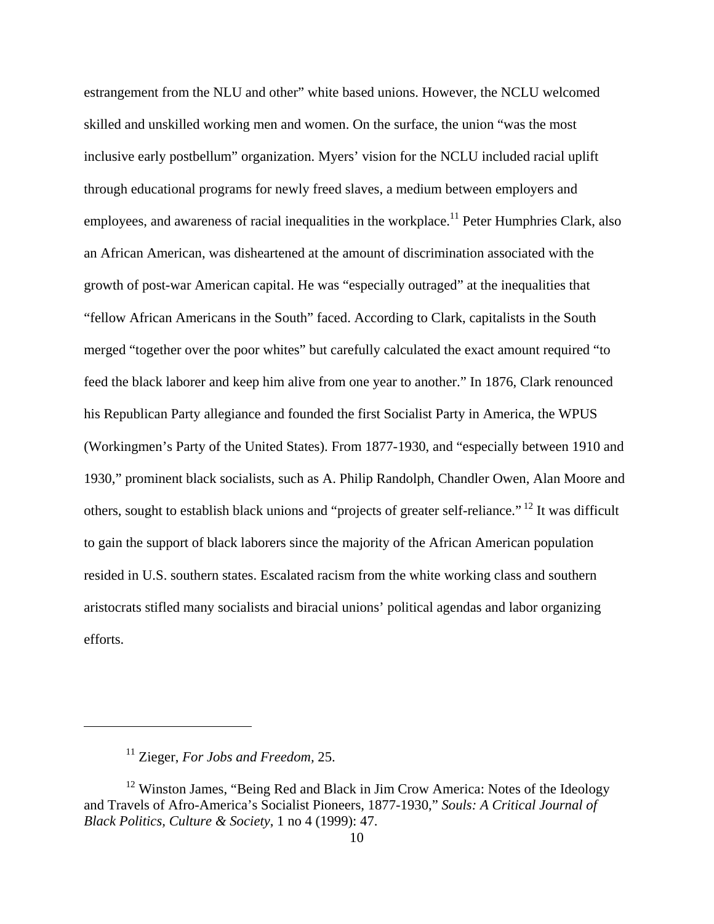estrangement from the NLU and other" white based unions. However, the NCLU welcomed skilled and unskilled working men and women. On the surface, the union "was the most inclusive early postbellum" organization. Myers' vision for the NCLU included racial uplift through educational programs for newly freed slaves, a medium between employers and employees, and awareness of racial inequalities in the workplace.<sup>11</sup> Peter Humphries Clark, also an African American, was disheartened at the amount of discrimination associated with the growth of post-war American capital. He was "especially outraged" at the inequalities that "fellow African Americans in the South" faced. According to Clark, capitalists in the South merged "together over the poor whites" but carefully calculated the exact amount required "to feed the black laborer and keep him alive from one year to another." In 1876, Clark renounced his Republican Party allegiance and founded the first Socialist Party in America, the WPUS (Workingmen's Party of the United States). From 1877-1930, and "especially between 1910 and 1930," prominent black socialists, such as A. Philip Randolph, Chandler Owen, Alan Moore and others, sought to establish black unions and "projects of greater self-reliance." 12 It was difficult to gain the support of black laborers since the majority of the African American population resided in U.S. southern states. Escalated racism from the white working class and southern aristocrats stifled many socialists and biracial unions' political agendas and labor organizing efforts.

<sup>11</sup> Zieger, *For Jobs and Freedom,* 25.

<sup>&</sup>lt;sup>12</sup> Winston James, "Being Red and Black in Jim Crow America: Notes of the Ideology and Travels of Afro-America's Socialist Pioneers, 1877-1930," *Souls: A Critical Journal of Black Politics, Culture & Society*, 1 no 4 (1999): 47.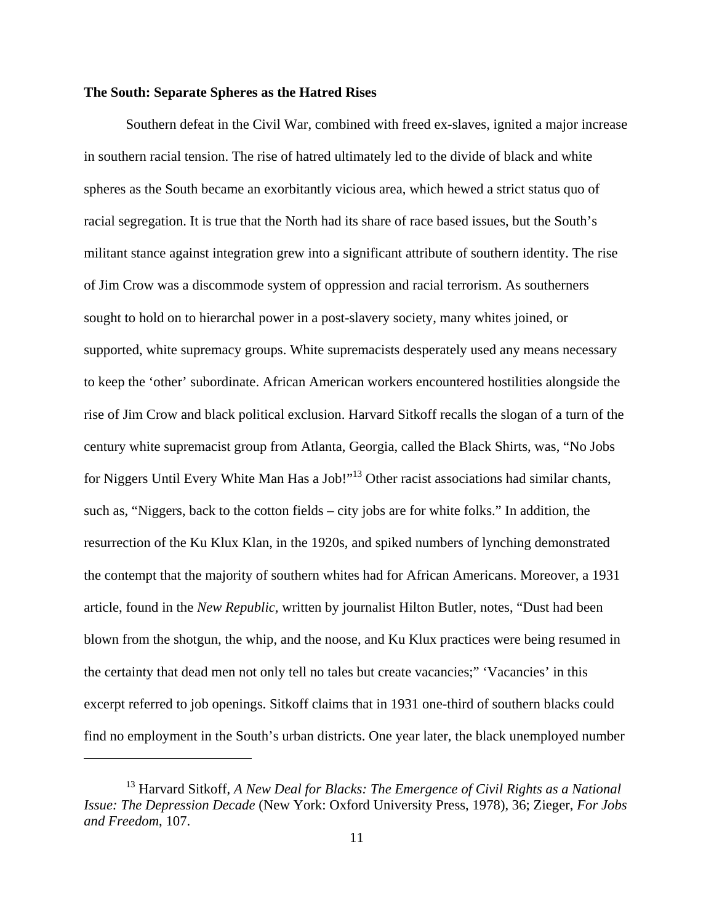# **The South: Separate Spheres as the Hatred Rises**

Southern defeat in the Civil War, combined with freed ex-slaves, ignited a major increase in southern racial tension. The rise of hatred ultimately led to the divide of black and white spheres as the South became an exorbitantly vicious area, which hewed a strict status quo of racial segregation. It is true that the North had its share of race based issues, but the South's militant stance against integration grew into a significant attribute of southern identity. The rise of Jim Crow was a discommode system of oppression and racial terrorism. As southerners sought to hold on to hierarchal power in a post-slavery society, many whites joined, or supported, white supremacy groups. White supremacists desperately used any means necessary to keep the 'other' subordinate. African American workers encountered hostilities alongside the rise of Jim Crow and black political exclusion. Harvard Sitkoff recalls the slogan of a turn of the century white supremacist group from Atlanta, Georgia, called the Black Shirts, was, "No Jobs for Niggers Until Every White Man Has a Job!"<sup>13</sup> Other racist associations had similar chants, such as, "Niggers, back to the cotton fields – city jobs are for white folks." In addition, the resurrection of the Ku Klux Klan, in the 1920s, and spiked numbers of lynching demonstrated the contempt that the majority of southern whites had for African Americans. Moreover, a 1931 article, found in the *New Republic,* written by journalist Hilton Butler, notes, "Dust had been blown from the shotgun, the whip, and the noose, and Ku Klux practices were being resumed in the certainty that dead men not only tell no tales but create vacancies;" 'Vacancies' in this excerpt referred to job openings. Sitkoff claims that in 1931 one-third of southern blacks could find no employment in the South's urban districts. One year later, the black unemployed number

<sup>&</sup>lt;sup>13</sup> Harvard Sitkoff, *A New Deal for Blacks: The Emergence of Civil Rights as a National Issue: The Depression Decade* (New York: Oxford University Press, 1978), 36; Zieger, *For Jobs and Freedom*, 107.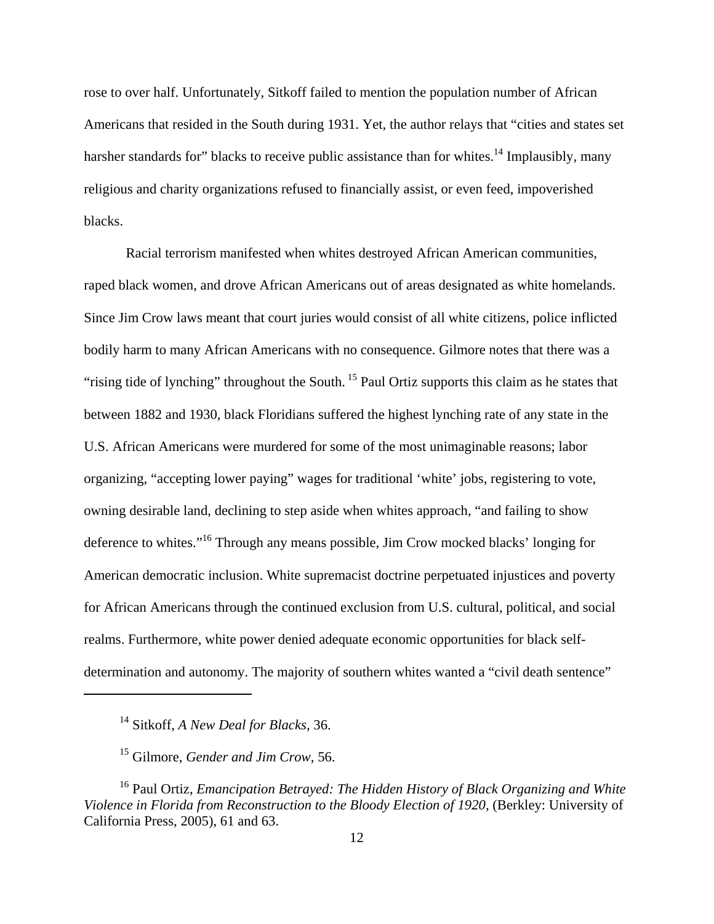rose to over half. Unfortunately, Sitkoff failed to mention the population number of African Americans that resided in the South during 1931. Yet, the author relays that "cities and states set harsher standards for" blacks to receive public assistance than for whites.<sup>14</sup> Implausibly, many religious and charity organizations refused to financially assist, or even feed, impoverished blacks.

Racial terrorism manifested when whites destroyed African American communities, raped black women, and drove African Americans out of areas designated as white homelands. Since Jim Crow laws meant that court juries would consist of all white citizens, police inflicted bodily harm to many African Americans with no consequence. Gilmore notes that there was a "rising tide of lynching" throughout the South.<sup>15</sup> Paul Ortiz supports this claim as he states that between 1882 and 1930, black Floridians suffered the highest lynching rate of any state in the U.S. African Americans were murdered for some of the most unimaginable reasons; labor organizing, "accepting lower paying" wages for traditional 'white' jobs, registering to vote, owning desirable land, declining to step aside when whites approach, "and failing to show deference to whites."16 Through any means possible, Jim Crow mocked blacks' longing for American democratic inclusion. White supremacist doctrine perpetuated injustices and poverty for African Americans through the continued exclusion from U.S. cultural, political, and social realms. Furthermore, white power denied adequate economic opportunities for black selfdetermination and autonomy. The majority of southern whites wanted a "civil death sentence"

<sup>14</sup> Sitkoff, *A New Deal for Blacks,* 36.

<sup>15</sup> Gilmore, *Gender and Jim Crow,* 56.

<sup>16</sup> Paul Ortiz, *Emancipation Betrayed: The Hidden History of Black Organizing and White Violence in Florida from Reconstruction to the Bloody Election of 1920, (Berkley: University of* California Press, 2005), 61 and 63.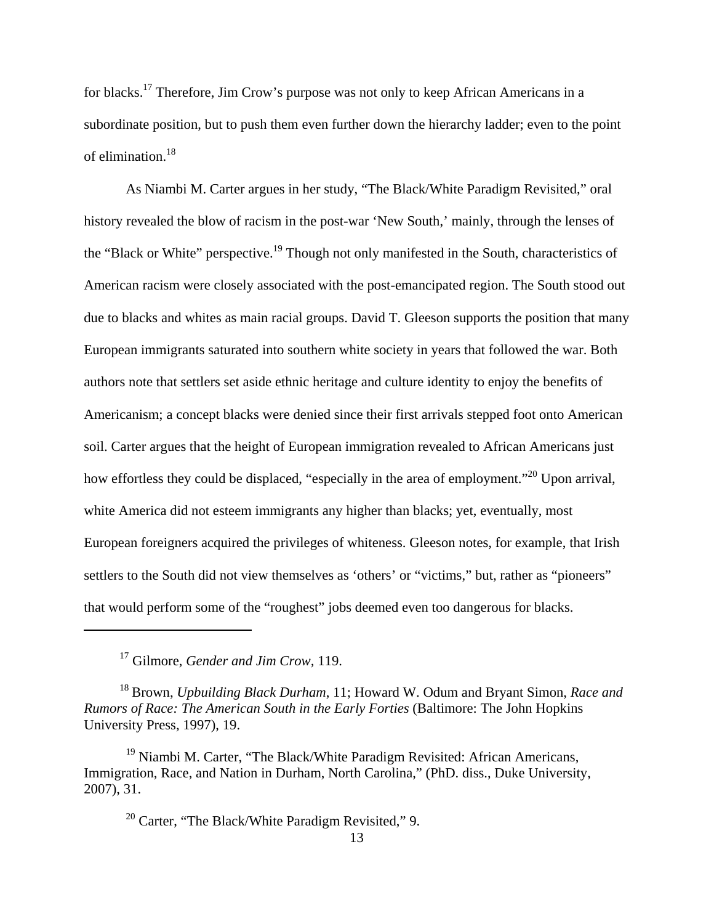for blacks.17 Therefore, Jim Crow's purpose was not only to keep African Americans in a subordinate position, but to push them even further down the hierarchy ladder; even to the point of elimination.18

As Niambi M. Carter argues in her study, "The Black/White Paradigm Revisited," oral history revealed the blow of racism in the post-war 'New South,' mainly, through the lenses of the "Black or White" perspective.<sup>19</sup> Though not only manifested in the South, characteristics of American racism were closely associated with the post-emancipated region. The South stood out due to blacks and whites as main racial groups. David T. Gleeson supports the position that many European immigrants saturated into southern white society in years that followed the war. Both authors note that settlers set aside ethnic heritage and culture identity to enjoy the benefits of Americanism; a concept blacks were denied since their first arrivals stepped foot onto American soil. Carter argues that the height of European immigration revealed to African Americans just how effortless they could be displaced, "especially in the area of employment."<sup>20</sup> Upon arrival, white America did not esteem immigrants any higher than blacks; yet, eventually, most European foreigners acquired the privileges of whiteness. Gleeson notes, for example, that Irish settlers to the South did not view themselves as 'others' or "victims," but, rather as "pioneers" that would perform some of the "roughest" jobs deemed even too dangerous for blacks.

17 Gilmore, *Gender and Jim Crow,* 119.

<sup>18</sup> Brown, *Upbuilding Black Durham*, 11; Howard W. Odum and Bryant Simon, *Race and Rumors of Race: The American South in the Early Forties* (Baltimore: The John Hopkins University Press, 1997), 19.

 $19$  Niambi M. Carter, "The Black/White Paradigm Revisited: African Americans, Immigration, Race, and Nation in Durham, North Carolina," (PhD. diss., Duke University, 2007), 31.

 $20$  Carter, "The Black/White Paradigm Revisited," 9.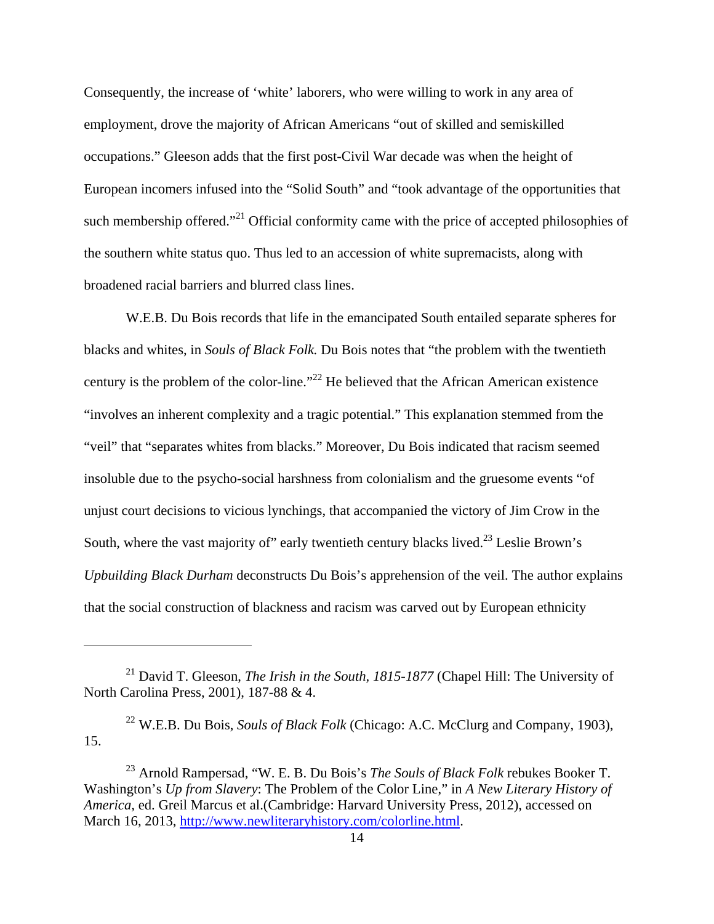Consequently, the increase of 'white' laborers, who were willing to work in any area of employment, drove the majority of African Americans "out of skilled and semiskilled occupations." Gleeson adds that the first post-Civil War decade was when the height of European incomers infused into the "Solid South" and "took advantage of the opportunities that such membership offered."<sup>21</sup> Official conformity came with the price of accepted philosophies of the southern white status quo. Thus led to an accession of white supremacists, along with broadened racial barriers and blurred class lines.

W.E.B. Du Bois records that life in the emancipated South entailed separate spheres for blacks and whites, in *Souls of Black Folk.* Du Bois notes that "the problem with the twentieth century is the problem of the color-line."22 He believed that the African American existence "involves an inherent complexity and a tragic potential." This explanation stemmed from the "veil" that "separates whites from blacks." Moreover, Du Bois indicated that racism seemed insoluble due to the psycho-social harshness from colonialism and the gruesome events "of unjust court decisions to vicious lynchings, that accompanied the victory of Jim Crow in the South, where the vast majority of" early twentieth century blacks lived.<sup>23</sup> Leslie Brown's *Upbuilding Black Durham* deconstructs Du Bois's apprehension of the veil. The author explains that the social construction of blackness and racism was carved out by European ethnicity

<sup>21</sup> David T. Gleeson, *The Irish in the South, 1815-1877* (Chapel Hill: The University of North Carolina Press, 2001), 187-88 & 4.

<sup>22</sup> W.E.B. Du Bois, *Souls of Black Folk* (Chicago: A.C. McClurg and Company, 1903), 15.

<sup>23</sup> Arnold Rampersad, "W. E. B. Du Bois's *The Souls of Black Folk* rebukes Booker T. Washington's *Up from Slavery*: The Problem of the Color Line," in *A New Literary History of America,* ed. Greil Marcus et al.(Cambridge: Harvard University Press, 2012), accessed on March 16, 2013, http://www.newliteraryhistory.com/colorline.html.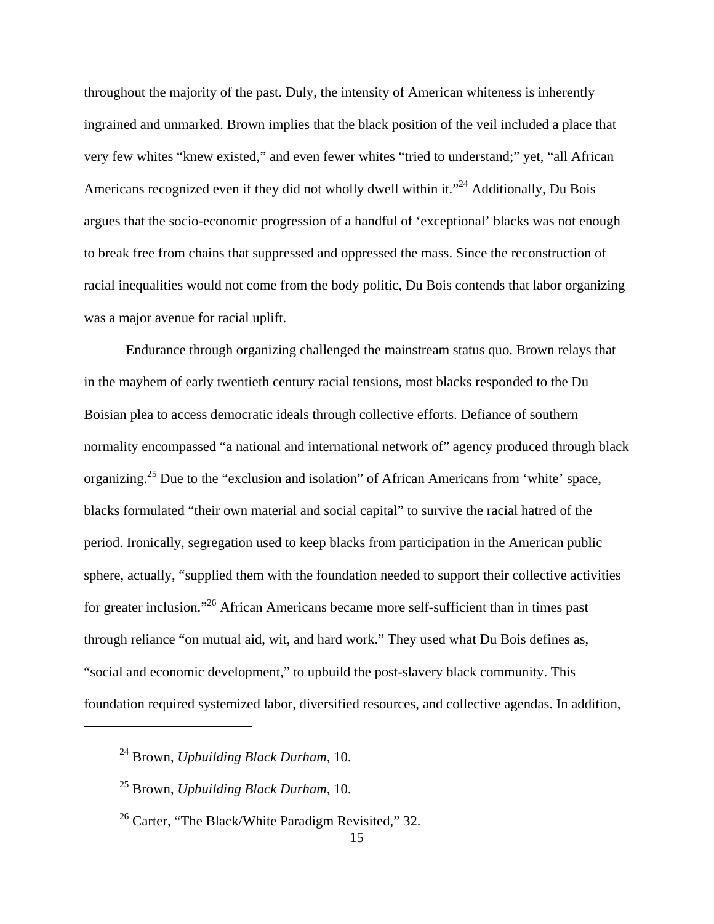throughout the majority of the past. Duly, the intensity of American whiteness is inherently ingrained and unmarked. Brown implies that the black position of the veil included a place that very few whites "knew existed," and even fewer whites "tried to understand;" yet, "all African Americans recognized even if they did not wholly dwell within it."<sup>24</sup> Additionally, Du Bois argues that the socio-economic progression of a handful of 'exceptional' blacks was not enough to break free from chains that suppressed and oppressed the mass. Since the reconstruction of racial inequalities would not come from the body politic, Du Bois contends that labor organizing was a major avenue for racial uplift.

Endurance through organizing challenged the mainstream status quo. Brown relays that in the mayhem of early twentieth century racial tensions, most blacks responded to the Du Boisian plea to access democratic ideals through collective efforts. Defiance of southern normality encompassed "a national and international network of" agency produced through black organizing.25 Due to the "exclusion and isolation" of African Americans from 'white' space, blacks formulated "their own material and social capital" to survive the racial hatred of the period. Ironically, segregation used to keep blacks from participation in the American public sphere, actually, "supplied them with the foundation needed to support their collective activities for greater inclusion."<sup>26</sup> African Americans became more self-sufficient than in times past through reliance "on mutual aid, wit, and hard work." They used what Du Bois defines as, "social and economic development," to upbuild the post-slavery black community. This foundation required systemized labor, diversified resources, and collective agendas. In addition,

<sup>24</sup> Brown, *Upbuilding Black Durham,* 10.

<sup>25</sup> Brown, *Upbuilding Black Durham,* 10.

<sup>&</sup>lt;sup>26</sup> Carter, "The Black/White Paradigm Revisited," 32.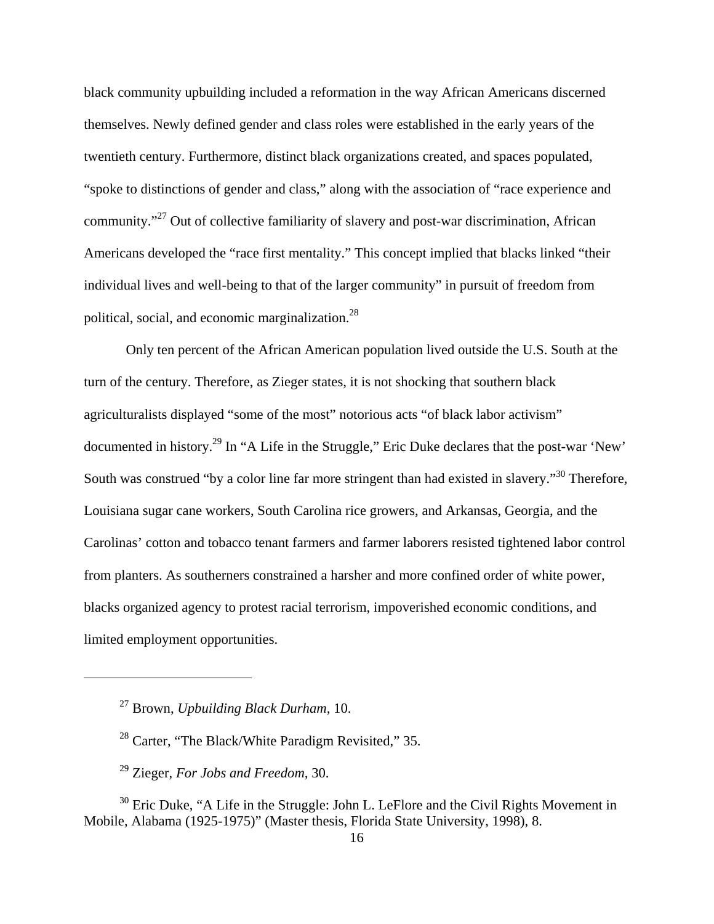black community upbuilding included a reformation in the way African Americans discerned themselves. Newly defined gender and class roles were established in the early years of the twentieth century. Furthermore, distinct black organizations created, and spaces populated, "spoke to distinctions of gender and class," along with the association of "race experience and community."27 Out of collective familiarity of slavery and post-war discrimination, African Americans developed the "race first mentality." This concept implied that blacks linked "their individual lives and well-being to that of the larger community" in pursuit of freedom from political, social, and economic marginalization.<sup>28</sup>

Only ten percent of the African American population lived outside the U.S. South at the turn of the century. Therefore, as Zieger states, it is not shocking that southern black agriculturalists displayed "some of the most" notorious acts "of black labor activism" documented in history.29 In "A Life in the Struggle," Eric Duke declares that the post-war 'New' South was construed "by a color line far more stringent than had existed in slavery."<sup>30</sup> Therefore, Louisiana sugar cane workers, South Carolina rice growers, and Arkansas, Georgia, and the Carolinas' cotton and tobacco tenant farmers and farmer laborers resisted tightened labor control from planters. As southerners constrained a harsher and more confined order of white power, blacks organized agency to protest racial terrorism, impoverished economic conditions, and limited employment opportunities.

<sup>27</sup> Brown, *Upbuilding Black Durham,* 10.

<sup>&</sup>lt;sup>28</sup> Carter, "The Black/White Paradigm Revisited," 35.

<sup>29</sup> Zieger, *For Jobs and Freedom,* 30.

 $30$  Eric Duke, "A Life in the Struggle: John L. LeFlore and the Civil Rights Movement in Mobile, Alabama (1925-1975)" (Master thesis, Florida State University, 1998), 8.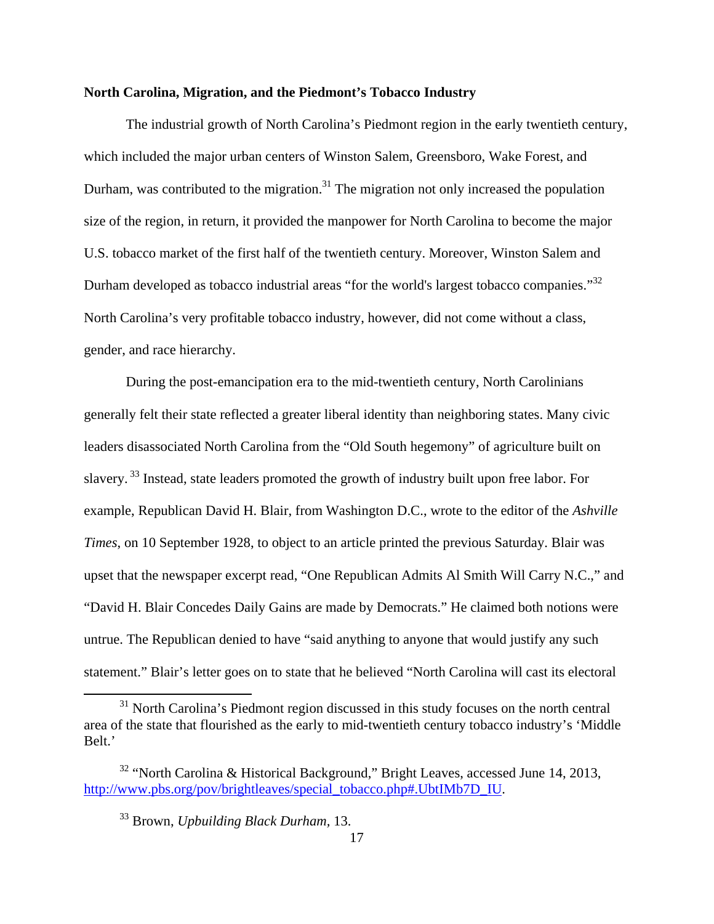## **North Carolina, Migration, and the Piedmont's Tobacco Industry**

The industrial growth of North Carolina's Piedmont region in the early twentieth century, which included the major urban centers of Winston Salem, Greensboro, Wake Forest, and Durham, was contributed to the migration.<sup>31</sup> The migration not only increased the population size of the region, in return, it provided the manpower for North Carolina to become the major U.S. tobacco market of the first half of the twentieth century. Moreover, Winston Salem and Durham developed as tobacco industrial areas "for the world's largest tobacco companies."<sup>32</sup> North Carolina's very profitable tobacco industry, however, did not come without a class, gender, and race hierarchy.

During the post-emancipation era to the mid-twentieth century, North Carolinians generally felt their state reflected a greater liberal identity than neighboring states. Many civic leaders disassociated North Carolina from the "Old South hegemony" of agriculture built on slavery.<sup>33</sup> Instead, state leaders promoted the growth of industry built upon free labor. For example, Republican David H. Blair, from Washington D.C., wrote to the editor of the *Ashville Times*, on 10 September 1928, to object to an article printed the previous Saturday. Blair was upset that the newspaper excerpt read, "One Republican Admits Al Smith Will Carry N.C.," and "David H. Blair Concedes Daily Gains are made by Democrats." He claimed both notions were untrue. The Republican denied to have "said anything to anyone that would justify any such statement." Blair's letter goes on to state that he believed "North Carolina will cast its electoral

<sup>&</sup>lt;sup>31</sup> North Carolina's Piedmont region discussed in this study focuses on the north central area of the state that flourished as the early to mid-twentieth century tobacco industry's 'Middle Belt.'

<sup>32 &</sup>quot;North Carolina & Historical Background," Bright Leaves, accessed June 14, 2013, http://www.pbs.org/pov/brightleaves/special\_tobacco.php#.UbtIMb7D\_IU.

<sup>33</sup> Brown, *Upbuilding Black Durham,* 13.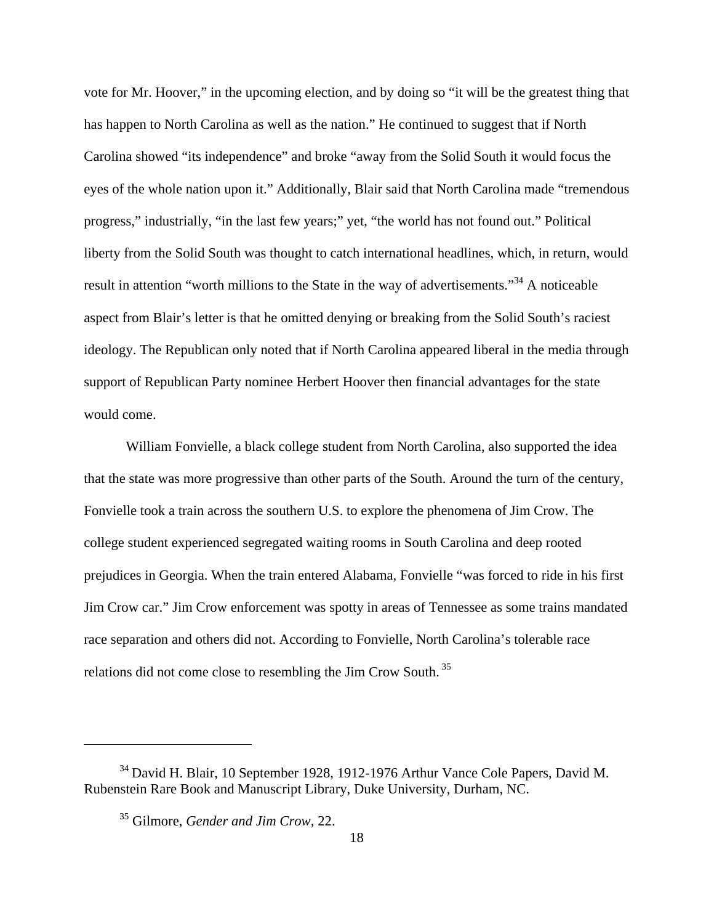vote for Mr. Hoover," in the upcoming election, and by doing so "it will be the greatest thing that has happen to North Carolina as well as the nation." He continued to suggest that if North Carolina showed "its independence" and broke "away from the Solid South it would focus the eyes of the whole nation upon it." Additionally, Blair said that North Carolina made "tremendous progress," industrially, "in the last few years;" yet, "the world has not found out." Political liberty from the Solid South was thought to catch international headlines, which, in return, would result in attention "worth millions to the State in the way of advertisements."<sup>34</sup> A noticeable aspect from Blair's letter is that he omitted denying or breaking from the Solid South's raciest ideology. The Republican only noted that if North Carolina appeared liberal in the media through support of Republican Party nominee Herbert Hoover then financial advantages for the state would come.

William Fonvielle, a black college student from North Carolina, also supported the idea that the state was more progressive than other parts of the South. Around the turn of the century, Fonvielle took a train across the southern U.S. to explore the phenomena of Jim Crow. The college student experienced segregated waiting rooms in South Carolina and deep rooted prejudices in Georgia. When the train entered Alabama, Fonvielle "was forced to ride in his first Jim Crow car." Jim Crow enforcement was spotty in areas of Tennessee as some trains mandated race separation and others did not. According to Fonvielle, North Carolina's tolerable race relations did not come close to resembling the Jim Crow South.<sup>35</sup>

<sup>34</sup> David H. Blair, 10 September 1928, 1912-1976 Arthur Vance Cole Papers, David M. Rubenstein Rare Book and Manuscript Library, Duke University, Durham, NC.

<sup>35</sup> Gilmore, *Gender and Jim Crow,* 22.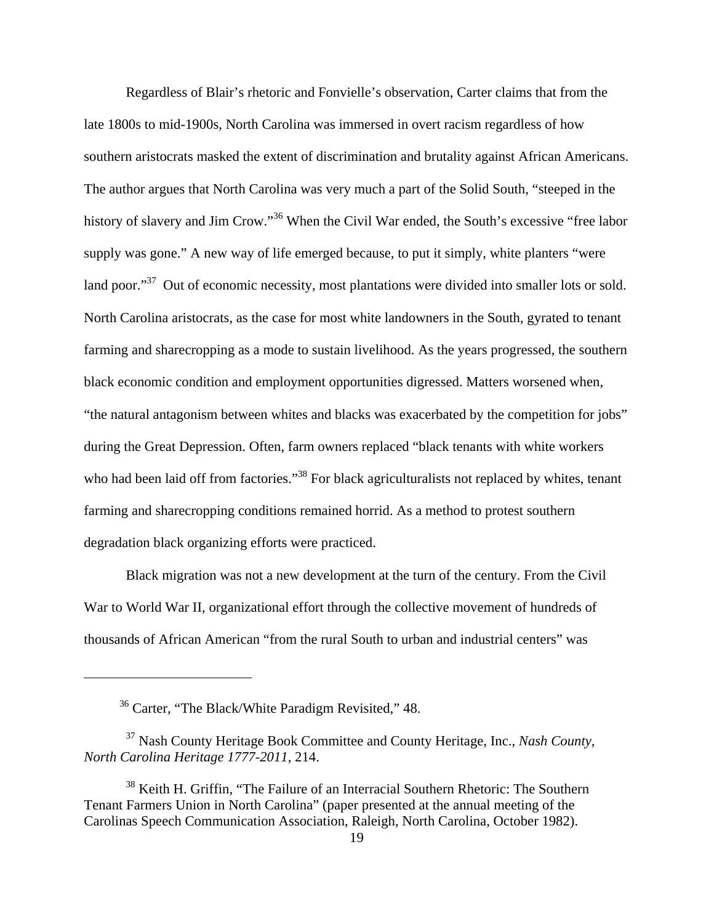Regardless of Blair's rhetoric and Fonvielle's observation, Carter claims that from the late 1800s to mid-1900s, North Carolina was immersed in overt racism regardless of how southern aristocrats masked the extent of discrimination and brutality against African Americans. The author argues that North Carolina was very much a part of the Solid South, "steeped in the history of slavery and Jim Crow."<sup>36</sup> When the Civil War ended, the South's excessive "free labor" supply was gone." A new way of life emerged because, to put it simply, white planters "were land poor."<sup>37</sup> Out of economic necessity, most plantations were divided into smaller lots or sold. North Carolina aristocrats, as the case for most white landowners in the South, gyrated to tenant farming and sharecropping as a mode to sustain livelihood. As the years progressed, the southern black economic condition and employment opportunities digressed. Matters worsened when, "the natural antagonism between whites and blacks was exacerbated by the competition for jobs" during the Great Depression. Often, farm owners replaced "black tenants with white workers who had been laid off from factories."<sup>38</sup> For black agriculturalists not replaced by whites, tenant farming and sharecropping conditions remained horrid. As a method to protest southern degradation black organizing efforts were practiced.

Black migration was not a new development at the turn of the century. From the Civil War to World War II, organizational effort through the collective movement of hundreds of thousands of African American "from the rural South to urban and industrial centers" was

<sup>36</sup> Carter, "The Black/White Paradigm Revisited," 48.

<sup>37</sup> Nash County Heritage Book Committee and County Heritage, Inc., *Nash County, North Carolina Heritage 1777-2011,* 214.

<sup>&</sup>lt;sup>38</sup> Keith H. Griffin, "The Failure of an Interracial Southern Rhetoric: The Southern Tenant Farmers Union in North Carolina" (paper presented at the annual meeting of the Carolinas Speech Communication Association, Raleigh, North Carolina, October 1982).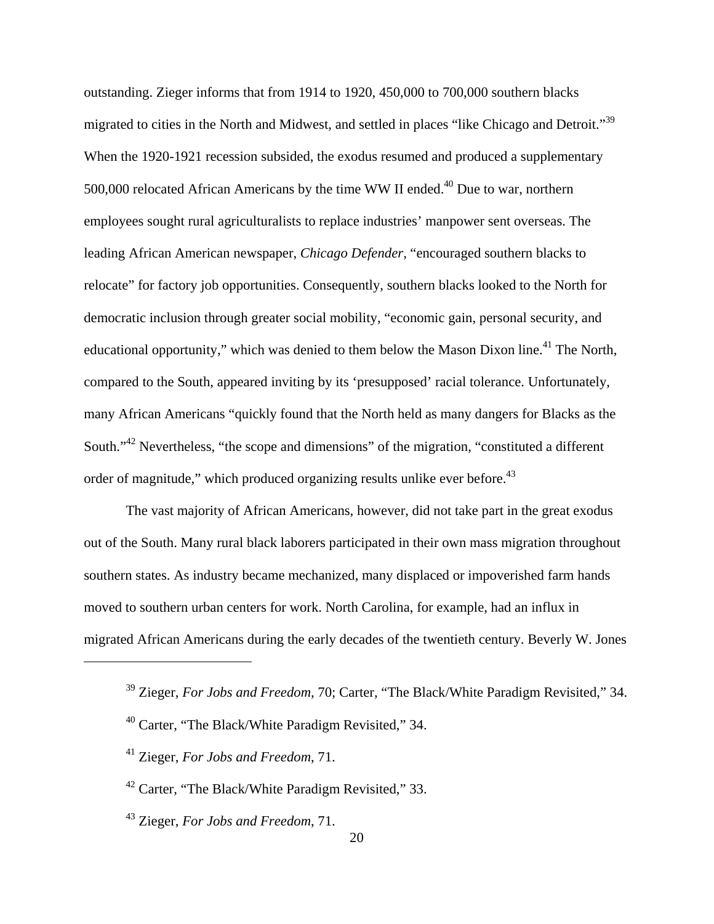outstanding. Zieger informs that from 1914 to 1920, 450,000 to 700,000 southern blacks migrated to cities in the North and Midwest, and settled in places "like Chicago and Detroit."39 When the 1920-1921 recession subsided, the exodus resumed and produced a supplementary 500,000 relocated African Americans by the time WW II ended.<sup>40</sup> Due to war, northern employees sought rural agriculturalists to replace industries' manpower sent overseas. The leading African American newspaper, *Chicago Defender,* "encouraged southern blacks to relocate" for factory job opportunities. Consequently, southern blacks looked to the North for democratic inclusion through greater social mobility, "economic gain, personal security, and educational opportunity," which was denied to them below the Mason Dixon line.<sup>41</sup> The North, compared to the South, appeared inviting by its 'presupposed' racial tolerance. Unfortunately, many African Americans "quickly found that the North held as many dangers for Blacks as the South."<sup>42</sup> Nevertheless, "the scope and dimensions" of the migration, "constituted a different" order of magnitude," which produced organizing results unlike ever before.<sup>43</sup>

The vast majority of African Americans, however, did not take part in the great exodus out of the South. Many rural black laborers participated in their own mass migration throughout southern states. As industry became mechanized, many displaced or impoverished farm hands moved to southern urban centers for work. North Carolina, for example, had an influx in migrated African Americans during the early decades of the twentieth century. Beverly W. Jones

<sup>39</sup> Zieger, *For Jobs and Freedom*, 70; Carter, "The Black/White Paradigm Revisited," 34.

<sup>40</sup> Carter, "The Black/White Paradigm Revisited," 34.

<sup>41</sup> Zieger, *For Jobs and Freedom*, 71.

<sup>42</sup> Carter, "The Black/White Paradigm Revisited," 33.

<sup>43</sup> Zieger, *For Jobs and Freedom*, 71.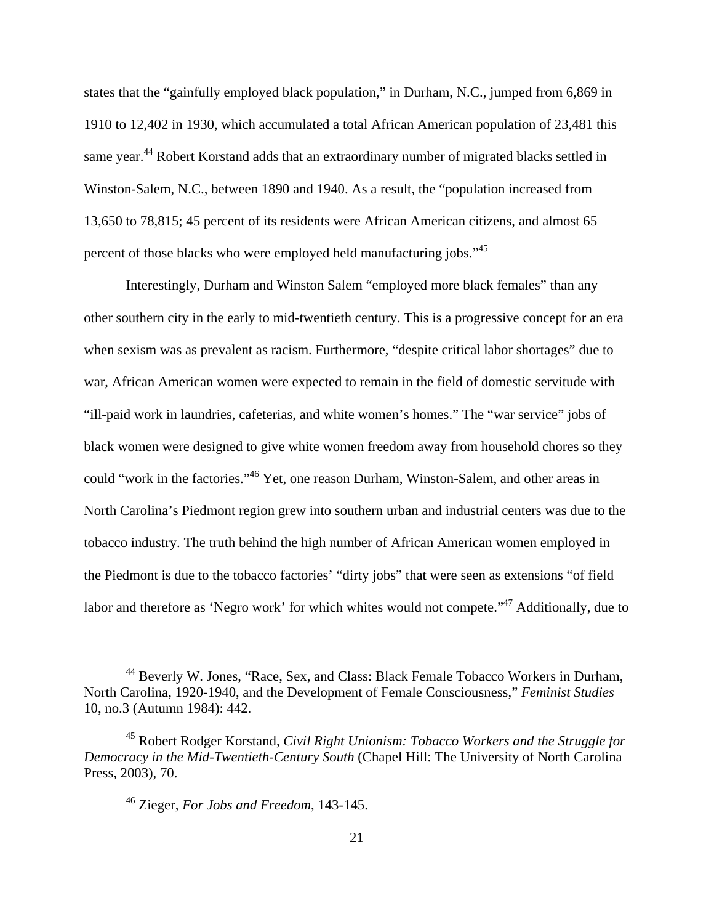states that the "gainfully employed black population," in Durham, N.C., jumped from 6,869 in 1910 to 12,402 in 1930, which accumulated a total African American population of 23,481 this same year.<sup>44</sup> Robert Korstand adds that an extraordinary number of migrated blacks settled in Winston-Salem, N.C., between 1890 and 1940. As a result, the "population increased from 13,650 to 78,815; 45 percent of its residents were African American citizens, and almost 65 percent of those blacks who were employed held manufacturing jobs."45

Interestingly, Durham and Winston Salem "employed more black females" than any other southern city in the early to mid-twentieth century. This is a progressive concept for an era when sexism was as prevalent as racism. Furthermore, "despite critical labor shortages" due to war, African American women were expected to remain in the field of domestic servitude with "ill-paid work in laundries, cafeterias, and white women's homes." The "war service" jobs of black women were designed to give white women freedom away from household chores so they could "work in the factories."46 Yet, one reason Durham, Winston-Salem, and other areas in North Carolina's Piedmont region grew into southern urban and industrial centers was due to the tobacco industry. The truth behind the high number of African American women employed in the Piedmont is due to the tobacco factories' "dirty jobs" that were seen as extensions "of field labor and therefore as 'Negro work' for which whites would not compete."<sup>47</sup> Additionally, due to

<sup>44</sup> Beverly W. Jones, "Race, Sex, and Class: Black Female Tobacco Workers in Durham, North Carolina, 1920-1940, and the Development of Female Consciousness," *Feminist Studies*  10, no.3 (Autumn 1984): 442.

<sup>45</sup> Robert Rodger Korstand, *Civil Right Unionism: Tobacco Workers and the Struggle for Democracy in the Mid-Twentieth-Century South* (Chapel Hill: The University of North Carolina Press, 2003), 70.

<sup>46</sup> Zieger, *For Jobs and Freedom*, 143-145.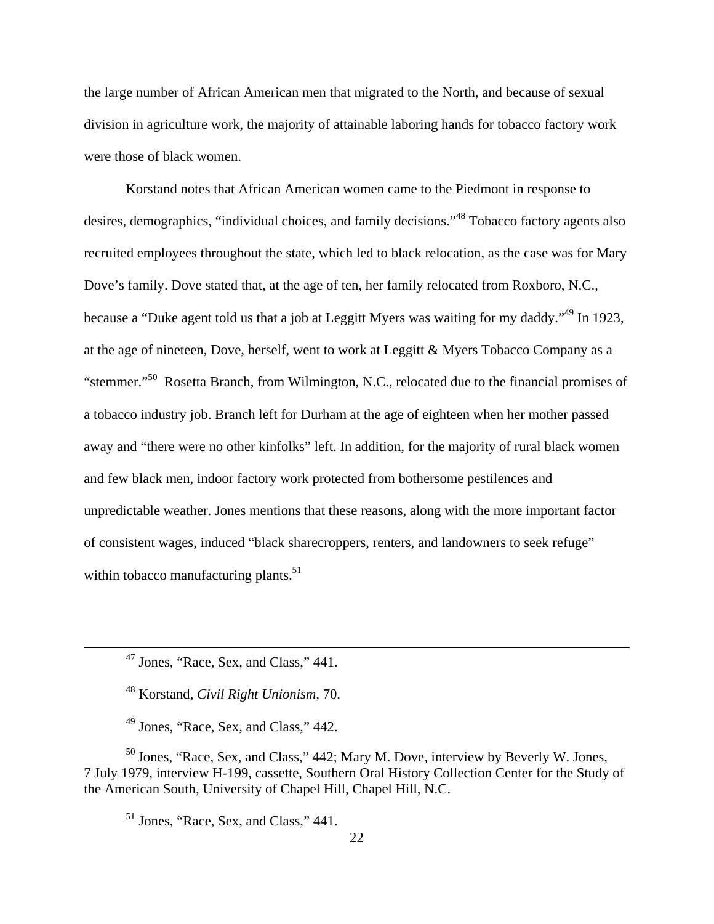the large number of African American men that migrated to the North, and because of sexual division in agriculture work, the majority of attainable laboring hands for tobacco factory work were those of black women.

Korstand notes that African American women came to the Piedmont in response to desires, demographics, "individual choices, and family decisions."48 Tobacco factory agents also recruited employees throughout the state, which led to black relocation, as the case was for Mary Dove's family. Dove stated that, at the age of ten, her family relocated from Roxboro, N.C., because a "Duke agent told us that a job at Leggitt Myers was waiting for my daddy."49 In 1923, at the age of nineteen, Dove, herself, went to work at Leggitt & Myers Tobacco Company as a "stemmer."50 Rosetta Branch, from Wilmington, N.C., relocated due to the financial promises of a tobacco industry job. Branch left for Durham at the age of eighteen when her mother passed away and "there were no other kinfolks" left. In addition, for the majority of rural black women and few black men, indoor factory work protected from bothersome pestilences and unpredictable weather. Jones mentions that these reasons, along with the more important factor of consistent wages, induced "black sharecroppers, renters, and landowners to seek refuge" within tobacco manufacturing plants.<sup>51</sup>

48 Korstand, *Civil Right Unionism,* 70.

49 Jones, "Race, Sex, and Class," 442.

<sup>50</sup> Jones, "Race, Sex, and Class," 442; Mary M. Dove, interview by Beverly W. Jones, 7 July 1979, interview H-199, cassette, Southern Oral History Collection Center for the Study of the American South, University of Chapel Hill, Chapel Hill, N.C.

 $<sup>51</sup>$  Jones, "Race, Sex, and Class," 441.</sup>

 47 Jones, "Race, Sex, and Class," 441.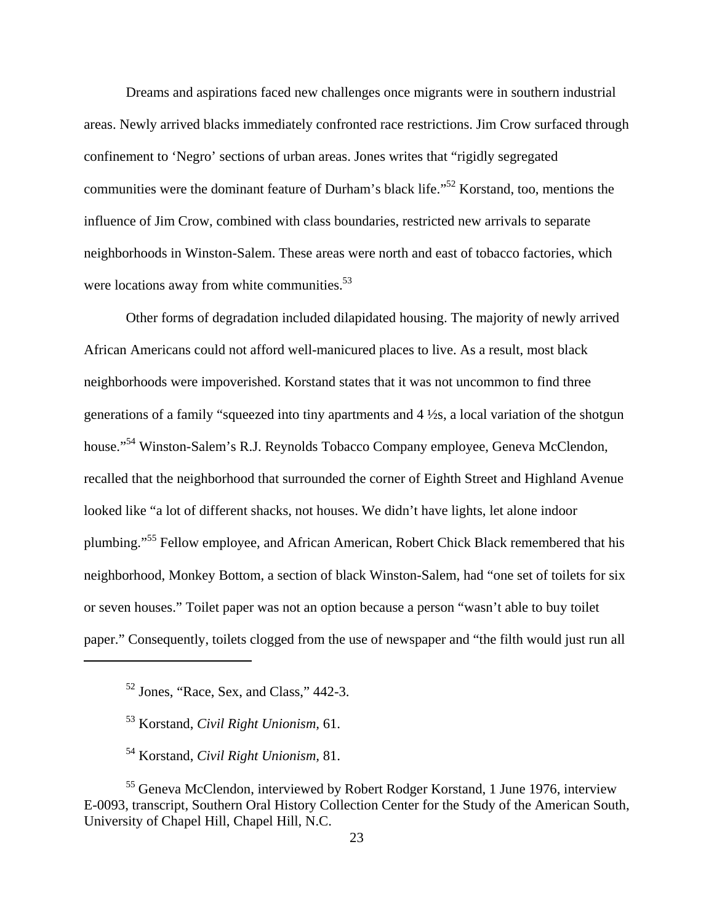Dreams and aspirations faced new challenges once migrants were in southern industrial areas. Newly arrived blacks immediately confronted race restrictions. Jim Crow surfaced through confinement to 'Negro' sections of urban areas. Jones writes that "rigidly segregated communities were the dominant feature of Durham's black life."52 Korstand, too, mentions the influence of Jim Crow, combined with class boundaries, restricted new arrivals to separate neighborhoods in Winston-Salem. These areas were north and east of tobacco factories, which were locations away from white communities. $53$ 

Other forms of degradation included dilapidated housing. The majority of newly arrived African Americans could not afford well-manicured places to live. As a result, most black neighborhoods were impoverished. Korstand states that it was not uncommon to find three generations of a family "squeezed into tiny apartments and 4 ½s, a local variation of the shotgun house."<sup>54</sup> Winston-Salem's R.J. Reynolds Tobacco Company employee, Geneva McClendon, recalled that the neighborhood that surrounded the corner of Eighth Street and Highland Avenue looked like "a lot of different shacks, not houses. We didn't have lights, let alone indoor plumbing."55 Fellow employee, and African American, Robert Chick Black remembered that his neighborhood, Monkey Bottom, a section of black Winston-Salem, had "one set of toilets for six or seven houses." Toilet paper was not an option because a person "wasn't able to buy toilet paper." Consequently, toilets clogged from the use of newspaper and "the filth would just run all

53 Korstand, *Civil Right Unionism,* 61.

54 Korstand, *Civil Right Unionism,* 81.

<sup>55</sup> Geneva McClendon, interviewed by Robert Rodger Korstand, 1 June 1976, interview E-0093, transcript, Southern Oral History Collection Center for the Study of the American South, University of Chapel Hill, Chapel Hill, N.C.

<sup>52</sup> Jones, "Race, Sex, and Class," 442-3.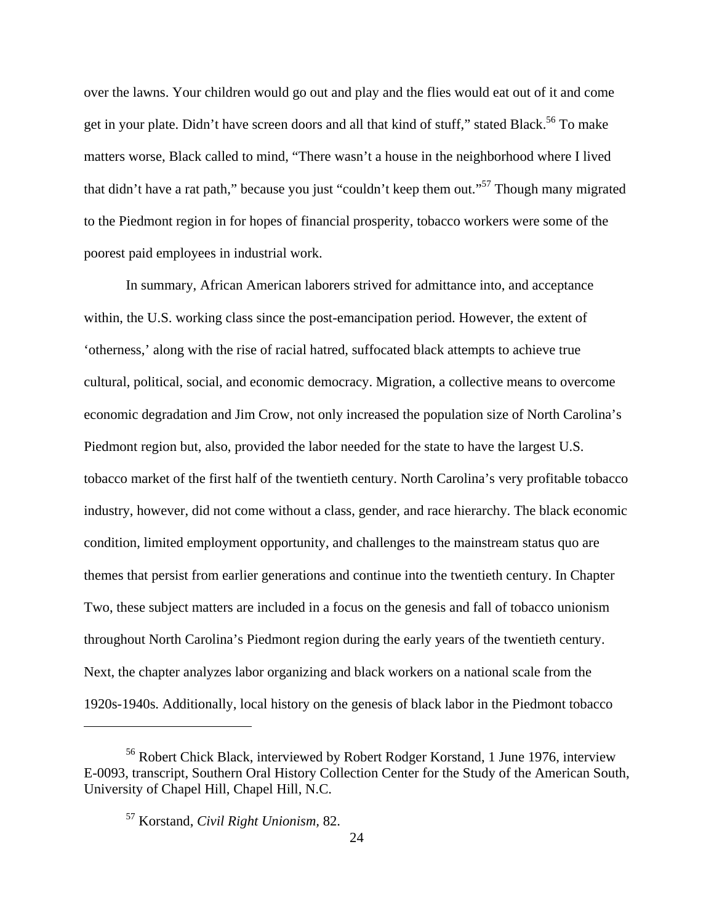over the lawns. Your children would go out and play and the flies would eat out of it and come get in your plate. Didn't have screen doors and all that kind of stuff," stated Black.<sup>56</sup> To make matters worse, Black called to mind, "There wasn't a house in the neighborhood where I lived that didn't have a rat path," because you just "couldn't keep them out."57 Though many migrated to the Piedmont region in for hopes of financial prosperity, tobacco workers were some of the poorest paid employees in industrial work.

In summary, African American laborers strived for admittance into, and acceptance within, the U.S. working class since the post-emancipation period. However, the extent of 'otherness,' along with the rise of racial hatred, suffocated black attempts to achieve true cultural, political, social, and economic democracy. Migration, a collective means to overcome economic degradation and Jim Crow, not only increased the population size of North Carolina's Piedmont region but, also, provided the labor needed for the state to have the largest U.S. tobacco market of the first half of the twentieth century. North Carolina's very profitable tobacco industry, however, did not come without a class, gender, and race hierarchy. The black economic condition, limited employment opportunity, and challenges to the mainstream status quo are themes that persist from earlier generations and continue into the twentieth century. In Chapter Two, these subject matters are included in a focus on the genesis and fall of tobacco unionism throughout North Carolina's Piedmont region during the early years of the twentieth century. Next, the chapter analyzes labor organizing and black workers on a national scale from the 1920s-1940s. Additionally, local history on the genesis of black labor in the Piedmont tobacco

<sup>56</sup> Robert Chick Black, interviewed by Robert Rodger Korstand, 1 June 1976, interview E-0093, transcript, Southern Oral History Collection Center for the Study of the American South, University of Chapel Hill, Chapel Hill, N.C.

<sup>57</sup> Korstand, *Civil Right Unionism,* 82.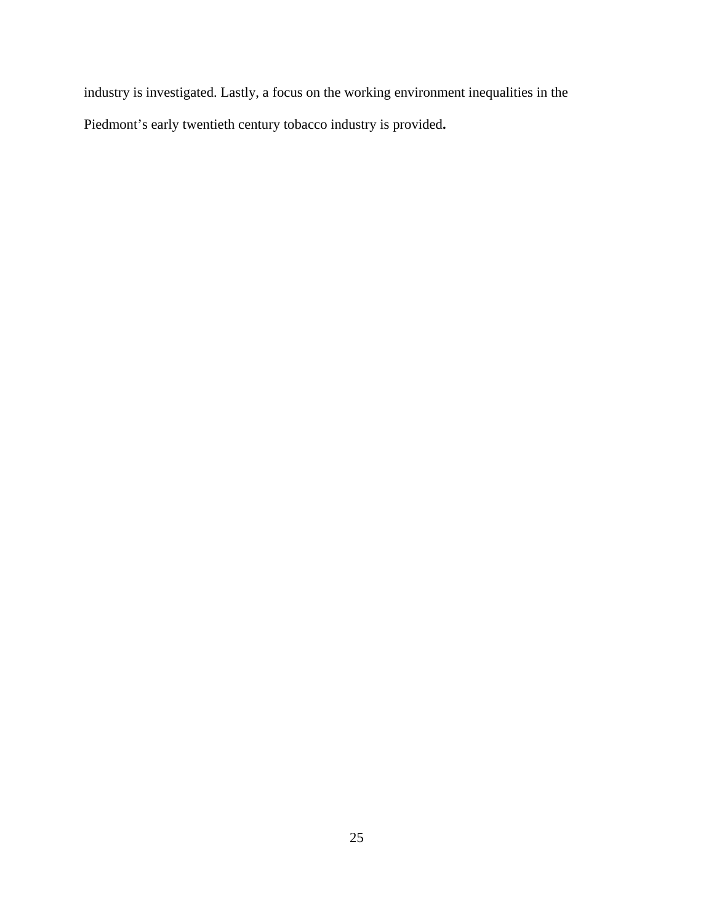industry is investigated. Lastly, a focus on the working environment inequalities in the Piedmont's early twentieth century tobacco industry is provided**.**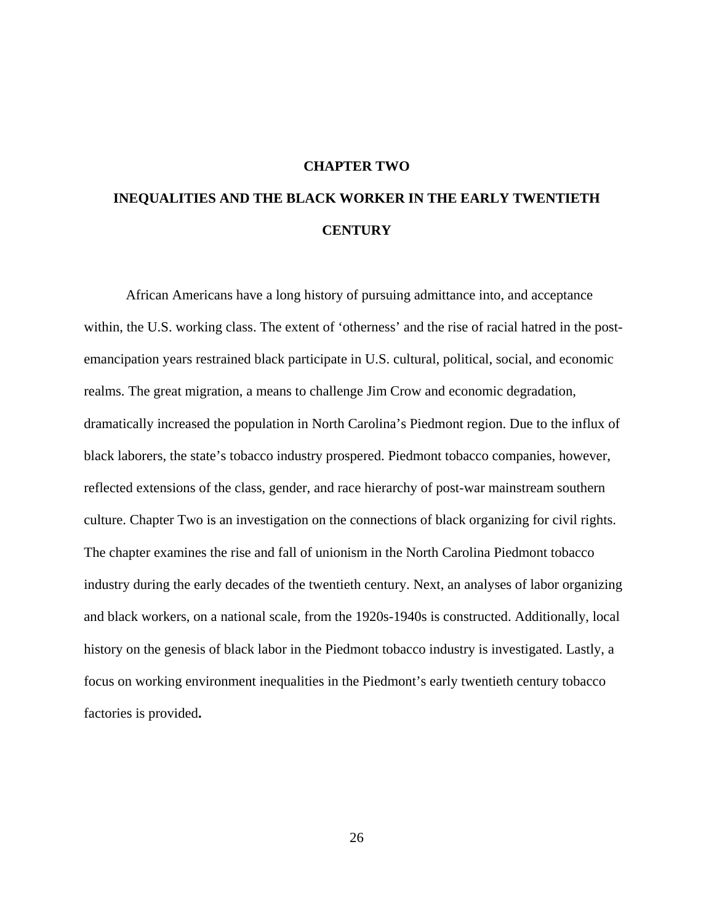#### **CHAPTER TWO**

# **INEQUALITIES AND THE BLACK WORKER IN THE EARLY TWENTIETH CENTURY**

African Americans have a long history of pursuing admittance into, and acceptance within, the U.S. working class. The extent of 'otherness' and the rise of racial hatred in the postemancipation years restrained black participate in U.S. cultural, political, social, and economic realms. The great migration, a means to challenge Jim Crow and economic degradation, dramatically increased the population in North Carolina's Piedmont region. Due to the influx of black laborers, the state's tobacco industry prospered. Piedmont tobacco companies, however, reflected extensions of the class, gender, and race hierarchy of post-war mainstream southern culture. Chapter Two is an investigation on the connections of black organizing for civil rights. The chapter examines the rise and fall of unionism in the North Carolina Piedmont tobacco industry during the early decades of the twentieth century. Next, an analyses of labor organizing and black workers, on a national scale, from the 1920s-1940s is constructed. Additionally, local history on the genesis of black labor in the Piedmont tobacco industry is investigated. Lastly, a focus on working environment inequalities in the Piedmont's early twentieth century tobacco factories is provided**.**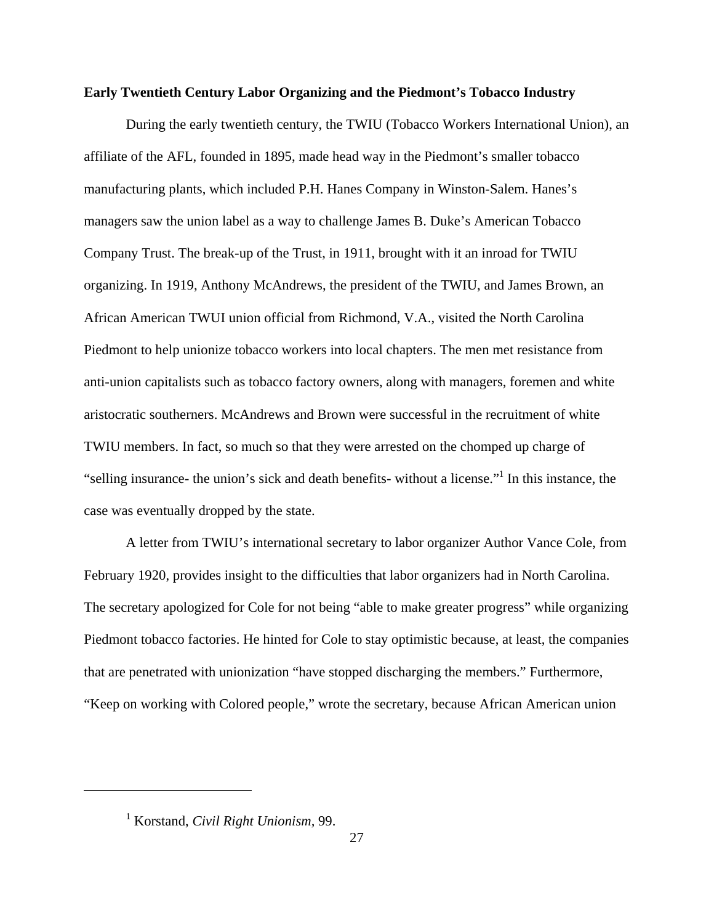### **Early Twentieth Century Labor Organizing and the Piedmont's Tobacco Industry**

During the early twentieth century, the TWIU (Tobacco Workers International Union), an affiliate of the AFL, founded in 1895, made head way in the Piedmont's smaller tobacco manufacturing plants, which included P.H. Hanes Company in Winston-Salem. Hanes's managers saw the union label as a way to challenge James B. Duke's American Tobacco Company Trust. The break-up of the Trust, in 1911, brought with it an inroad for TWIU organizing. In 1919, Anthony McAndrews, the president of the TWIU, and James Brown, an African American TWUI union official from Richmond, V.A., visited the North Carolina Piedmont to help unionize tobacco workers into local chapters. The men met resistance from anti-union capitalists such as tobacco factory owners, along with managers, foremen and white aristocratic southerners. McAndrews and Brown were successful in the recruitment of white TWIU members. In fact, so much so that they were arrested on the chomped up charge of "selling insurance- the union's sick and death benefits- without a license."<sup>1</sup> In this instance, the case was eventually dropped by the state.

A letter from TWIU's international secretary to labor organizer Author Vance Cole, from February 1920, provides insight to the difficulties that labor organizers had in North Carolina. The secretary apologized for Cole for not being "able to make greater progress" while organizing Piedmont tobacco factories. He hinted for Cole to stay optimistic because, at least, the companies that are penetrated with unionization "have stopped discharging the members." Furthermore, "Keep on working with Colored people," wrote the secretary, because African American union

<sup>1</sup> Korstand, *Civil Right Unionism,* 99.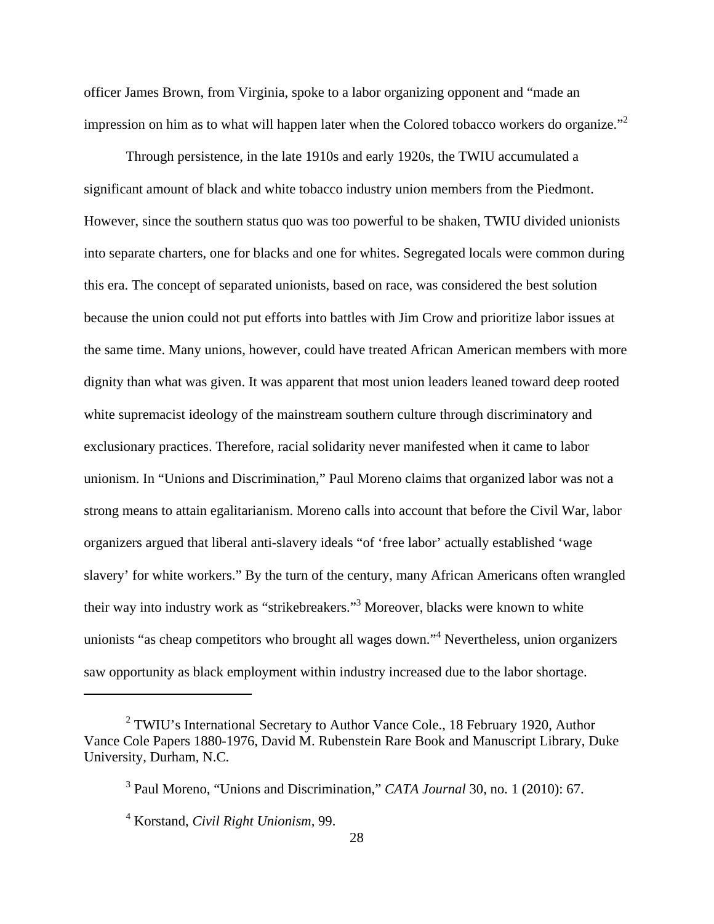officer James Brown, from Virginia, spoke to a labor organizing opponent and "made an impression on him as to what will happen later when the Colored tobacco workers do organize."<sup>2</sup>

Through persistence, in the late 1910s and early 1920s, the TWIU accumulated a significant amount of black and white tobacco industry union members from the Piedmont. However, since the southern status quo was too powerful to be shaken, TWIU divided unionists into separate charters, one for blacks and one for whites. Segregated locals were common during this era. The concept of separated unionists, based on race, was considered the best solution because the union could not put efforts into battles with Jim Crow and prioritize labor issues at the same time. Many unions, however, could have treated African American members with more dignity than what was given. It was apparent that most union leaders leaned toward deep rooted white supremacist ideology of the mainstream southern culture through discriminatory and exclusionary practices. Therefore, racial solidarity never manifested when it came to labor unionism. In "Unions and Discrimination," Paul Moreno claims that organized labor was not a strong means to attain egalitarianism. Moreno calls into account that before the Civil War, labor organizers argued that liberal anti-slavery ideals "of 'free labor' actually established 'wage slavery' for white workers." By the turn of the century, many African Americans often wrangled their way into industry work as "strikebreakers."<sup>3</sup> Moreover, blacks were known to white unionists "as cheap competitors who brought all wages down."<sup>4</sup> Nevertheless, union organizers saw opportunity as black employment within industry increased due to the labor shortage.

<sup>&</sup>lt;sup>2</sup> TWIU's International Secretary to Author Vance Cole., 18 February 1920, Author Vance Cole Papers 1880-1976, David M. Rubenstein Rare Book and Manuscript Library, Duke University, Durham, N.C.

<sup>3</sup> Paul Moreno, "Unions and Discrimination," *CATA Journal* 30, no. 1 (2010): 67.

<sup>4</sup> Korstand, *Civil Right Unionism,* 99.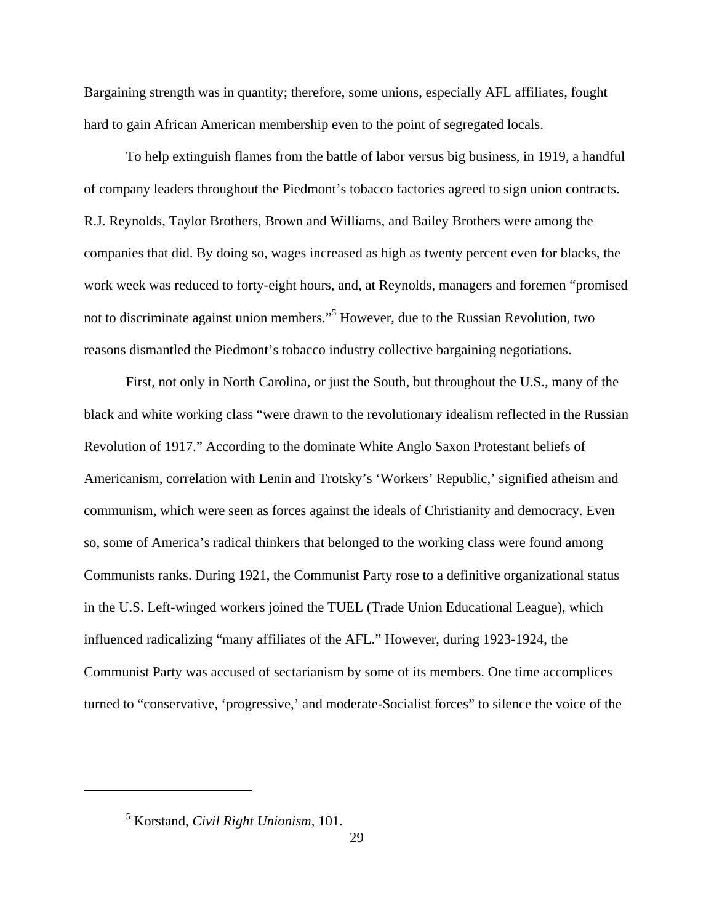Bargaining strength was in quantity; therefore, some unions, especially AFL affiliates, fought hard to gain African American membership even to the point of segregated locals.

To help extinguish flames from the battle of labor versus big business, in 1919, a handful of company leaders throughout the Piedmont's tobacco factories agreed to sign union contracts. R.J. Reynolds, Taylor Brothers, Brown and Williams, and Bailey Brothers were among the companies that did. By doing so, wages increased as high as twenty percent even for blacks, the work week was reduced to forty-eight hours, and, at Reynolds, managers and foremen "promised not to discriminate against union members."<sup>5</sup> However, due to the Russian Revolution, two reasons dismantled the Piedmont's tobacco industry collective bargaining negotiations.

First, not only in North Carolina, or just the South, but throughout the U.S., many of the black and white working class "were drawn to the revolutionary idealism reflected in the Russian Revolution of 1917." According to the dominate White Anglo Saxon Protestant beliefs of Americanism, correlation with Lenin and Trotsky's 'Workers' Republic,' signified atheism and communism, which were seen as forces against the ideals of Christianity and democracy. Even so, some of America's radical thinkers that belonged to the working class were found among Communists ranks. During 1921, the Communist Party rose to a definitive organizational status in the U.S. Left-winged workers joined the TUEL (Trade Union Educational League), which influenced radicalizing "many affiliates of the AFL." However, during 1923-1924, the Communist Party was accused of sectarianism by some of its members. One time accomplices turned to "conservative, 'progressive,' and moderate-Socialist forces" to silence the voice of the

<sup>5</sup> Korstand, *Civil Right Unionism,* 101.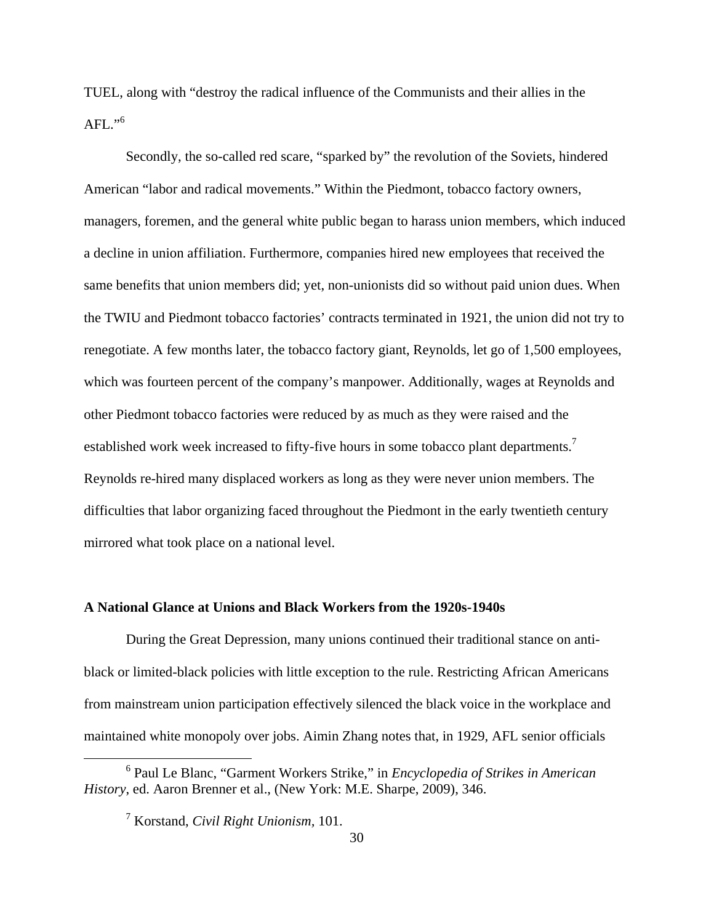TUEL, along with "destroy the radical influence of the Communists and their allies in the AFL." $^{\rm 6}$ 

Secondly, the so-called red scare, "sparked by" the revolution of the Soviets, hindered American "labor and radical movements." Within the Piedmont, tobacco factory owners, managers, foremen, and the general white public began to harass union members, which induced a decline in union affiliation. Furthermore, companies hired new employees that received the same benefits that union members did; yet, non-unionists did so without paid union dues. When the TWIU and Piedmont tobacco factories' contracts terminated in 1921, the union did not try to renegotiate. A few months later, the tobacco factory giant, Reynolds, let go of 1,500 employees, which was fourteen percent of the company's manpower. Additionally, wages at Reynolds and other Piedmont tobacco factories were reduced by as much as they were raised and the established work week increased to fifty-five hours in some tobacco plant departments.<sup>7</sup> Reynolds re-hired many displaced workers as long as they were never union members. The difficulties that labor organizing faced throughout the Piedmont in the early twentieth century mirrored what took place on a national level.

# **A National Glance at Unions and Black Workers from the 1920s-1940s**

 During the Great Depression, many unions continued their traditional stance on antiblack or limited-black policies with little exception to the rule. Restricting African Americans from mainstream union participation effectively silenced the black voice in the workplace and maintained white monopoly over jobs. Aimin Zhang notes that, in 1929, AFL senior officials

 <sup>6</sup> Paul Le Blanc, "Garment Workers Strike," in *Encyclopedia of Strikes in American History*, ed. Aaron Brenner et al., (New York: M.E. Sharpe, 2009), 346.

<sup>7</sup> Korstand, *Civil Right Unionism,* 101.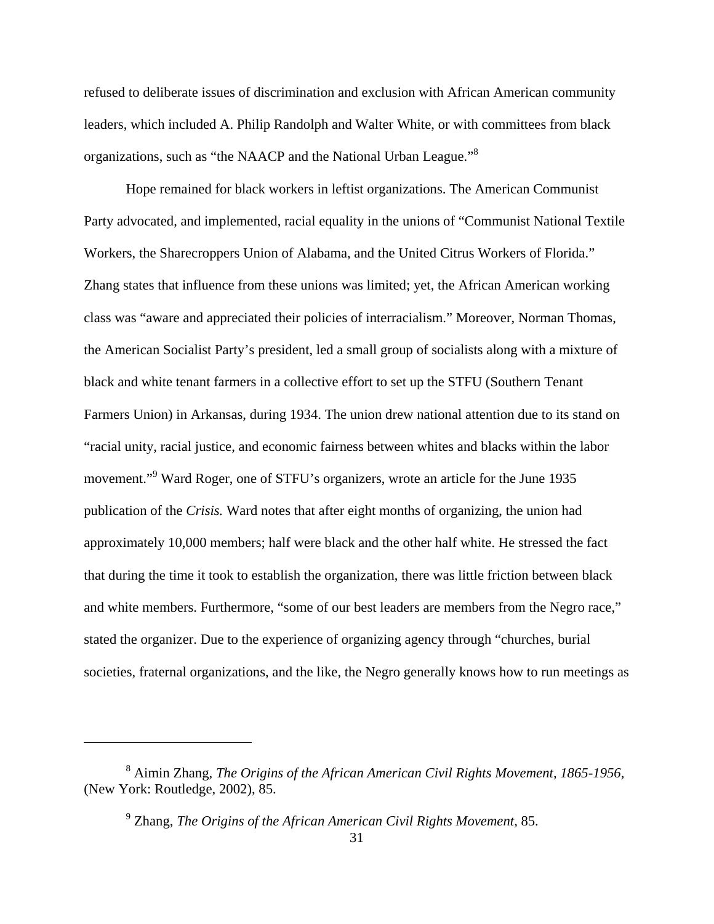refused to deliberate issues of discrimination and exclusion with African American community leaders, which included A. Philip Randolph and Walter White, or with committees from black organizations, such as "the NAACP and the National Urban League."<sup>8</sup>

Hope remained for black workers in leftist organizations. The American Communist Party advocated, and implemented, racial equality in the unions of "Communist National Textile Workers, the Sharecroppers Union of Alabama, and the United Citrus Workers of Florida." Zhang states that influence from these unions was limited; yet, the African American working class was "aware and appreciated their policies of interracialism." Moreover, Norman Thomas, the American Socialist Party's president, led a small group of socialists along with a mixture of black and white tenant farmers in a collective effort to set up the STFU (Southern Tenant Farmers Union) in Arkansas, during 1934. The union drew national attention due to its stand on "racial unity, racial justice, and economic fairness between whites and blacks within the labor movement."<sup>9</sup> Ward Roger, one of STFU's organizers, wrote an article for the June 1935 publication of the *Crisis.* Ward notes that after eight months of organizing, the union had approximately 10,000 members; half were black and the other half white. He stressed the fact that during the time it took to establish the organization, there was little friction between black and white members. Furthermore, "some of our best leaders are members from the Negro race," stated the organizer. Due to the experience of organizing agency through "churches, burial societies, fraternal organizations, and the like, the Negro generally knows how to run meetings as

<sup>8</sup> Aimin Zhang, *The Origins of the African American Civil Rights Movement, 1865-1956,* (New York: Routledge, 2002), 85.

<sup>9</sup> Zhang, *The Origins of the African American Civil Rights Movement,* 85.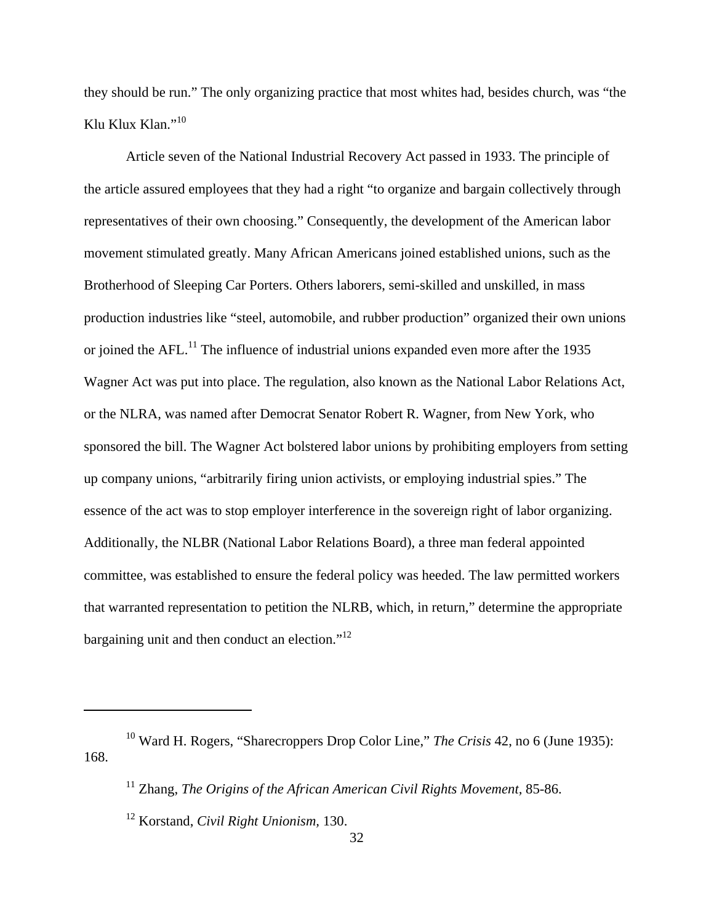they should be run." The only organizing practice that most whites had, besides church, was "the Klu Klux Klan."<sup>10</sup>

 Article seven of the National Industrial Recovery Act passed in 1933. The principle of the article assured employees that they had a right "to organize and bargain collectively through representatives of their own choosing." Consequently, the development of the American labor movement stimulated greatly. Many African Americans joined established unions, such as the Brotherhood of Sleeping Car Porters. Others laborers, semi-skilled and unskilled, in mass production industries like "steel, automobile, and rubber production" organized their own unions or joined the AFL.<sup>11</sup> The influence of industrial unions expanded even more after the 1935 Wagner Act was put into place. The regulation, also known as the National Labor Relations Act, or the NLRA, was named after Democrat Senator Robert R. Wagner, from New York, who sponsored the bill. The Wagner Act bolstered labor unions by prohibiting employers from setting up company unions, "arbitrarily firing union activists, or employing industrial spies." The essence of the act was to stop employer interference in the sovereign right of labor organizing. Additionally, the NLBR (National Labor Relations Board), a three man federal appointed committee, was established to ensure the federal policy was heeded. The law permitted workers that warranted representation to petition the NLRB, which, in return," determine the appropriate bargaining unit and then conduct an election."<sup>12</sup>

<sup>10</sup> Ward H. Rogers, "Sharecroppers Drop Color Line," *The Crisis* 42, no 6 (June 1935): 168.

<sup>11</sup> Zhang, *The Origins of the African American Civil Rights Movement,* 85-86.

<sup>12</sup> Korstand, *Civil Right Unionism,* 130.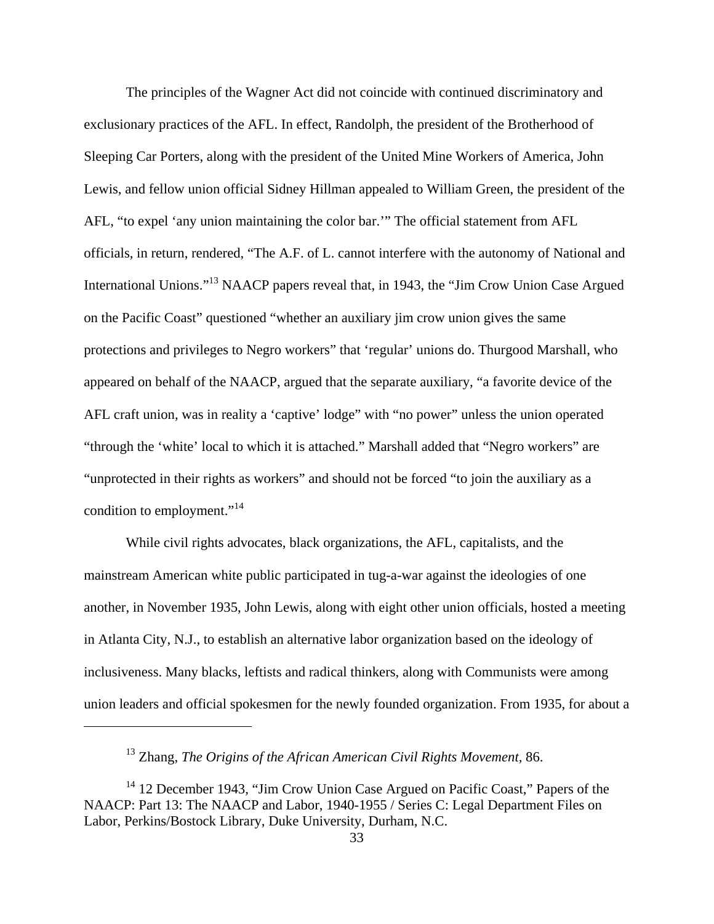The principles of the Wagner Act did not coincide with continued discriminatory and exclusionary practices of the AFL. In effect, Randolph, the president of the Brotherhood of Sleeping Car Porters, along with the president of the United Mine Workers of America, John Lewis, and fellow union official Sidney Hillman appealed to William Green, the president of the AFL, "to expel 'any union maintaining the color bar.'" The official statement from AFL officials, in return, rendered, "The A.F. of L. cannot interfere with the autonomy of National and International Unions."13 NAACP papers reveal that, in 1943, the "Jim Crow Union Case Argued on the Pacific Coast" questioned "whether an auxiliary jim crow union gives the same protections and privileges to Negro workers" that 'regular' unions do. Thurgood Marshall, who appeared on behalf of the NAACP, argued that the separate auxiliary, "a favorite device of the AFL craft union, was in reality a 'captive' lodge" with "no power" unless the union operated "through the 'white' local to which it is attached." Marshall added that "Negro workers" are "unprotected in their rights as workers" and should not be forced "to join the auxiliary as a condition to employment."<sup>14</sup>

While civil rights advocates, black organizations, the AFL, capitalists, and the mainstream American white public participated in tug-a-war against the ideologies of one another, in November 1935, John Lewis, along with eight other union officials, hosted a meeting in Atlanta City, N.J., to establish an alternative labor organization based on the ideology of inclusiveness. Many blacks, leftists and radical thinkers, along with Communists were among union leaders and official spokesmen for the newly founded organization. From 1935, for about a

<sup>13</sup> Zhang, *The Origins of the African American Civil Rights Movement,* 86.

<sup>&</sup>lt;sup>14</sup> 12 December 1943, "Jim Crow Union Case Argued on Pacific Coast," Papers of the NAACP: Part 13: The NAACP and Labor, 1940-1955 / Series C: Legal Department Files on Labor, Perkins/Bostock Library, Duke University, Durham, N.C.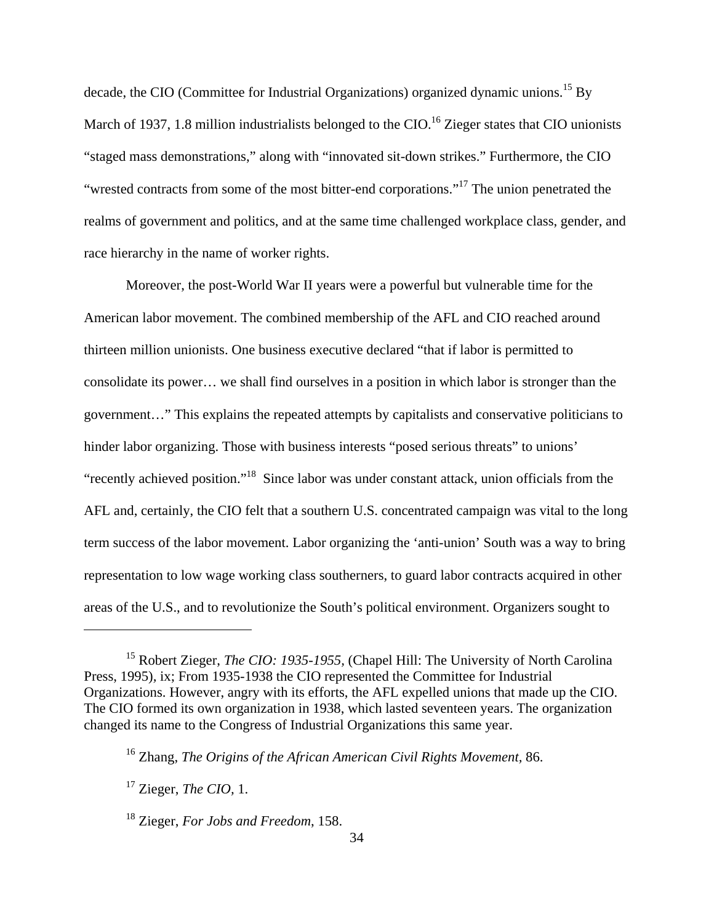decade, the CIO (Committee for Industrial Organizations) organized dynamic unions.<sup>15</sup> By March of 1937, 1.8 million industrialists belonged to the CIO.<sup>16</sup> Zieger states that CIO unionists "staged mass demonstrations," along with "innovated sit-down strikes." Furthermore, the CIO "wrested contracts from some of the most bitter-end corporations."17 The union penetrated the realms of government and politics, and at the same time challenged workplace class, gender, and race hierarchy in the name of worker rights.

Moreover, the post-World War II years were a powerful but vulnerable time for the American labor movement. The combined membership of the AFL and CIO reached around thirteen million unionists. One business executive declared "that if labor is permitted to consolidate its power… we shall find ourselves in a position in which labor is stronger than the government…" This explains the repeated attempts by capitalists and conservative politicians to hinder labor organizing. Those with business interests "posed serious threats" to unions' "recently achieved position."18 Since labor was under constant attack, union officials from the AFL and, certainly, the CIO felt that a southern U.S. concentrated campaign was vital to the long term success of the labor movement. Labor organizing the 'anti-union' South was a way to bring representation to low wage working class southerners, to guard labor contracts acquired in other areas of the U.S., and to revolutionize the South's political environment. Organizers sought to

<sup>&</sup>lt;sup>15</sup> Robert Zieger, *The CIO: 1935-1955*, (Chapel Hill: The University of North Carolina Press, 1995)*,* ix; From 1935-1938 the CIO represented the Committee for Industrial Organizations. However, angry with its efforts, the AFL expelled unions that made up the CIO. The CIO formed its own organization in 1938, which lasted seventeen years. The organization changed its name to the Congress of Industrial Organizations this same year.

<sup>16</sup> Zhang, *The Origins of the African American Civil Rights Movement,* 86.

<sup>17</sup> Zieger, *The CIO,* 1.

<sup>18</sup> Zieger, *For Jobs and Freedom*, 158.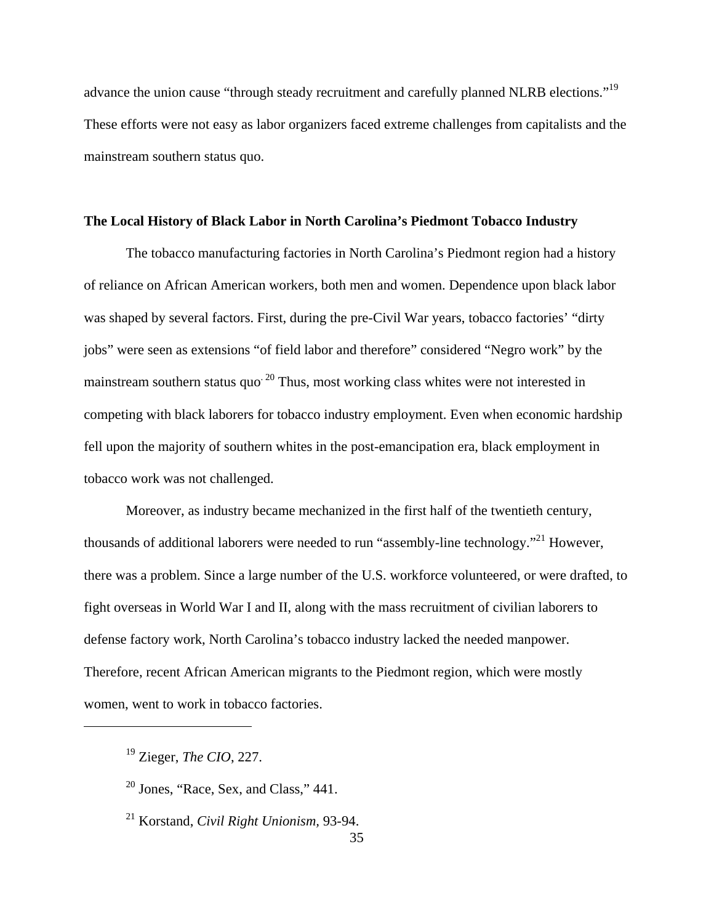advance the union cause "through steady recruitment and carefully planned NLRB elections."<sup>19</sup> These efforts were not easy as labor organizers faced extreme challenges from capitalists and the mainstream southern status quo.

## **The Local History of Black Labor in North Carolina's Piedmont Tobacco Industry**

The tobacco manufacturing factories in North Carolina's Piedmont region had a history of reliance on African American workers, both men and women. Dependence upon black labor was shaped by several factors. First, during the pre-Civil War years, tobacco factories' "dirty jobs" were seen as extensions "of field labor and therefore" considered "Negro work" by the mainstream southern status quo<sup>20</sup> Thus, most working class whites were not interested in competing with black laborers for tobacco industry employment. Even when economic hardship fell upon the majority of southern whites in the post-emancipation era, black employment in tobacco work was not challenged.

Moreover, as industry became mechanized in the first half of the twentieth century, thousands of additional laborers were needed to run "assembly-line technology."<sup>21</sup> However, there was a problem. Since a large number of the U.S. workforce volunteered, or were drafted, to fight overseas in World War I and II, along with the mass recruitment of civilian laborers to defense factory work, North Carolina's tobacco industry lacked the needed manpower. Therefore, recent African American migrants to the Piedmont region, which were mostly women, went to work in tobacco factories.

21 Korstand, *Civil Right Unionism,* 93-94.

<sup>19</sup> Zieger, *The CIO*, 227.

 $20$  Jones, "Race, Sex, and Class," 441.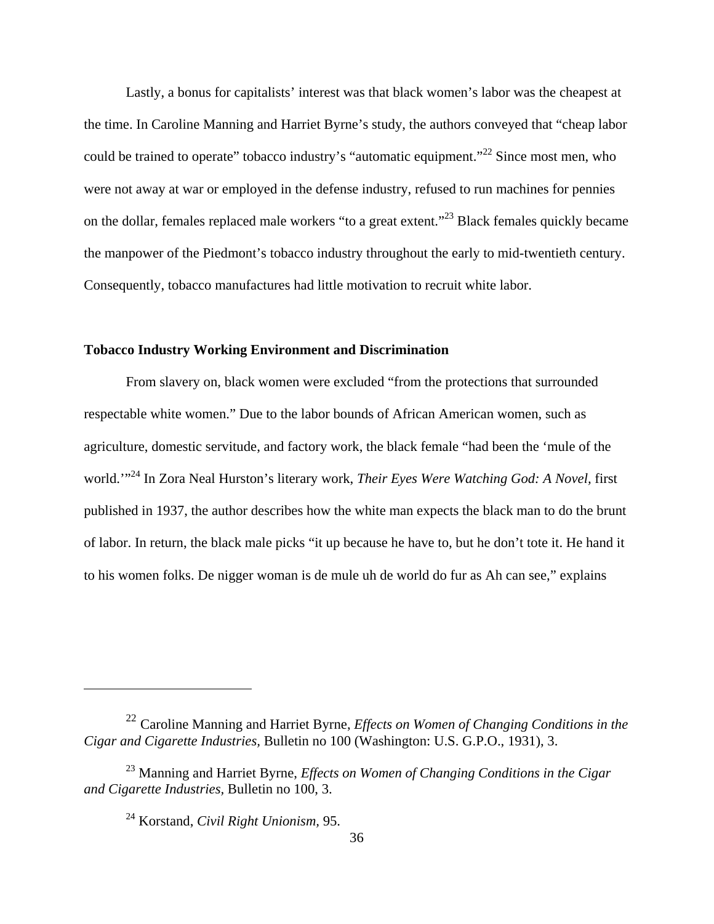Lastly, a bonus for capitalists' interest was that black women's labor was the cheapest at the time. In Caroline Manning and Harriet Byrne's study, the authors conveyed that "cheap labor could be trained to operate" tobacco industry's "automatic equipment."<sup>22</sup> Since most men, who were not away at war or employed in the defense industry, refused to run machines for pennies on the dollar, females replaced male workers "to a great extent."23 Black females quickly became the manpower of the Piedmont's tobacco industry throughout the early to mid-twentieth century. Consequently, tobacco manufactures had little motivation to recruit white labor.

### **Tobacco Industry Working Environment and Discrimination**

From slavery on, black women were excluded "from the protections that surrounded respectable white women." Due to the labor bounds of African American women, such as agriculture, domestic servitude, and factory work, the black female "had been the 'mule of the world.'"24 In Zora Neal Hurston's literary work, *Their Eyes Were Watching God: A Novel,* first published in 1937, the author describes how the white man expects the black man to do the brunt of labor. In return, the black male picks "it up because he have to, but he don't tote it. He hand it to his women folks. De nigger woman is de mule uh de world do fur as Ah can see," explains

<sup>22</sup> Caroline Manning and Harriet Byrne, *Effects on Women of Changing Conditions in the Cigar and Cigarette Industries,* Bulletin no 100 (Washington: U.S. G.P.O., 1931), 3.

<sup>23</sup> Manning and Harriet Byrne, *Effects on Women of Changing Conditions in the Cigar and Cigarette Industries,* Bulletin no 100, 3.

<sup>24</sup> Korstand, *Civil Right Unionism,* 95.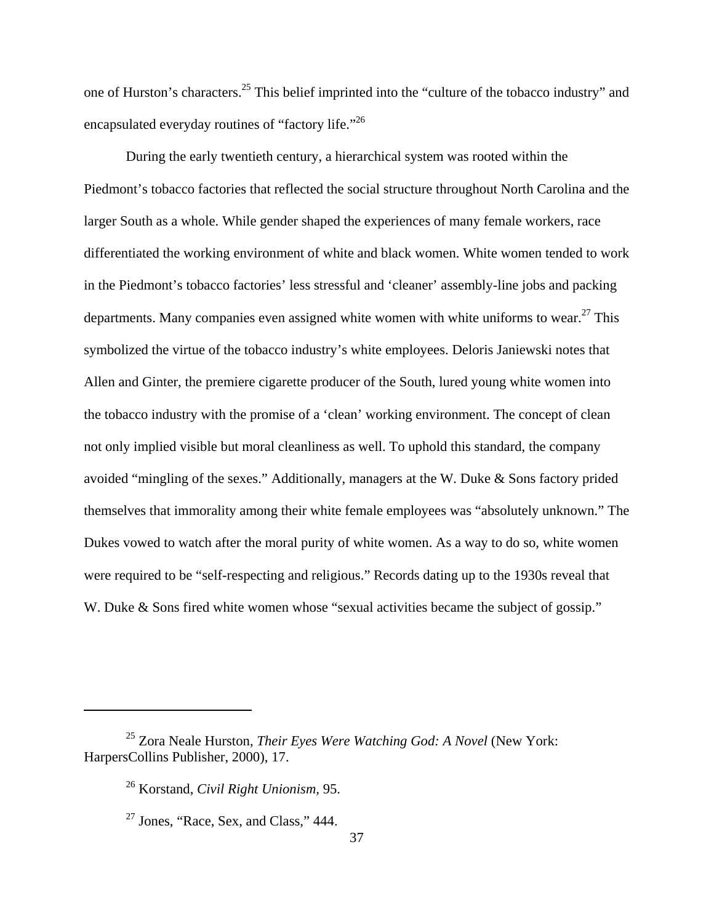one of Hurston's characters.25 This belief imprinted into the "culture of the tobacco industry" and encapsulated everyday routines of "factory life."<sup>26</sup>

During the early twentieth century, a hierarchical system was rooted within the Piedmont's tobacco factories that reflected the social structure throughout North Carolina and the larger South as a whole. While gender shaped the experiences of many female workers, race differentiated the working environment of white and black women. White women tended to work in the Piedmont's tobacco factories' less stressful and 'cleaner' assembly-line jobs and packing departments. Many companies even assigned white women with white uniforms to wear.<sup>27</sup> This symbolized the virtue of the tobacco industry's white employees. Deloris Janiewski notes that Allen and Ginter, the premiere cigarette producer of the South, lured young white women into the tobacco industry with the promise of a 'clean' working environment. The concept of clean not only implied visible but moral cleanliness as well. To uphold this standard, the company avoided "mingling of the sexes." Additionally, managers at the W. Duke & Sons factory prided themselves that immorality among their white female employees was "absolutely unknown." The Dukes vowed to watch after the moral purity of white women. As a way to do so, white women were required to be "self-respecting and religious." Records dating up to the 1930s reveal that W. Duke & Sons fired white women whose "sexual activities became the subject of gossip."

<sup>25</sup> Zora Neale Hurston, *Their Eyes Were Watching God: A Novel* (New York: HarpersCollins Publisher, 2000), 17.

<sup>26</sup> Korstand, *Civil Right Unionism,* 95.

 $27$  Jones, "Race, Sex, and Class," 444.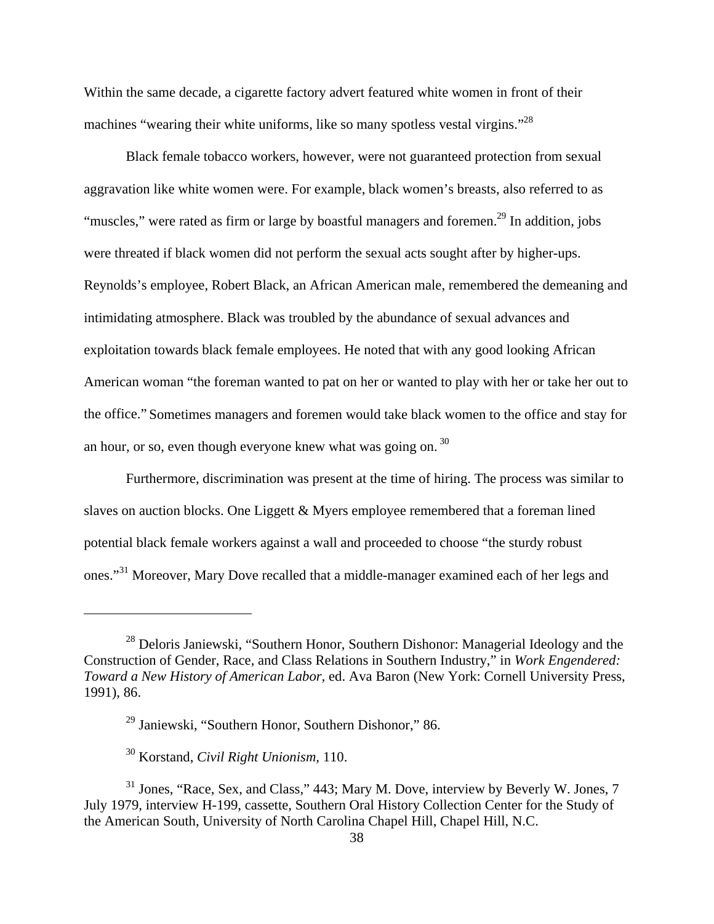Within the same decade, a cigarette factory advert featured white women in front of their machines "wearing their white uniforms, like so many spotless vestal virgins."<sup>28</sup>

Black female tobacco workers, however, were not guaranteed protection from sexual aggravation like white women were. For example, black women's breasts, also referred to as "muscles," were rated as firm or large by boastful managers and foremen.<sup>29</sup> In addition, jobs were threated if black women did not perform the sexual acts sought after by higher-ups. Reynolds's employee, Robert Black, an African American male, remembered the demeaning and intimidating atmosphere. Black was troubled by the abundance of sexual advances and exploitation towards black female employees. He noted that with any good looking African American woman "the foreman wanted to pat on her or wanted to play with her or take her out to the office." Sometimes managers and foremen would take black women to the office and stay for an hour, or so, even though everyone knew what was going on.  $30$ 

Furthermore, discrimination was present at the time of hiring. The process was similar to slaves on auction blocks. One Liggett & Myers employee remembered that a foreman lined potential black female workers against a wall and proceeded to choose "the sturdy robust ones."31 Moreover, Mary Dove recalled that a middle-manager examined each of her legs and

<sup>&</sup>lt;sup>28</sup> Deloris Janiewski, "Southern Honor, Southern Dishonor: Managerial Ideology and the Construction of Gender, Race, and Class Relations in Southern Industry," in *Work Engendered: Toward a New History of American Labor,* ed. Ava Baron (New York: Cornell University Press, 1991), 86.

<sup>29</sup> Janiewski, "Southern Honor, Southern Dishonor," 86.

<sup>30</sup> Korstand, *Civil Right Unionism,* 110.

<sup>&</sup>lt;sup>31</sup> Jones, "Race, Sex, and Class," 443; Mary M. Dove, interview by Beverly W. Jones, 7 July 1979, interview H-199, cassette, Southern Oral History Collection Center for the Study of the American South, University of North Carolina Chapel Hill, Chapel Hill, N.C.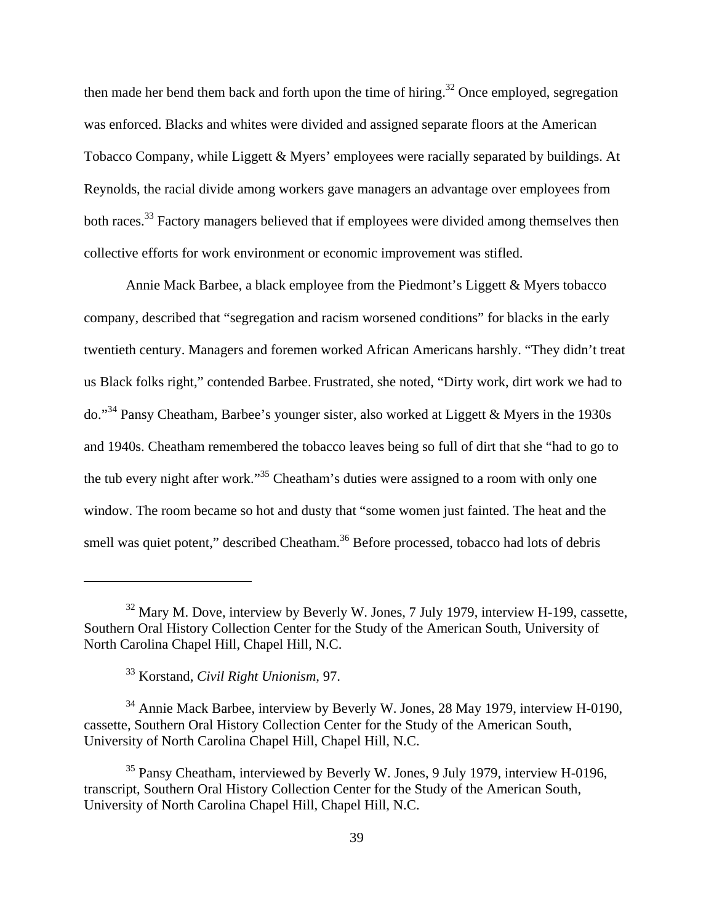then made her bend them back and forth upon the time of hiring.<sup>32</sup> Once employed, segregation was enforced. Blacks and whites were divided and assigned separate floors at the American Tobacco Company, while Liggett & Myers' employees were racially separated by buildings. At Reynolds, the racial divide among workers gave managers an advantage over employees from both races.<sup>33</sup> Factory managers believed that if employees were divided among themselves then collective efforts for work environment or economic improvement was stifled.

Annie Mack Barbee, a black employee from the Piedmont's Liggett & Myers tobacco company, described that "segregation and racism worsened conditions" for blacks in the early twentieth century. Managers and foremen worked African Americans harshly. "They didn't treat us Black folks right," contended Barbee. Frustrated, she noted, "Dirty work, dirt work we had to do."34 Pansy Cheatham, Barbee's younger sister, also worked at Liggett & Myers in the 1930s and 1940s. Cheatham remembered the tobacco leaves being so full of dirt that she "had to go to the tub every night after work."35 Cheatham's duties were assigned to a room with only one window. The room became so hot and dusty that "some women just fainted. The heat and the smell was quiet potent," described Cheatham.<sup>36</sup> Before processed, tobacco had lots of debris

 $32$  Mary M. Dove, interview by Beverly W. Jones, 7 July 1979, interview H-199, cassette, Southern Oral History Collection Center for the Study of the American South, University of North Carolina Chapel Hill, Chapel Hill, N.C.

<sup>33</sup> Korstand, *Civil Right Unionism,* 97.

<sup>34</sup> Annie Mack Barbee, interview by Beverly W. Jones, 28 May 1979, interview H-0190, cassette, Southern Oral History Collection Center for the Study of the American South, University of North Carolina Chapel Hill, Chapel Hill, N.C.

<sup>&</sup>lt;sup>35</sup> Pansy Cheatham, interviewed by Beverly W. Jones, 9 July 1979, interview H-0196, transcript, Southern Oral History Collection Center for the Study of the American South, University of North Carolina Chapel Hill, Chapel Hill, N.C.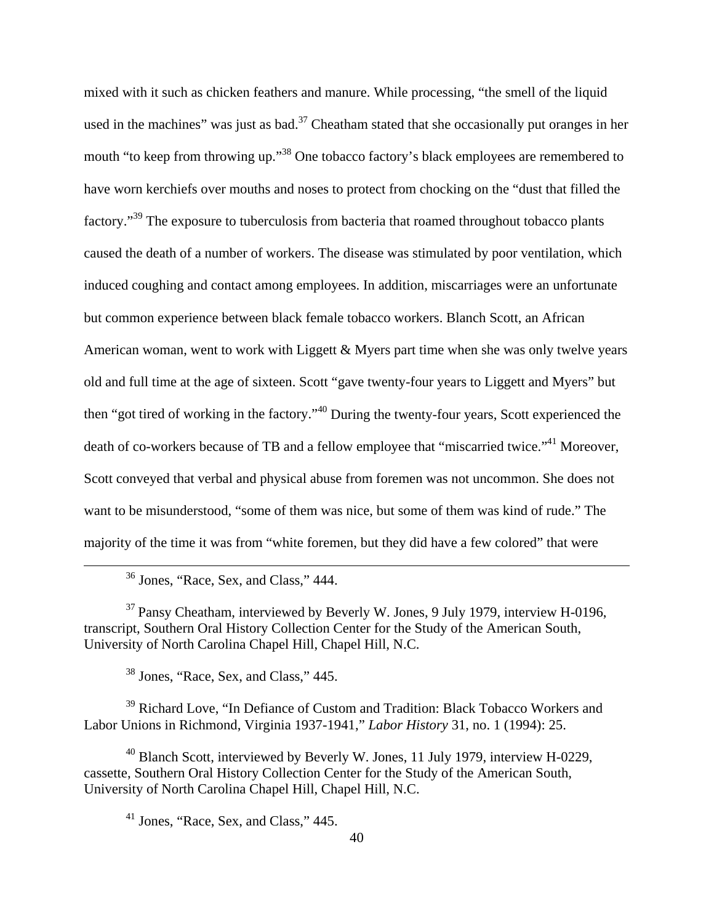mixed with it such as chicken feathers and manure. While processing, "the smell of the liquid used in the machines" was just as bad. $37$  Cheatham stated that she occasionally put oranges in her mouth "to keep from throwing up."<sup>38</sup> One tobacco factory's black employees are remembered to have worn kerchiefs over mouths and noses to protect from chocking on the "dust that filled the factory."<sup>39</sup> The exposure to tuberculosis from bacteria that roamed throughout tobacco plants caused the death of a number of workers. The disease was stimulated by poor ventilation, which induced coughing and contact among employees. In addition, miscarriages were an unfortunate but common experience between black female tobacco workers. Blanch Scott, an African American woman, went to work with Liggett & Myers part time when she was only twelve years old and full time at the age of sixteen. Scott "gave twenty-four years to Liggett and Myers" but then "got tired of working in the factory."40 During the twenty-four years, Scott experienced the death of co-workers because of TB and a fellow employee that "miscarried twice."<sup>41</sup> Moreover, Scott conveyed that verbal and physical abuse from foremen was not uncommon. She does not want to be misunderstood, "some of them was nice, but some of them was kind of rude." The majority of the time it was from "white foremen, but they did have a few colored" that were

36 Jones, "Race, Sex, and Class," 444.

 $37$  Pansy Cheatham, interviewed by Beverly W. Jones, 9 July 1979, interview H-0196, transcript, Southern Oral History Collection Center for the Study of the American South, University of North Carolina Chapel Hill, Chapel Hill, N.C.

38 Jones, "Race, Sex, and Class," 445.

<sup>39</sup> Richard Love, "In Defiance of Custom and Tradition: Black Tobacco Workers and Labor Unions in Richmond, Virginia 1937-1941," *Labor History* 31, no. 1 (1994): 25.

<sup>40</sup> Blanch Scott, interviewed by Beverly W. Jones, 11 July 1979, interview H-0229, cassette, Southern Oral History Collection Center for the Study of the American South, University of North Carolina Chapel Hill, Chapel Hill, N.C.

 $41$  Jones, "Race, Sex, and Class," 445.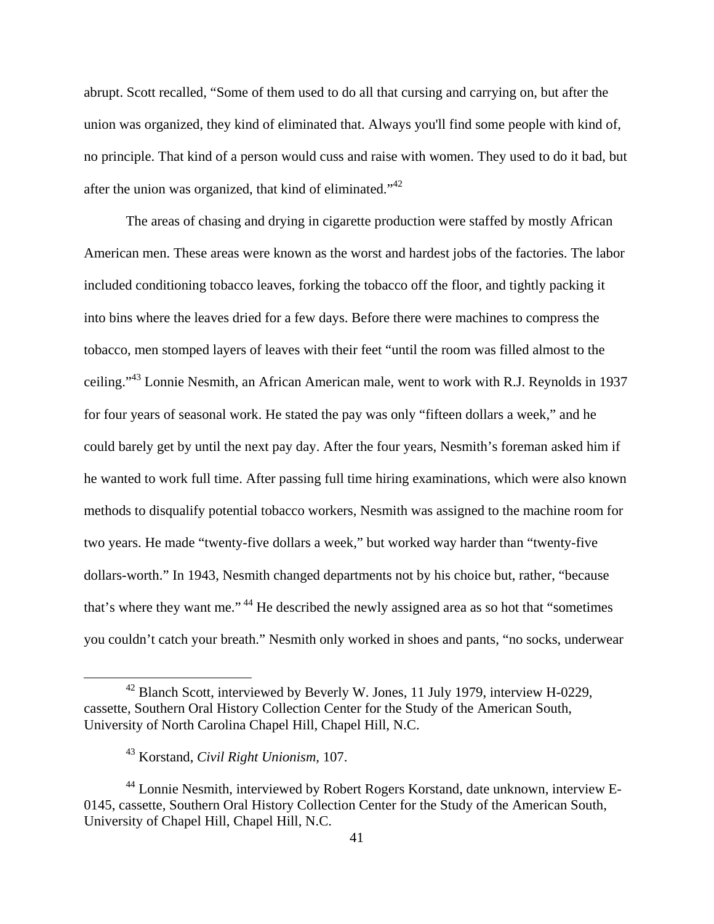abrupt. Scott recalled, "Some of them used to do all that cursing and carrying on, but after the union was organized, they kind of eliminated that. Always you'll find some people with kind of, no principle. That kind of a person would cuss and raise with women. They used to do it bad, but after the union was organized, that kind of eliminated."42

The areas of chasing and drying in cigarette production were staffed by mostly African American men. These areas were known as the worst and hardest jobs of the factories. The labor included conditioning tobacco leaves, forking the tobacco off the floor, and tightly packing it into bins where the leaves dried for a few days. Before there were machines to compress the tobacco, men stomped layers of leaves with their feet "until the room was filled almost to the ceiling."43 Lonnie Nesmith, an African American male, went to work with R.J. Reynolds in 1937 for four years of seasonal work. He stated the pay was only "fifteen dollars a week," and he could barely get by until the next pay day. After the four years, Nesmith's foreman asked him if he wanted to work full time. After passing full time hiring examinations, which were also known methods to disqualify potential tobacco workers, Nesmith was assigned to the machine room for two years. He made "twenty-five dollars a week," but worked way harder than "twenty-five dollars-worth." In 1943, Nesmith changed departments not by his choice but, rather, "because that's where they want me." 44 He described the newly assigned area as so hot that "sometimes you couldn't catch your breath." Nesmith only worked in shoes and pants, "no socks, underwear

<sup>&</sup>lt;sup>42</sup> Blanch Scott, interviewed by Beverly W. Jones, 11 July 1979, interview H-0229, cassette, Southern Oral History Collection Center for the Study of the American South, University of North Carolina Chapel Hill, Chapel Hill, N.C.

<sup>43</sup> Korstand, *Civil Right Unionism,* 107.

<sup>44</sup> Lonnie Nesmith, interviewed by Robert Rogers Korstand, date unknown, interview E-0145, cassette, Southern Oral History Collection Center for the Study of the American South, University of Chapel Hill, Chapel Hill, N.C.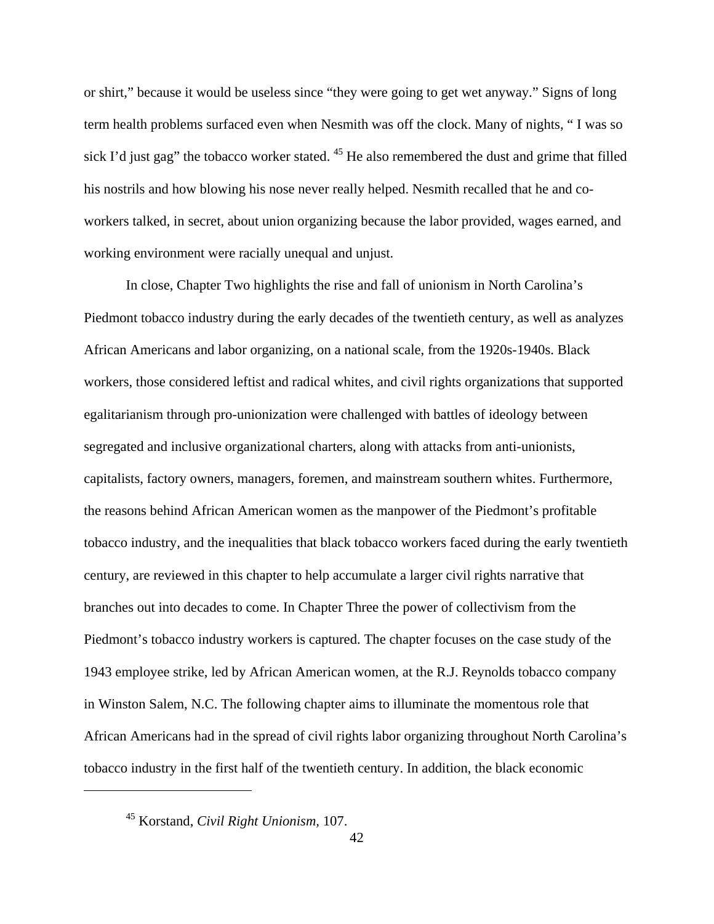or shirt," because it would be useless since "they were going to get wet anyway." Signs of long term health problems surfaced even when Nesmith was off the clock. Many of nights, " I was so sick I'd just gag" the tobacco worker stated.  $45$  He also remembered the dust and grime that filled his nostrils and how blowing his nose never really helped. Nesmith recalled that he and coworkers talked, in secret, about union organizing because the labor provided, wages earned, and working environment were racially unequal and unjust.

In close, Chapter Two highlights the rise and fall of unionism in North Carolina's Piedmont tobacco industry during the early decades of the twentieth century, as well as analyzes African Americans and labor organizing, on a national scale, from the 1920s-1940s. Black workers, those considered leftist and radical whites, and civil rights organizations that supported egalitarianism through pro-unionization were challenged with battles of ideology between segregated and inclusive organizational charters, along with attacks from anti-unionists, capitalists, factory owners, managers, foremen, and mainstream southern whites. Furthermore, the reasons behind African American women as the manpower of the Piedmont's profitable tobacco industry, and the inequalities that black tobacco workers faced during the early twentieth century, are reviewed in this chapter to help accumulate a larger civil rights narrative that branches out into decades to come. In Chapter Three the power of collectivism from the Piedmont's tobacco industry workers is captured. The chapter focuses on the case study of the 1943 employee strike, led by African American women, at the R.J. Reynolds tobacco company in Winston Salem, N.C. The following chapter aims to illuminate the momentous role that African Americans had in the spread of civil rights labor organizing throughout North Carolina's tobacco industry in the first half of the twentieth century. In addition, the black economic

<sup>45</sup> Korstand, *Civil Right Unionism,* 107.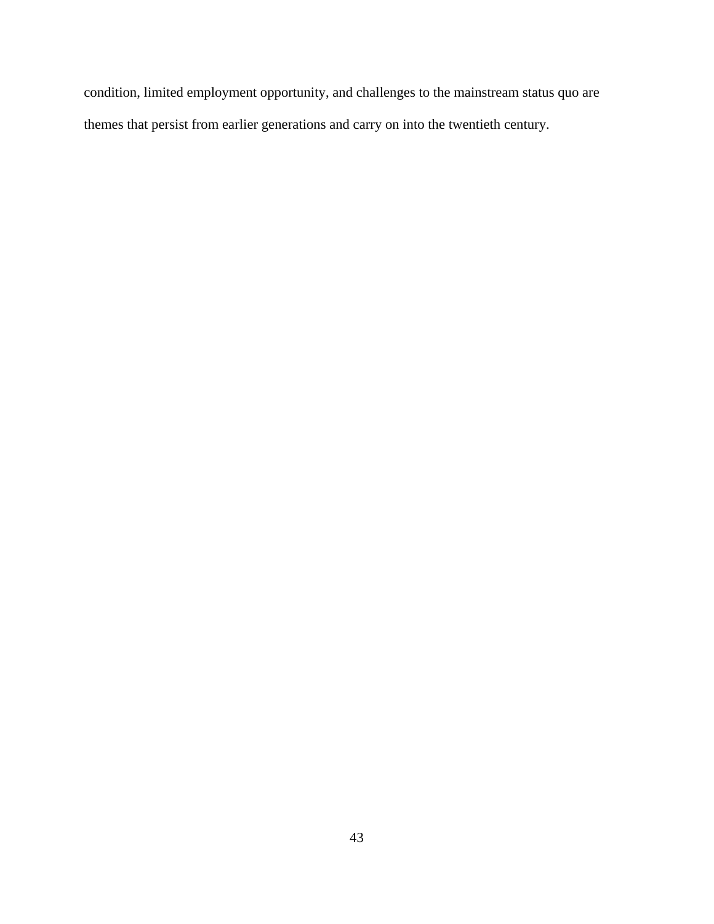condition, limited employment opportunity, and challenges to the mainstream status quo are themes that persist from earlier generations and carry on into the twentieth century.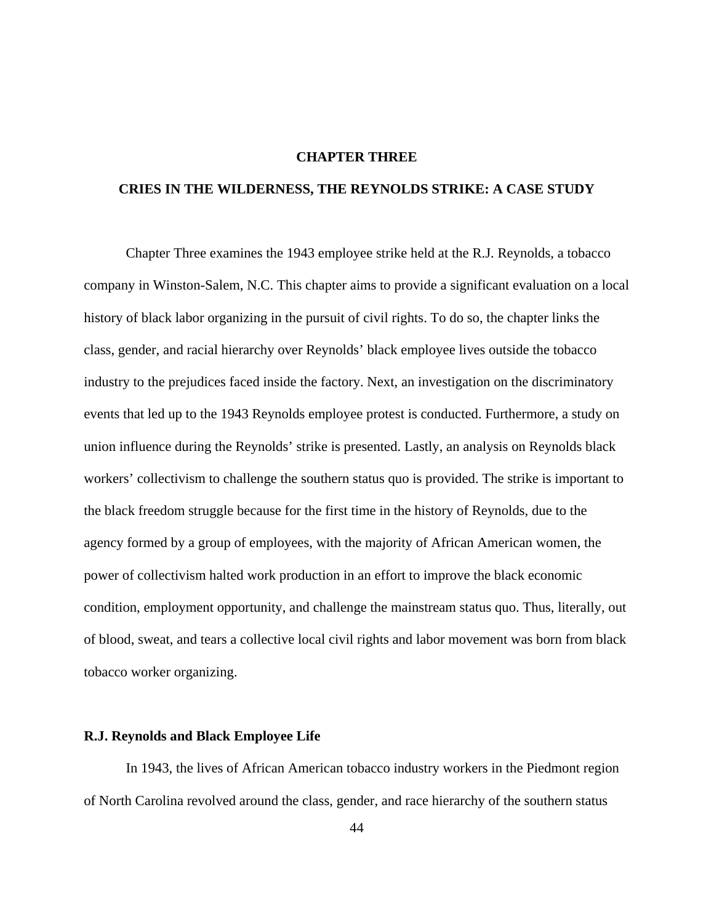# **CHAPTER THREE**

# **CRIES IN THE WILDERNESS, THE REYNOLDS STRIKE: A CASE STUDY**

Chapter Three examines the 1943 employee strike held at the R.J. Reynolds, a tobacco company in Winston-Salem, N.C. This chapter aims to provide a significant evaluation on a local history of black labor organizing in the pursuit of civil rights. To do so, the chapter links the class, gender, and racial hierarchy over Reynolds' black employee lives outside the tobacco industry to the prejudices faced inside the factory. Next, an investigation on the discriminatory events that led up to the 1943 Reynolds employee protest is conducted. Furthermore, a study on union influence during the Reynolds' strike is presented. Lastly, an analysis on Reynolds black workers' collectivism to challenge the southern status quo is provided. The strike is important to the black freedom struggle because for the first time in the history of Reynolds, due to the agency formed by a group of employees, with the majority of African American women, the power of collectivism halted work production in an effort to improve the black economic condition, employment opportunity, and challenge the mainstream status quo. Thus, literally, out of blood, sweat, and tears a collective local civil rights and labor movement was born from black tobacco worker organizing.

#### **R.J. Reynolds and Black Employee Life**

In 1943, the lives of African American tobacco industry workers in the Piedmont region of North Carolina revolved around the class, gender, and race hierarchy of the southern status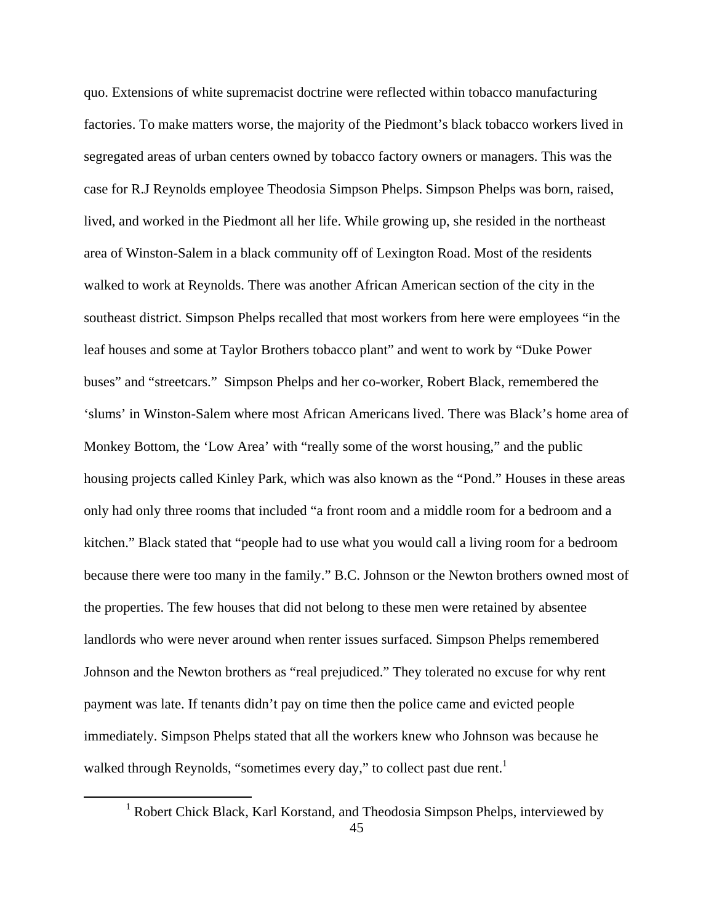quo. Extensions of white supremacist doctrine were reflected within tobacco manufacturing factories. To make matters worse, the majority of the Piedmont's black tobacco workers lived in segregated areas of urban centers owned by tobacco factory owners or managers. This was the case for R.J Reynolds employee Theodosia Simpson Phelps. Simpson Phelps was born, raised, lived, and worked in the Piedmont all her life. While growing up, she resided in the northeast area of Winston-Salem in a black community off of Lexington Road. Most of the residents walked to work at Reynolds. There was another African American section of the city in the southeast district. Simpson Phelps recalled that most workers from here were employees "in the leaf houses and some at Taylor Brothers tobacco plant" and went to work by "Duke Power buses" and "streetcars." Simpson Phelps and her co-worker, Robert Black, remembered the 'slums' in Winston-Salem where most African Americans lived. There was Black's home area of Monkey Bottom, the 'Low Area' with "really some of the worst housing," and the public housing projects called Kinley Park, which was also known as the "Pond." Houses in these areas only had only three rooms that included "a front room and a middle room for a bedroom and a kitchen." Black stated that "people had to use what you would call a living room for a bedroom because there were too many in the family." B.C. Johnson or the Newton brothers owned most of the properties. The few houses that did not belong to these men were retained by absentee landlords who were never around when renter issues surfaced. Simpson Phelps remembered Johnson and the Newton brothers as "real prejudiced." They tolerated no excuse for why rent payment was late. If tenants didn't pay on time then the police came and evicted people immediately. Simpson Phelps stated that all the workers knew who Johnson was because he walked through Reynolds, "sometimes every day," to collect past due rent.<sup>1</sup>

 <sup>1</sup> Robert Chick Black, Karl Korstand, and Theodosia Simpson Phelps, interviewed by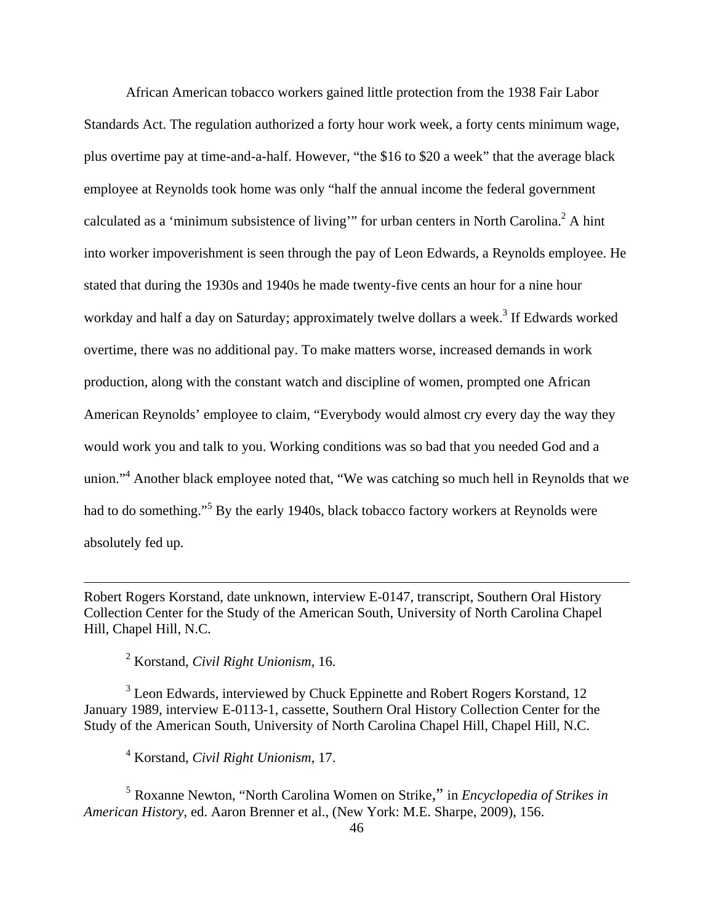African American tobacco workers gained little protection from the 1938 Fair Labor Standards Act. The regulation authorized a forty hour work week, a forty cents minimum wage, plus overtime pay at time-and-a-half. However, "the \$16 to \$20 a week" that the average black employee at Reynolds took home was only "half the annual income the federal government calculated as a 'minimum subsistence of living'" for urban centers in North Carolina.<sup>2</sup> A hint into worker impoverishment is seen through the pay of Leon Edwards, a Reynolds employee. He stated that during the 1930s and 1940s he made twenty-five cents an hour for a nine hour workday and half a day on Saturday; approximately twelve dollars a week.<sup>3</sup> If Edwards worked overtime, there was no additional pay. To make matters worse, increased demands in work production, along with the constant watch and discipline of women, prompted one African American Reynolds' employee to claim, "Everybody would almost cry every day the way they would work you and talk to you. Working conditions was so bad that you needed God and a union."<sup>4</sup> Another black employee noted that, "We was catching so much hell in Reynolds that we had to do something."<sup>5</sup> By the early 1940s, black tobacco factory workers at Reynolds were absolutely fed up.

Robert Rogers Korstand, date unknown, interview E-0147, transcript, Southern Oral History Collection Center for the Study of the American South, University of North Carolina Chapel Hill, Chapel Hill, N.C.

<u> 1989 - Johann Stoff, amerikansk politiker (d. 1989)</u>

2 Korstand, *Civil Right Unionism,* 16.

 $3$  Leon Edwards, interviewed by Chuck Eppinette and Robert Rogers Korstand, 12 January 1989, interview E-0113-1, cassette, Southern Oral History Collection Center for the Study of the American South, University of North Carolina Chapel Hill, Chapel Hill, N.C.

4 Korstand, *Civil Right Unionism,* 17.

<sup>5</sup> Roxanne Newton, "North Carolina Women on Strike," in *Encyclopedia of Strikes in American History*, ed. Aaron Brenner et al., (New York: M.E. Sharpe, 2009), 156.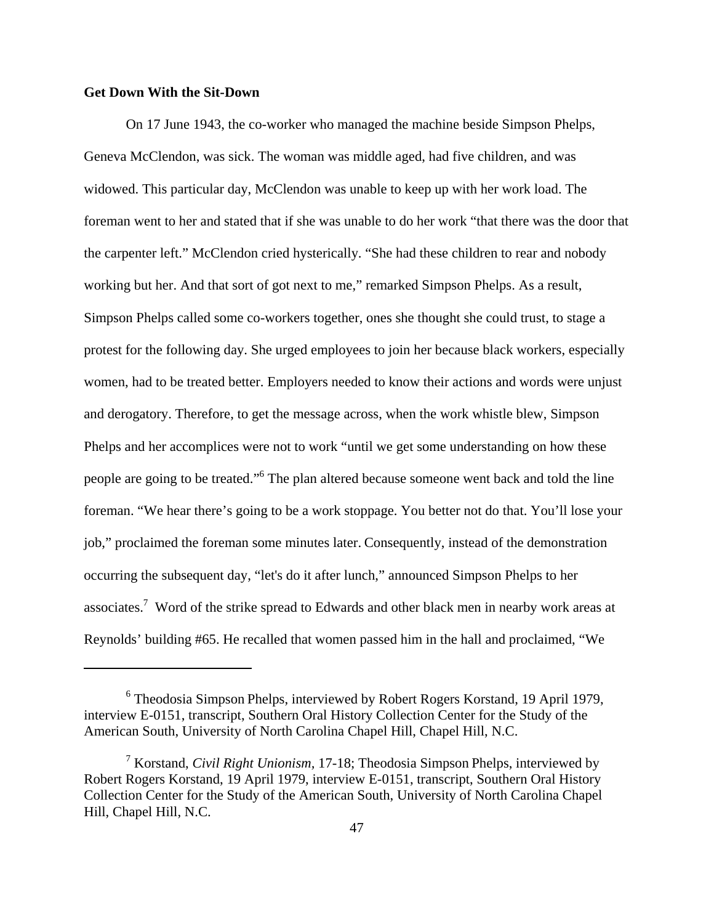# **Get Down With the Sit-Down**

On 17 June 1943, the co-worker who managed the machine beside Simpson Phelps, Geneva McClendon, was sick. The woman was middle aged, had five children, and was widowed. This particular day, McClendon was unable to keep up with her work load. The foreman went to her and stated that if she was unable to do her work "that there was the door that the carpenter left." McClendon cried hysterically. "She had these children to rear and nobody working but her. And that sort of got next to me," remarked Simpson Phelps. As a result, Simpson Phelps called some co-workers together, ones she thought she could trust, to stage a protest for the following day. She urged employees to join her because black workers, especially women, had to be treated better. Employers needed to know their actions and words were unjust and derogatory. Therefore, to get the message across, when the work whistle blew, Simpson Phelps and her accomplices were not to work "until we get some understanding on how these people are going to be treated."<sup>6</sup> The plan altered because someone went back and told the line foreman. "We hear there's going to be a work stoppage. You better not do that. You'll lose your job," proclaimed the foreman some minutes later. Consequently, instead of the demonstration occurring the subsequent day, "let's do it after lunch," announced Simpson Phelps to her associates.<sup>7</sup> Word of the strike spread to Edwards and other black men in nearby work areas at Reynolds' building #65. He recalled that women passed him in the hall and proclaimed, "We

<sup>6</sup> Theodosia Simpson Phelps, interviewed by Robert Rogers Korstand, 19 April 1979, interview E-0151, transcript, Southern Oral History Collection Center for the Study of the American South, University of North Carolina Chapel Hill, Chapel Hill, N.C.

<sup>7</sup> Korstand, *Civil Right Unionism,* 17-18; Theodosia Simpson Phelps, interviewed by Robert Rogers Korstand, 19 April 1979, interview E-0151, transcript, Southern Oral History Collection Center for the Study of the American South, University of North Carolina Chapel Hill, Chapel Hill, N.C.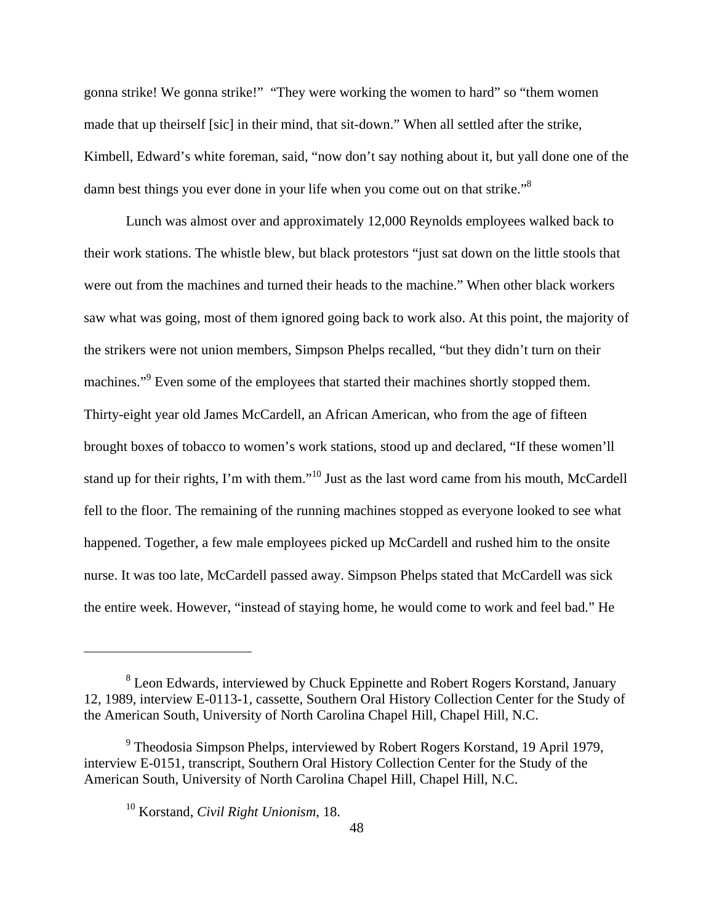gonna strike! We gonna strike!" "They were working the women to hard" so "them women made that up theirself [sic] in their mind, that sit-down." When all settled after the strike, Kimbell, Edward's white foreman, said, "now don't say nothing about it, but yall done one of the damn best things you ever done in your life when you come out on that strike."<sup>8</sup>

Lunch was almost over and approximately 12,000 Reynolds employees walked back to their work stations. The whistle blew, but black protestors "just sat down on the little stools that were out from the machines and turned their heads to the machine." When other black workers saw what was going, most of them ignored going back to work also. At this point, the majority of the strikers were not union members, Simpson Phelps recalled, "but they didn't turn on their machines."<sup>9</sup> Even some of the employees that started their machines shortly stopped them. Thirty-eight year old James McCardell, an African American, who from the age of fifteen brought boxes of tobacco to women's work stations, stood up and declared, "If these women'll stand up for their rights, I'm with them."10 Just as the last word came from his mouth, McCardell fell to the floor. The remaining of the running machines stopped as everyone looked to see what happened. Together, a few male employees picked up McCardell and rushed him to the onsite nurse. It was too late, McCardell passed away. Simpson Phelps stated that McCardell was sick the entire week. However, "instead of staying home, he would come to work and feel bad." He

<sup>&</sup>lt;sup>8</sup> Leon Edwards, interviewed by Chuck Eppinette and Robert Rogers Korstand, January 12, 1989, interview E-0113-1, cassette, Southern Oral History Collection Center for the Study of the American South, University of North Carolina Chapel Hill, Chapel Hill, N.C.

<sup>&</sup>lt;sup>9</sup> Theodosia Simpson Phelps, interviewed by Robert Rogers Korstand, 19 April 1979, interview E-0151, transcript, Southern Oral History Collection Center for the Study of the American South, University of North Carolina Chapel Hill, Chapel Hill, N.C.

<sup>10</sup> Korstand, *Civil Right Unionism,* 18.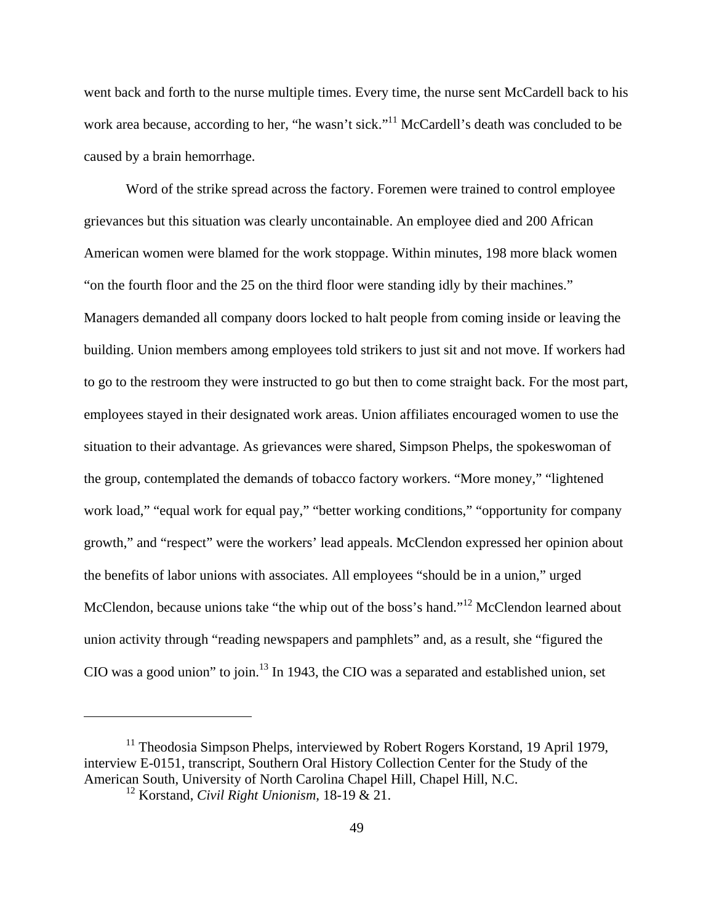went back and forth to the nurse multiple times. Every time, the nurse sent McCardell back to his work area because, according to her, "he wasn't sick."<sup>11</sup> McCardell's death was concluded to be caused by a brain hemorrhage.

Word of the strike spread across the factory. Foremen were trained to control employee grievances but this situation was clearly uncontainable. An employee died and 200 African American women were blamed for the work stoppage. Within minutes, 198 more black women "on the fourth floor and the 25 on the third floor were standing idly by their machines." Managers demanded all company doors locked to halt people from coming inside or leaving the building. Union members among employees told strikers to just sit and not move. If workers had to go to the restroom they were instructed to go but then to come straight back. For the most part, employees stayed in their designated work areas. Union affiliates encouraged women to use the situation to their advantage. As grievances were shared, Simpson Phelps, the spokeswoman of the group, contemplated the demands of tobacco factory workers. "More money," "lightened work load," "equal work for equal pay," "better working conditions," "opportunity for company growth," and "respect" were the workers' lead appeals. McClendon expressed her opinion about the benefits of labor unions with associates. All employees "should be in a union," urged McClendon, because unions take "the whip out of the boss's hand."<sup>12</sup> McClendon learned about union activity through "reading newspapers and pamphlets" and, as a result, she "figured the CIO was a good union" to join.<sup>13</sup> In 1943, the CIO was a separated and established union, set

 $11$  Theodosia Simpson Phelps, interviewed by Robert Rogers Korstand, 19 April 1979, interview E-0151, transcript, Southern Oral History Collection Center for the Study of the American South, University of North Carolina Chapel Hill, Chapel Hill, N.C.

<sup>12</sup> Korstand, *Civil Right Unionism,* 18-19 & 21.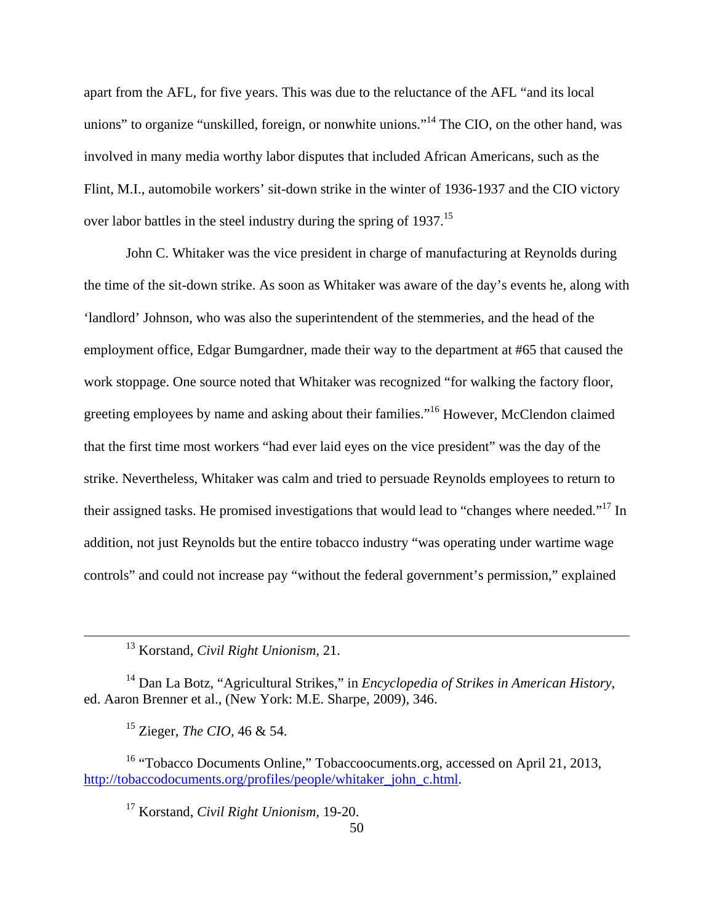apart from the AFL, for five years. This was due to the reluctance of the AFL "and its local unions" to organize "unskilled, foreign, or nonwhite unions."<sup>14</sup> The CIO, on the other hand, was involved in many media worthy labor disputes that included African Americans, such as the Flint, M.I., automobile workers' sit-down strike in the winter of 1936-1937 and the CIO victory over labor battles in the steel industry during the spring of 1937.<sup>15</sup>

John C. Whitaker was the vice president in charge of manufacturing at Reynolds during the time of the sit-down strike. As soon as Whitaker was aware of the day's events he, along with 'landlord' Johnson, who was also the superintendent of the stemmeries, and the head of the employment office, Edgar Bumgardner, made their way to the department at #65 that caused the work stoppage. One source noted that Whitaker was recognized "for walking the factory floor, greeting employees by name and asking about their families."16 However, McClendon claimed that the first time most workers "had ever laid eyes on the vice president" was the day of the strike. Nevertheless, Whitaker was calm and tried to persuade Reynolds employees to return to their assigned tasks. He promised investigations that would lead to "changes where needed."17 In addition, not just Reynolds but the entire tobacco industry "was operating under wartime wage controls" and could not increase pay "without the federal government's permission," explained

14 Dan La Botz, "Agricultural Strikes," in *Encyclopedia of Strikes in American History*, ed. Aaron Brenner et al., (New York: M.E. Sharpe, 2009), 346.

15 Zieger, *The CIO,* 46 & 54.

<sup>16</sup> "Tobacco Documents Online," Tobaccoocuments.org, accessed on April 21, 2013, http://tobaccodocuments.org/profiles/people/whitaker\_john\_c.html.

 13 Korstand, *Civil Right Unionism,* 21.

<sup>17</sup> Korstand, *Civil Right Unionism,* 19-20.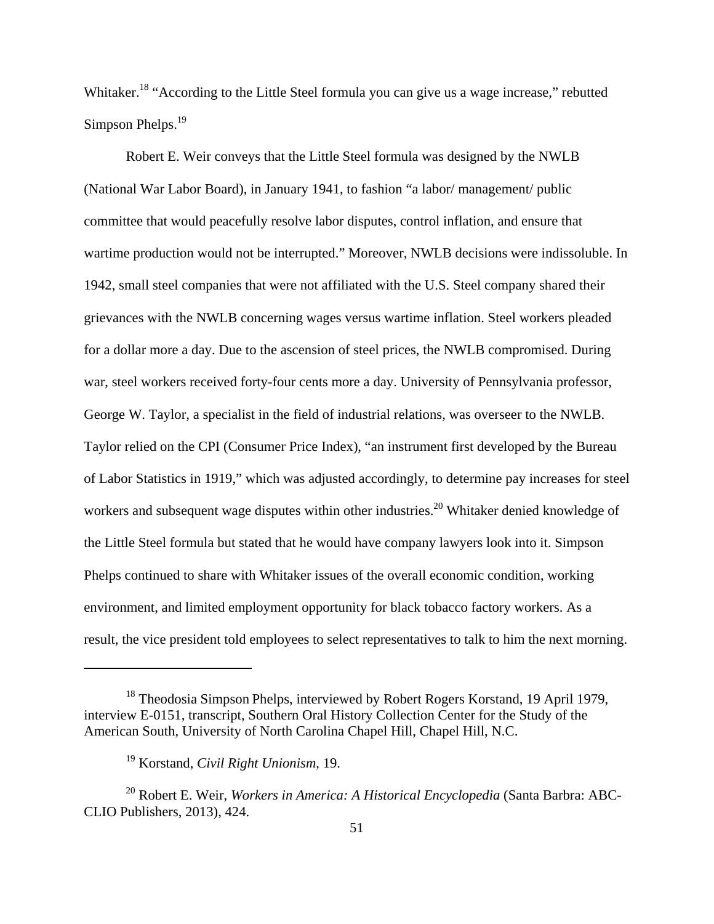Whitaker.<sup>18</sup> "According to the Little Steel formula you can give us a wage increase," rebutted Simpson Phelps.<sup>19</sup>

Robert E. Weir conveys that the Little Steel formula was designed by the NWLB (National War Labor Board), in January 1941, to fashion "a labor/ management/ public committee that would peacefully resolve labor disputes, control inflation, and ensure that wartime production would not be interrupted." Moreover, NWLB decisions were indissoluble. In 1942, small steel companies that were not affiliated with the U.S. Steel company shared their grievances with the NWLB concerning wages versus wartime inflation. Steel workers pleaded for a dollar more a day. Due to the ascension of steel prices, the NWLB compromised. During war, steel workers received forty-four cents more a day. University of Pennsylvania professor, George W. Taylor, a specialist in the field of industrial relations, was overseer to the NWLB. Taylor relied on the CPI (Consumer Price Index), "an instrument first developed by the Bureau of Labor Statistics in 1919," which was adjusted accordingly, to determine pay increases for steel workers and subsequent wage disputes within other industries.<sup>20</sup> Whitaker denied knowledge of the Little Steel formula but stated that he would have company lawyers look into it. Simpson Phelps continued to share with Whitaker issues of the overall economic condition, working environment, and limited employment opportunity for black tobacco factory workers. As a result, the vice president told employees to select representatives to talk to him the next morning.

<sup>&</sup>lt;sup>18</sup> Theodosia Simpson Phelps, interviewed by Robert Rogers Korstand, 19 April 1979, interview E-0151, transcript, Southern Oral History Collection Center for the Study of the American South, University of North Carolina Chapel Hill, Chapel Hill, N.C.

<sup>19</sup> Korstand, *Civil Right Unionism,* 19.

<sup>20</sup> Robert E. Weir, *Workers in America: A Historical Encyclopedia* (Santa Barbra: ABC-CLIO Publishers, 2013), 424.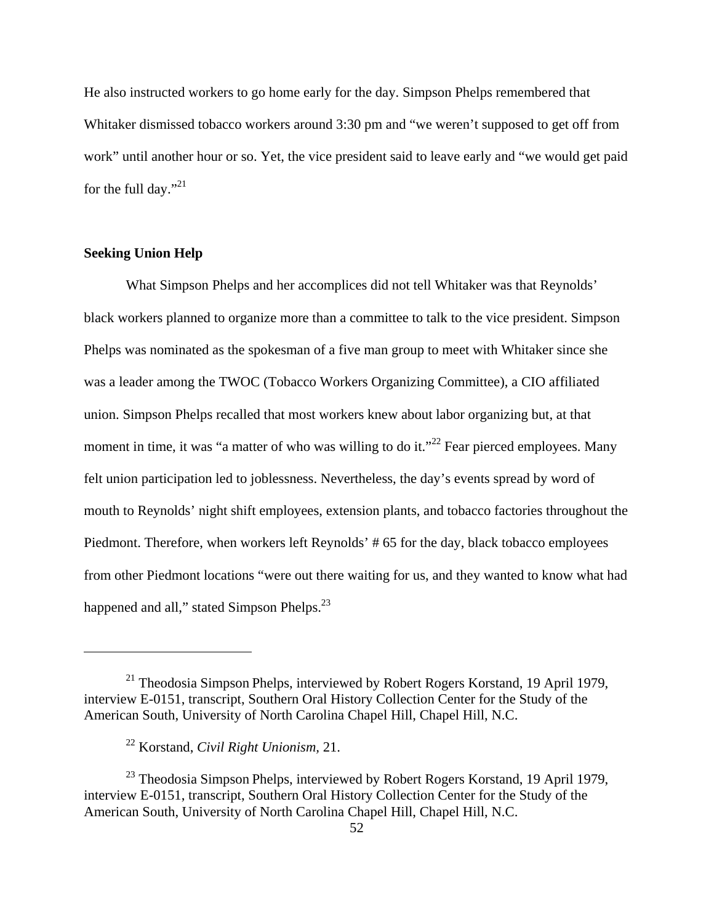He also instructed workers to go home early for the day. Simpson Phelps remembered that Whitaker dismissed tobacco workers around 3:30 pm and "we weren't supposed to get off from work" until another hour or so. Yet, the vice president said to leave early and "we would get paid for the full day."<sup>21</sup>

# **Seeking Union Help**

What Simpson Phelps and her accomplices did not tell Whitaker was that Reynolds' black workers planned to organize more than a committee to talk to the vice president. Simpson Phelps was nominated as the spokesman of a five man group to meet with Whitaker since she was a leader among the TWOC (Tobacco Workers Organizing Committee), a CIO affiliated union. Simpson Phelps recalled that most workers knew about labor organizing but, at that moment in time, it was "a matter of who was willing to do it."<sup>22</sup> Fear pierced employees. Many felt union participation led to joblessness. Nevertheless, the day's events spread by word of mouth to Reynolds' night shift employees, extension plants, and tobacco factories throughout the Piedmont. Therefore, when workers left Reynolds' # 65 for the day, black tobacco employees from other Piedmont locations "were out there waiting for us, and they wanted to know what had happened and all," stated Simpson Phelps.<sup>23</sup>

 $21$  Theodosia Simpson Phelps, interviewed by Robert Rogers Korstand, 19 April 1979, interview E-0151, transcript, Southern Oral History Collection Center for the Study of the American South, University of North Carolina Chapel Hill, Chapel Hill, N.C.

<sup>22</sup> Korstand, *Civil Right Unionism,* 21.

 $^{23}$  Theodosia Simpson Phelps, interviewed by Robert Rogers Korstand, 19 April 1979, interview E-0151, transcript, Southern Oral History Collection Center for the Study of the American South, University of North Carolina Chapel Hill, Chapel Hill, N.C.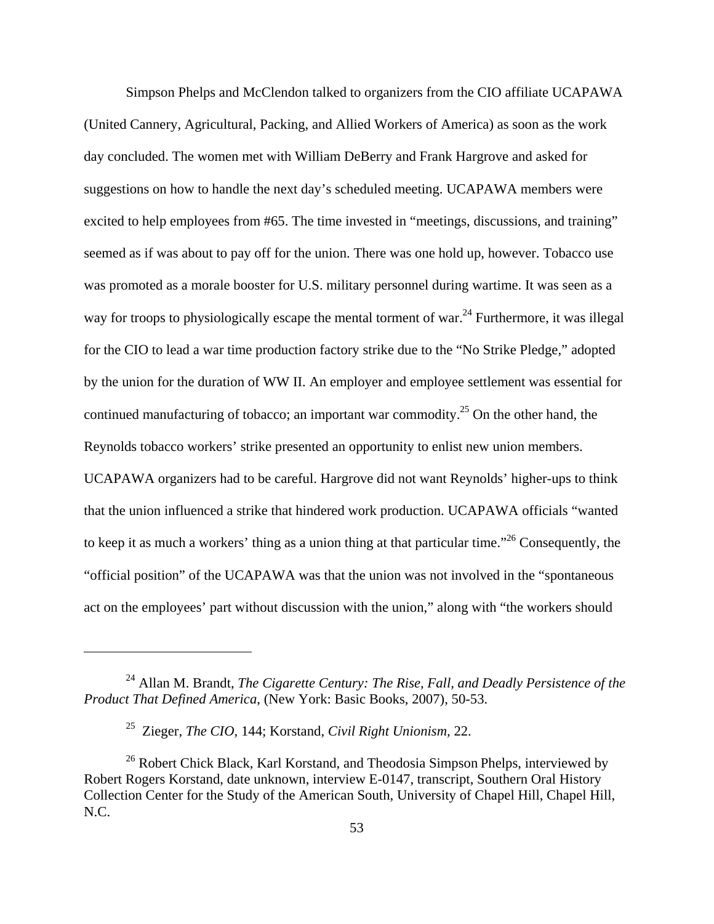Simpson Phelps and McClendon talked to organizers from the CIO affiliate UCAPAWA (United Cannery, Agricultural, Packing, and Allied Workers of America) as soon as the work day concluded. The women met with William DeBerry and Frank Hargrove and asked for suggestions on how to handle the next day's scheduled meeting. UCAPAWA members were excited to help employees from #65. The time invested in "meetings, discussions, and training" seemed as if was about to pay off for the union. There was one hold up, however. Tobacco use was promoted as a morale booster for U.S. military personnel during wartime. It was seen as a way for troops to physiologically escape the mental torment of war.<sup>24</sup> Furthermore, it was illegal for the CIO to lead a war time production factory strike due to the "No Strike Pledge," adopted by the union for the duration of WW II. An employer and employee settlement was essential for continued manufacturing of tobacco; an important war commodity.<sup>25</sup> On the other hand, the Reynolds tobacco workers' strike presented an opportunity to enlist new union members. UCAPAWA organizers had to be careful. Hargrove did not want Reynolds' higher-ups to think that the union influenced a strike that hindered work production. UCAPAWA officials "wanted to keep it as much a workers' thing as a union thing at that particular time."26 Consequently, the "official position" of the UCAPAWA was that the union was not involved in the "spontaneous act on the employees' part without discussion with the union," along with "the workers should

<sup>24</sup> Allan M. Brandt, *The Cigarette Century: The Rise, Fall, and Deadly Persistence of the Product That Defined America*, (New York: Basic Books, 2007), 50-53.

<sup>25</sup> Zieger, *The CIO,* 144; Korstand, *Civil Right Unionism,* 22.

<sup>&</sup>lt;sup>26</sup> Robert Chick Black, Karl Korstand, and Theodosia Simpson Phelps, interviewed by Robert Rogers Korstand, date unknown, interview E-0147, transcript, Southern Oral History Collection Center for the Study of the American South, University of Chapel Hill, Chapel Hill, N.C.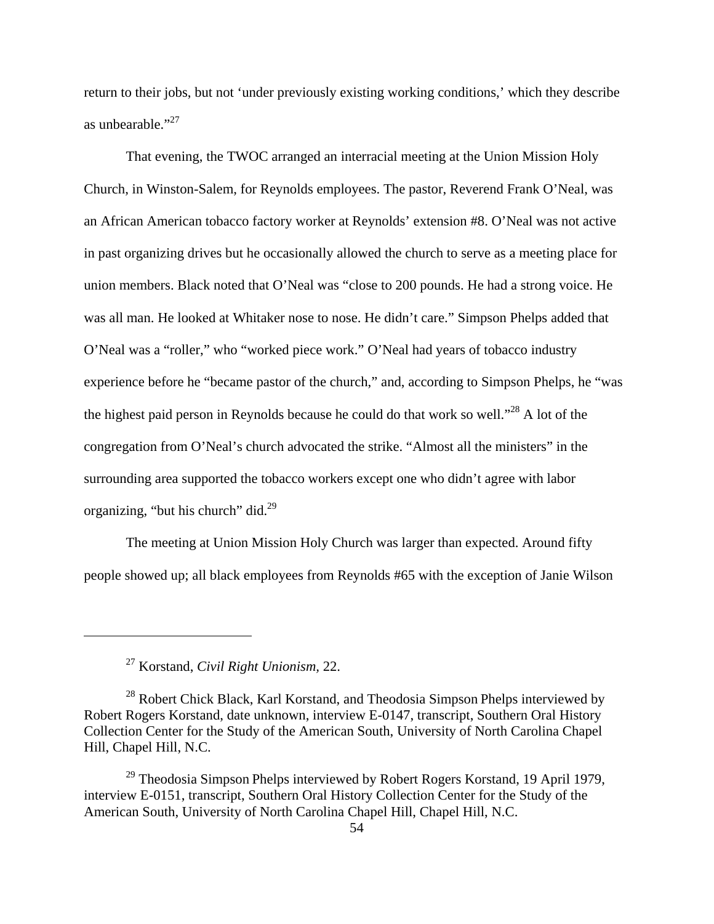return to their jobs, but not 'under previously existing working conditions,' which they describe as unbearable."<sup>27</sup>

 That evening, the TWOC arranged an interracial meeting at the Union Mission Holy Church, in Winston-Salem, for Reynolds employees. The pastor, Reverend Frank O'Neal, was an African American tobacco factory worker at Reynolds' extension #8. O'Neal was not active in past organizing drives but he occasionally allowed the church to serve as a meeting place for union members. Black noted that O'Neal was "close to 200 pounds. He had a strong voice. He was all man. He looked at Whitaker nose to nose. He didn't care." Simpson Phelps added that O'Neal was a "roller," who "worked piece work." O'Neal had years of tobacco industry experience before he "became pastor of the church," and, according to Simpson Phelps, he "was the highest paid person in Reynolds because he could do that work so well."28 A lot of the congregation from O'Neal's church advocated the strike. "Almost all the ministers" in the surrounding area supported the tobacco workers except one who didn't agree with labor organizing, "but his church" did. $^{29}$ 

 The meeting at Union Mission Holy Church was larger than expected. Around fifty people showed up; all black employees from Reynolds #65 with the exception of Janie Wilson

<sup>27</sup> Korstand, *Civil Right Unionism,* 22.

 $^{28}$  Robert Chick Black, Karl Korstand, and Theodosia Simpson Phelps interviewed by Robert Rogers Korstand, date unknown, interview E-0147, transcript, Southern Oral History Collection Center for the Study of the American South, University of North Carolina Chapel Hill, Chapel Hill, N.C.

 $^{29}$  Theodosia Simpson Phelps interviewed by Robert Rogers Korstand, 19 April 1979, interview E-0151, transcript, Southern Oral History Collection Center for the Study of the American South, University of North Carolina Chapel Hill, Chapel Hill, N.C.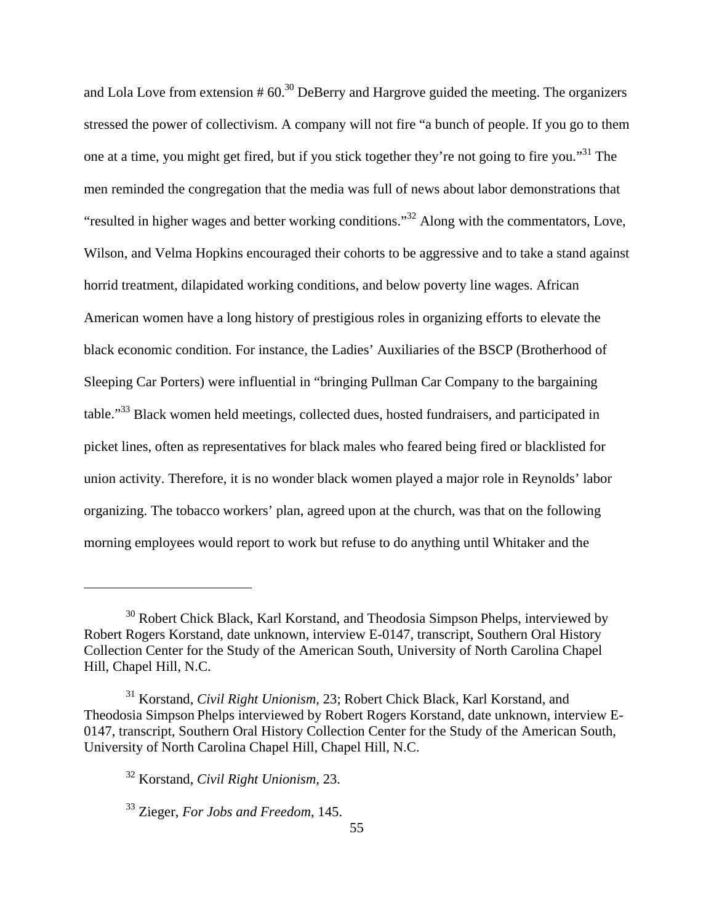and Lola Love from extension  $#60.<sup>30</sup>$  DeBerry and Hargrove guided the meeting. The organizers stressed the power of collectivism. A company will not fire "a bunch of people. If you go to them one at a time, you might get fired, but if you stick together they're not going to fire you."31 The men reminded the congregation that the media was full of news about labor demonstrations that "resulted in higher wages and better working conditions."32 Along with the commentators, Love, Wilson, and Velma Hopkins encouraged their cohorts to be aggressive and to take a stand against horrid treatment, dilapidated working conditions, and below poverty line wages. African American women have a long history of prestigious roles in organizing efforts to elevate the black economic condition. For instance, the Ladies' Auxiliaries of the BSCP (Brotherhood of Sleeping Car Porters) were influential in "bringing Pullman Car Company to the bargaining table."33 Black women held meetings, collected dues, hosted fundraisers, and participated in picket lines, often as representatives for black males who feared being fired or blacklisted for union activity. Therefore, it is no wonder black women played a major role in Reynolds' labor organizing. The tobacco workers' plan, agreed upon at the church, was that on the following morning employees would report to work but refuse to do anything until Whitaker and the

 $30$  Robert Chick Black, Karl Korstand, and Theodosia Simpson Phelps, interviewed by Robert Rogers Korstand, date unknown, interview E-0147, transcript, Southern Oral History Collection Center for the Study of the American South, University of North Carolina Chapel Hill, Chapel Hill, N.C.

<sup>31</sup> Korstand, *Civil Right Unionism,* 23; Robert Chick Black, Karl Korstand, and Theodosia Simpson Phelps interviewed by Robert Rogers Korstand, date unknown, interview E-0147, transcript, Southern Oral History Collection Center for the Study of the American South, University of North Carolina Chapel Hill, Chapel Hill, N.C.

<sup>32</sup> Korstand, *Civil Right Unionism,* 23.

<sup>33</sup> Zieger, *For Jobs and Freedom*, 145.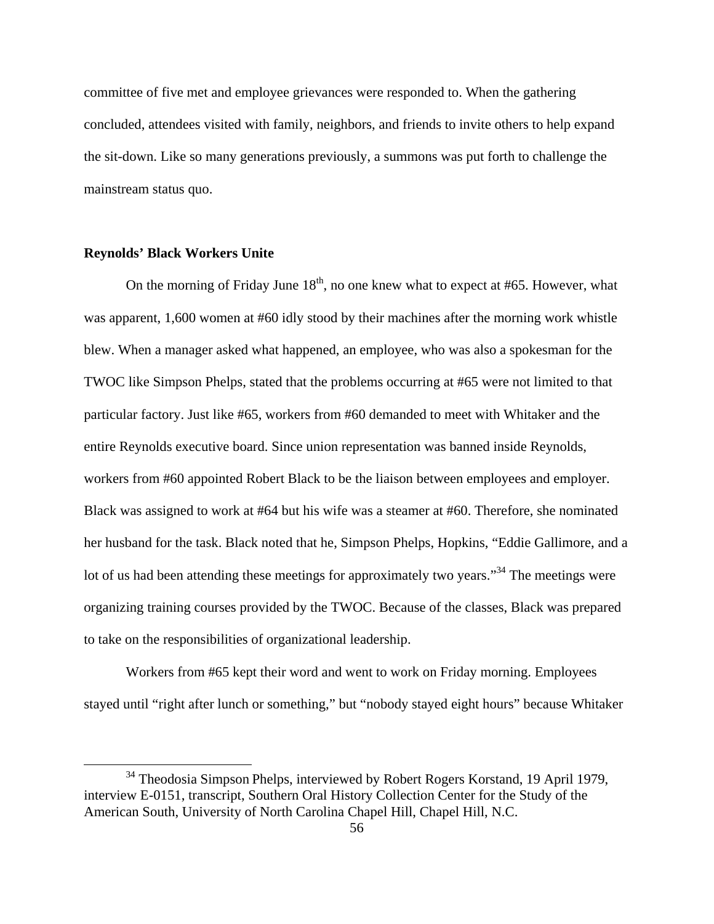committee of five met and employee grievances were responded to. When the gathering concluded, attendees visited with family, neighbors, and friends to invite others to help expand the sit-down. Like so many generations previously, a summons was put forth to challenge the mainstream status quo.

## **Reynolds' Black Workers Unite**

On the morning of Friday June  $18<sup>th</sup>$ , no one knew what to expect at #65. However, what was apparent, 1,600 women at #60 idly stood by their machines after the morning work whistle blew. When a manager asked what happened, an employee, who was also a spokesman for the TWOC like Simpson Phelps, stated that the problems occurring at #65 were not limited to that particular factory. Just like #65, workers from #60 demanded to meet with Whitaker and the entire Reynolds executive board. Since union representation was banned inside Reynolds, workers from #60 appointed Robert Black to be the liaison between employees and employer. Black was assigned to work at #64 but his wife was a steamer at #60. Therefore, she nominated her husband for the task. Black noted that he, Simpson Phelps, Hopkins, "Eddie Gallimore, and a lot of us had been attending these meetings for approximately two years."<sup>34</sup> The meetings were organizing training courses provided by the TWOC. Because of the classes, Black was prepared to take on the responsibilities of organizational leadership.

Workers from #65 kept their word and went to work on Friday morning. Employees stayed until "right after lunch or something," but "nobody stayed eight hours" because Whitaker

<sup>&</sup>lt;sup>34</sup> Theodosia Simpson Phelps, interviewed by Robert Rogers Korstand, 19 April 1979, interview E-0151, transcript, Southern Oral History Collection Center for the Study of the American South, University of North Carolina Chapel Hill, Chapel Hill, N.C.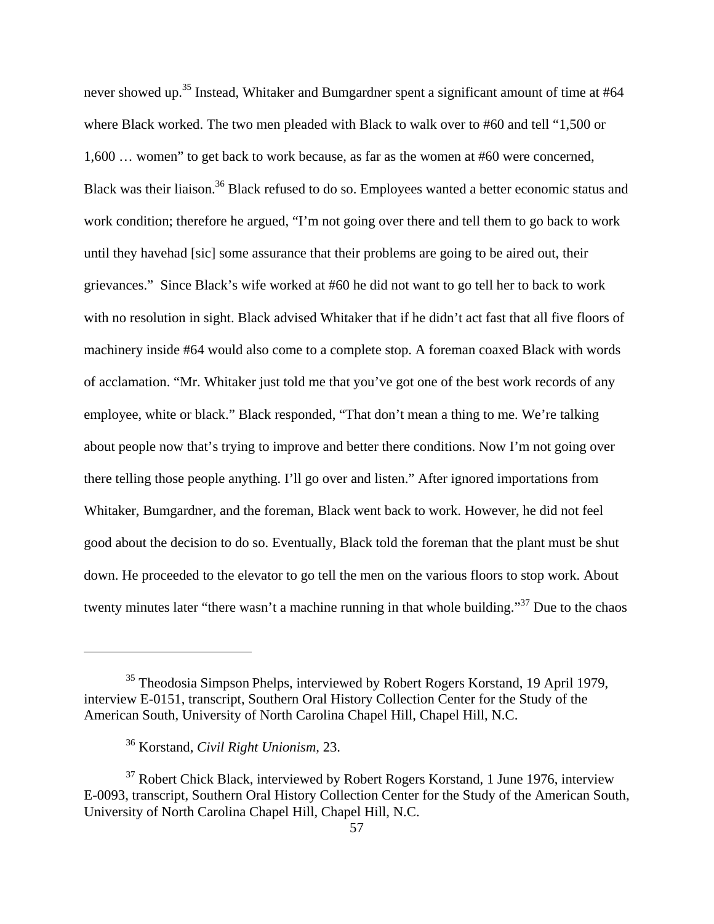never showed up.<sup>35</sup> Instead, Whitaker and Bumgardner spent a significant amount of time at #64 where Black worked. The two men pleaded with Black to walk over to #60 and tell "1,500 or 1,600 … women" to get back to work because, as far as the women at #60 were concerned, Black was their liaison.<sup>36</sup> Black refused to do so. Employees wanted a better economic status and work condition; therefore he argued, "I'm not going over there and tell them to go back to work until they havehad [sic] some assurance that their problems are going to be aired out, their grievances." Since Black's wife worked at #60 he did not want to go tell her to back to work with no resolution in sight. Black advised Whitaker that if he didn't act fast that all five floors of machinery inside #64 would also come to a complete stop. A foreman coaxed Black with words of acclamation. "Mr. Whitaker just told me that you've got one of the best work records of any employee, white or black." Black responded, "That don't mean a thing to me. We're talking about people now that's trying to improve and better there conditions. Now I'm not going over there telling those people anything. I'll go over and listen." After ignored importations from Whitaker, Bumgardner, and the foreman, Black went back to work. However, he did not feel good about the decision to do so. Eventually, Black told the foreman that the plant must be shut down. He proceeded to the elevator to go tell the men on the various floors to stop work. About twenty minutes later "there wasn't a machine running in that whole building."<sup>37</sup> Due to the chaos

<sup>35</sup> Theodosia Simpson Phelps, interviewed by Robert Rogers Korstand, 19 April 1979, interview E-0151, transcript, Southern Oral History Collection Center for the Study of the American South, University of North Carolina Chapel Hill, Chapel Hill, N.C.

<sup>36</sup> Korstand, *Civil Right Unionism,* 23.

 $37$  Robert Chick Black, interviewed by Robert Rogers Korstand, 1 June 1976, interview E-0093, transcript, Southern Oral History Collection Center for the Study of the American South, University of North Carolina Chapel Hill, Chapel Hill, N.C.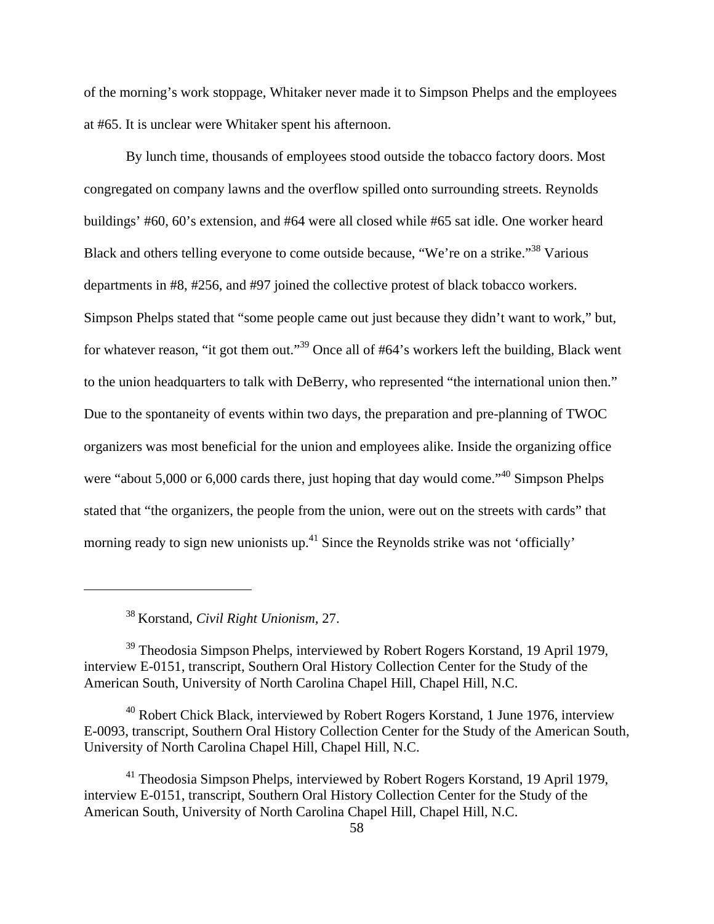of the morning's work stoppage, Whitaker never made it to Simpson Phelps and the employees at #65. It is unclear were Whitaker spent his afternoon.

By lunch time, thousands of employees stood outside the tobacco factory doors. Most congregated on company lawns and the overflow spilled onto surrounding streets. Reynolds buildings' #60, 60's extension, and #64 were all closed while #65 sat idle. One worker heard Black and others telling everyone to come outside because, "We're on a strike."<sup>38</sup> Various departments in #8, #256, and #97 joined the collective protest of black tobacco workers. Simpson Phelps stated that "some people came out just because they didn't want to work," but, for whatever reason, "it got them out."39 Once all of #64's workers left the building, Black went to the union headquarters to talk with DeBerry, who represented "the international union then." Due to the spontaneity of events within two days, the preparation and pre-planning of TWOC organizers was most beneficial for the union and employees alike. Inside the organizing office were "about 5,000 or 6,000 cards there, just hoping that day would come."<sup>40</sup> Simpson Phelps stated that "the organizers, the people from the union, were out on the streets with cards" that morning ready to sign new unionists up.<sup>41</sup> Since the Reynolds strike was not 'officially'

<sup>38</sup> Korstand, *Civil Right Unionism,* 27.

<sup>39</sup> Theodosia Simpson Phelps, interviewed by Robert Rogers Korstand, 19 April 1979, interview E-0151, transcript, Southern Oral History Collection Center for the Study of the American South, University of North Carolina Chapel Hill, Chapel Hill, N.C.

40 Robert Chick Black, interviewed by Robert Rogers Korstand, 1 June 1976, interview E-0093, transcript, Southern Oral History Collection Center for the Study of the American South, University of North Carolina Chapel Hill, Chapel Hill, N.C.

 $41$  Theodosia Simpson Phelps, interviewed by Robert Rogers Korstand, 19 April 1979, interview E-0151, transcript, Southern Oral History Collection Center for the Study of the American South, University of North Carolina Chapel Hill, Chapel Hill, N.C.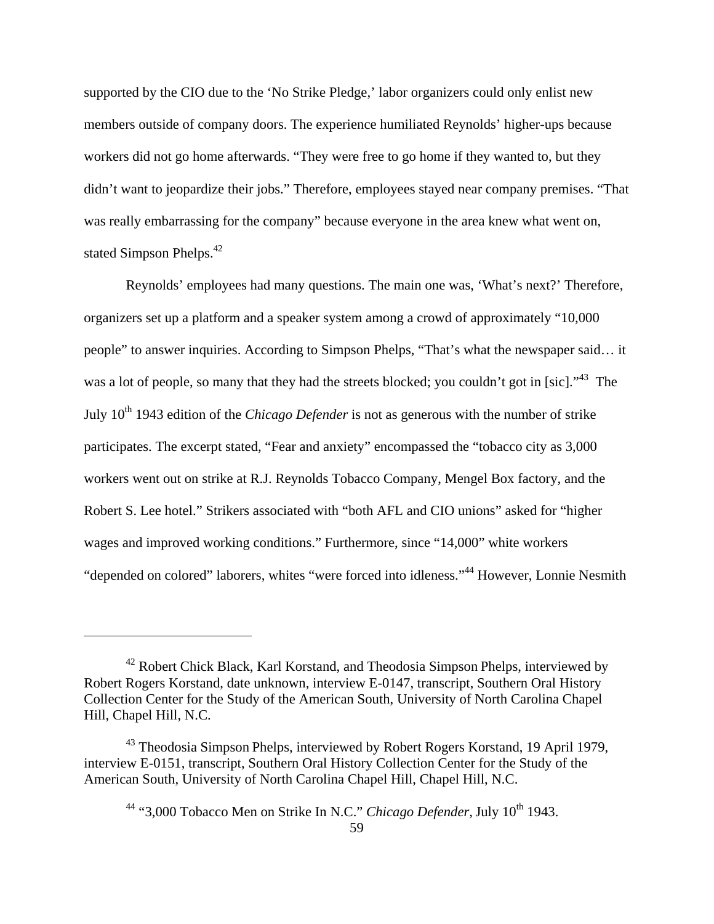supported by the CIO due to the 'No Strike Pledge,' labor organizers could only enlist new members outside of company doors. The experience humiliated Reynolds' higher-ups because workers did not go home afterwards. "They were free to go home if they wanted to, but they didn't want to jeopardize their jobs." Therefore, employees stayed near company premises. "That was really embarrassing for the company" because everyone in the area knew what went on, stated Simpson Phelps.<sup>42</sup>

Reynolds' employees had many questions. The main one was, 'What's next?' Therefore, organizers set up a platform and a speaker system among a crowd of approximately "10,000 people" to answer inquiries. According to Simpson Phelps, "That's what the newspaper said… it was a lot of people, so many that they had the streets blocked; you couldn't got in [sic]."<sup>43</sup> The July 10th 1943 edition of the *Chicago Defender* is not as generous with the number of strike participates. The excerpt stated, "Fear and anxiety" encompassed the "tobacco city as 3,000 workers went out on strike at R.J. Reynolds Tobacco Company, Mengel Box factory, and the Robert S. Lee hotel." Strikers associated with "both AFL and CIO unions" asked for "higher wages and improved working conditions." Furthermore, since "14,000" white workers "depended on colored" laborers, whites "were forced into idleness."44 However, Lonnie Nesmith

 $42$  Robert Chick Black, Karl Korstand, and Theodosia Simpson Phelps, interviewed by Robert Rogers Korstand, date unknown, interview E-0147, transcript, Southern Oral History Collection Center for the Study of the American South, University of North Carolina Chapel Hill, Chapel Hill, N.C.

<sup>43</sup> Theodosia Simpson Phelps, interviewed by Robert Rogers Korstand, 19 April 1979, interview E-0151, transcript, Southern Oral History Collection Center for the Study of the American South, University of North Carolina Chapel Hill, Chapel Hill, N.C.

<sup>&</sup>lt;sup>44</sup> "3,000 Tobacco Men on Strike In N.C." *Chicago Defender*, July 10<sup>th</sup> 1943.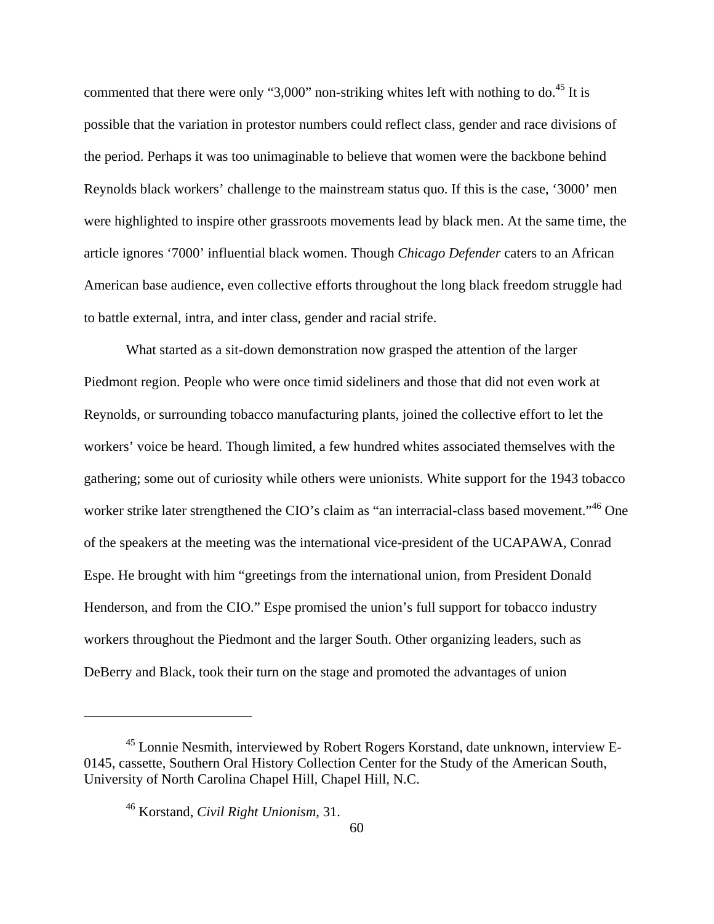commented that there were only "3,000" non-striking whites left with nothing to do.<sup>45</sup> It is possible that the variation in protestor numbers could reflect class, gender and race divisions of the period. Perhaps it was too unimaginable to believe that women were the backbone behind Reynolds black workers' challenge to the mainstream status quo. If this is the case, '3000' men were highlighted to inspire other grassroots movements lead by black men. At the same time, the article ignores '7000' influential black women. Though *Chicago Defender* caters to an African American base audience, even collective efforts throughout the long black freedom struggle had to battle external, intra, and inter class, gender and racial strife.

What started as a sit-down demonstration now grasped the attention of the larger Piedmont region. People who were once timid sideliners and those that did not even work at Reynolds, or surrounding tobacco manufacturing plants, joined the collective effort to let the workers' voice be heard. Though limited, a few hundred whites associated themselves with the gathering; some out of curiosity while others were unionists. White support for the 1943 tobacco worker strike later strengthened the CIO's claim as "an interracial-class based movement."<sup>46</sup> One of the speakers at the meeting was the international vice-president of the UCAPAWA, Conrad Espe. He brought with him "greetings from the international union, from President Donald Henderson, and from the CIO." Espe promised the union's full support for tobacco industry workers throughout the Piedmont and the larger South. Other organizing leaders, such as DeBerry and Black, took their turn on the stage and promoted the advantages of union

<sup>45</sup> Lonnie Nesmith, interviewed by Robert Rogers Korstand, date unknown, interview E-0145, cassette, Southern Oral History Collection Center for the Study of the American South, University of North Carolina Chapel Hill, Chapel Hill, N.C.

<sup>46</sup> Korstand, *Civil Right Unionism,* 31.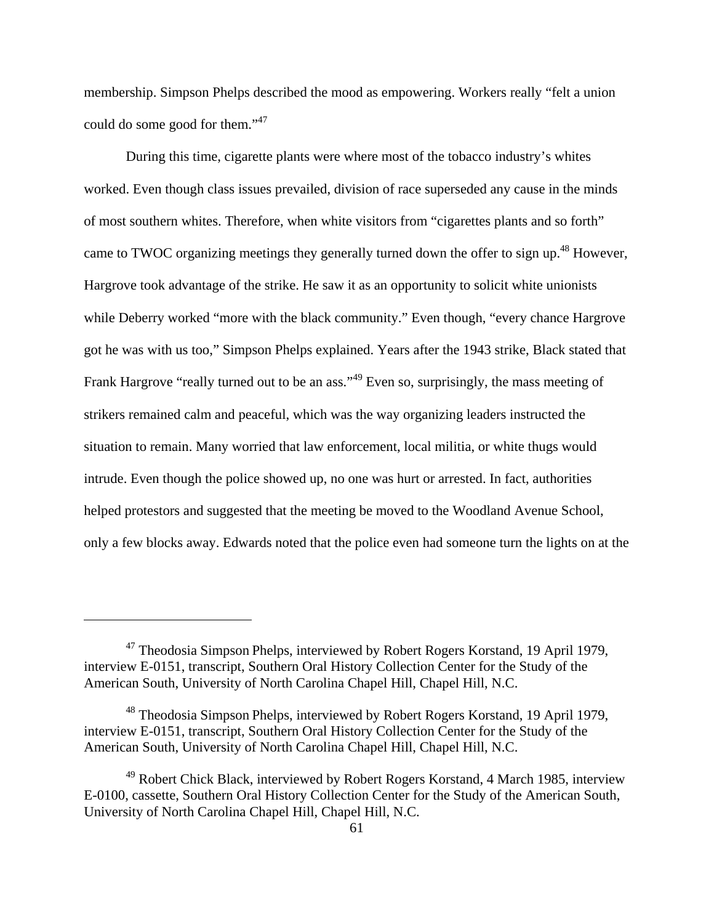membership. Simpson Phelps described the mood as empowering. Workers really "felt a union could do some good for them."<sup>47</sup>

During this time, cigarette plants were where most of the tobacco industry's whites worked. Even though class issues prevailed, division of race superseded any cause in the minds of most southern whites. Therefore, when white visitors from "cigarettes plants and so forth" came to TWOC organizing meetings they generally turned down the offer to sign up.<sup>48</sup> However, Hargrove took advantage of the strike. He saw it as an opportunity to solicit white unionists while Deberry worked "more with the black community." Even though, "every chance Hargrove got he was with us too," Simpson Phelps explained. Years after the 1943 strike, Black stated that Frank Hargrove "really turned out to be an ass."<sup>49</sup> Even so, surprisingly, the mass meeting of strikers remained calm and peaceful, which was the way organizing leaders instructed the situation to remain. Many worried that law enforcement, local militia, or white thugs would intrude. Even though the police showed up, no one was hurt or arrested. In fact, authorities helped protestors and suggested that the meeting be moved to the Woodland Avenue School, only a few blocks away. Edwards noted that the police even had someone turn the lights on at the

<sup>47</sup> Theodosia Simpson Phelps, interviewed by Robert Rogers Korstand, 19 April 1979, interview E-0151, transcript, Southern Oral History Collection Center for the Study of the American South, University of North Carolina Chapel Hill, Chapel Hill, N.C.

<sup>48</sup> Theodosia Simpson Phelps, interviewed by Robert Rogers Korstand, 19 April 1979, interview E-0151, transcript, Southern Oral History Collection Center for the Study of the American South, University of North Carolina Chapel Hill, Chapel Hill, N.C.

 $49$  Robert Chick Black, interviewed by Robert Rogers Korstand, 4 March 1985, interview E-0100, cassette, Southern Oral History Collection Center for the Study of the American South, University of North Carolina Chapel Hill, Chapel Hill, N.C.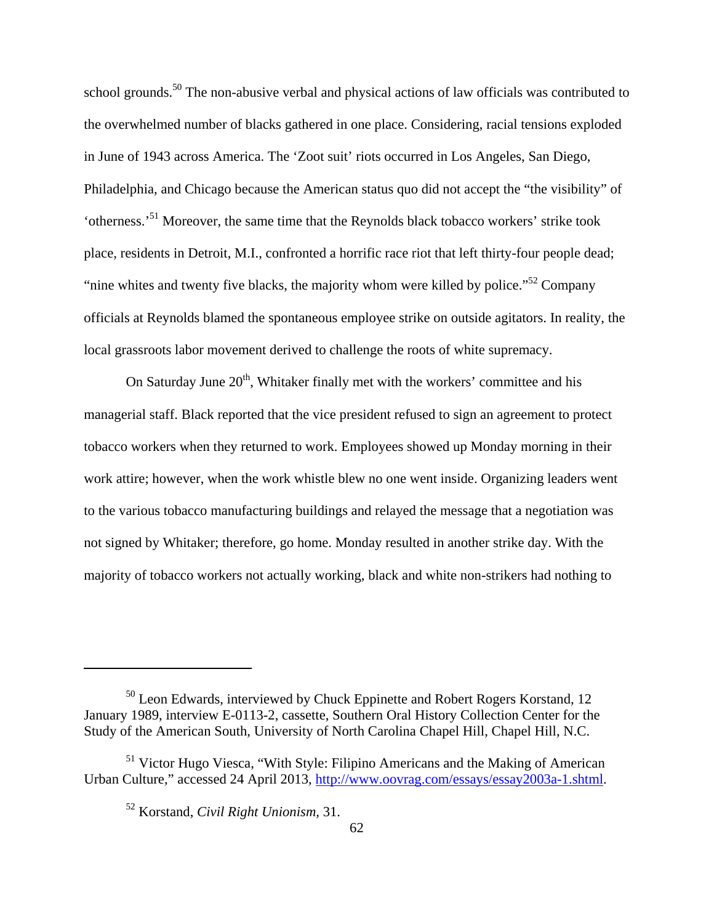school grounds.<sup>50</sup> The non-abusive verbal and physical actions of law officials was contributed to the overwhelmed number of blacks gathered in one place. Considering, racial tensions exploded in June of 1943 across America. The 'Zoot suit' riots occurred in Los Angeles, San Diego, Philadelphia, and Chicago because the American status quo did not accept the "the visibility" of 'otherness.'51 Moreover, the same time that the Reynolds black tobacco workers' strike took place, residents in Detroit, M.I., confronted a horrific race riot that left thirty-four people dead; "nine whites and twenty five blacks, the majority whom were killed by police."<sup>52</sup> Company officials at Reynolds blamed the spontaneous employee strike on outside agitators. In reality, the local grassroots labor movement derived to challenge the roots of white supremacy.

On Saturday June  $20<sup>th</sup>$ , Whitaker finally met with the workers' committee and his managerial staff. Black reported that the vice president refused to sign an agreement to protect tobacco workers when they returned to work. Employees showed up Monday morning in their work attire; however, when the work whistle blew no one went inside. Organizing leaders went to the various tobacco manufacturing buildings and relayed the message that a negotiation was not signed by Whitaker; therefore, go home. Monday resulted in another strike day. With the majority of tobacco workers not actually working, black and white non-strikers had nothing to

<sup>&</sup>lt;sup>50</sup> Leon Edwards, interviewed by Chuck Eppinette and Robert Rogers Korstand, 12 January 1989, interview E-0113-2, cassette, Southern Oral History Collection Center for the Study of the American South, University of North Carolina Chapel Hill, Chapel Hill, N.C.

<sup>&</sup>lt;sup>51</sup> Victor Hugo Viesca, "With Style: Filipino Americans and the Making of American Urban Culture," accessed 24 April 2013, http://www.oovrag.com/essays/essay2003a-1.shtml.

<sup>52</sup> Korstand, *Civil Right Unionism,* 31.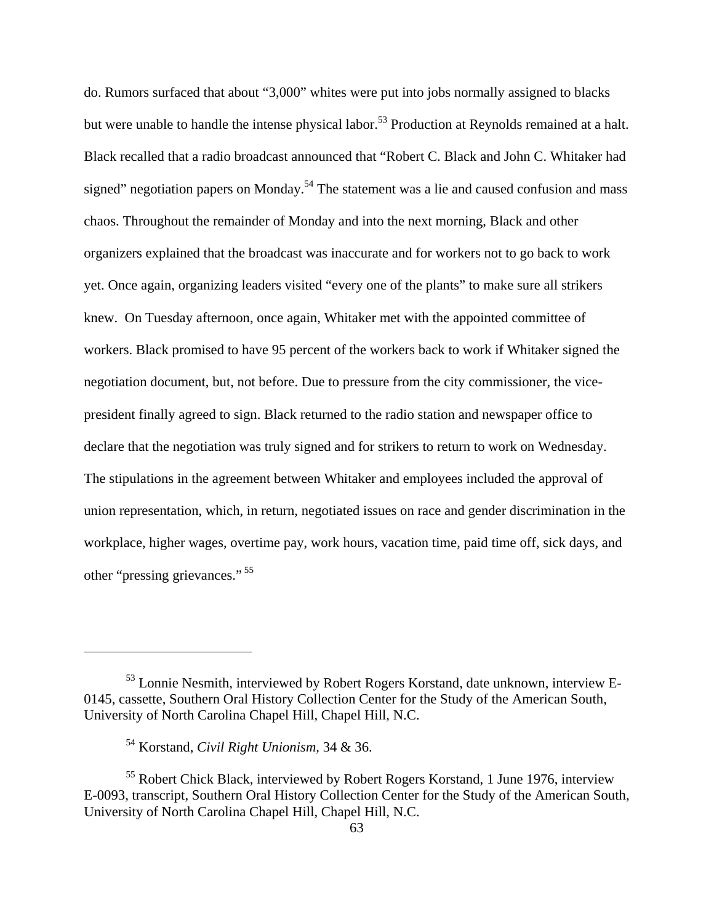do. Rumors surfaced that about "3,000" whites were put into jobs normally assigned to blacks but were unable to handle the intense physical labor.<sup>53</sup> Production at Reynolds remained at a halt. Black recalled that a radio broadcast announced that "Robert C. Black and John C. Whitaker had signed" negotiation papers on Monday.<sup>54</sup> The statement was a lie and caused confusion and mass chaos. Throughout the remainder of Monday and into the next morning, Black and other organizers explained that the broadcast was inaccurate and for workers not to go back to work yet. Once again, organizing leaders visited "every one of the plants" to make sure all strikers knew. On Tuesday afternoon, once again, Whitaker met with the appointed committee of workers. Black promised to have 95 percent of the workers back to work if Whitaker signed the negotiation document, but, not before. Due to pressure from the city commissioner, the vicepresident finally agreed to sign. Black returned to the radio station and newspaper office to declare that the negotiation was truly signed and for strikers to return to work on Wednesday. The stipulations in the agreement between Whitaker and employees included the approval of union representation, which, in return, negotiated issues on race and gender discrimination in the workplace, higher wages, overtime pay, work hours, vacation time, paid time off, sick days, and other "pressing grievances." 55

<sup>53</sup> Lonnie Nesmith, interviewed by Robert Rogers Korstand, date unknown, interview E-0145, cassette, Southern Oral History Collection Center for the Study of the American South, University of North Carolina Chapel Hill, Chapel Hill, N.C.

<sup>54</sup> Korstand, *Civil Right Unionism,* 34 & 36.

<sup>55</sup> Robert Chick Black, interviewed by Robert Rogers Korstand, 1 June 1976, interview E-0093, transcript, Southern Oral History Collection Center for the Study of the American South, University of North Carolina Chapel Hill, Chapel Hill, N.C.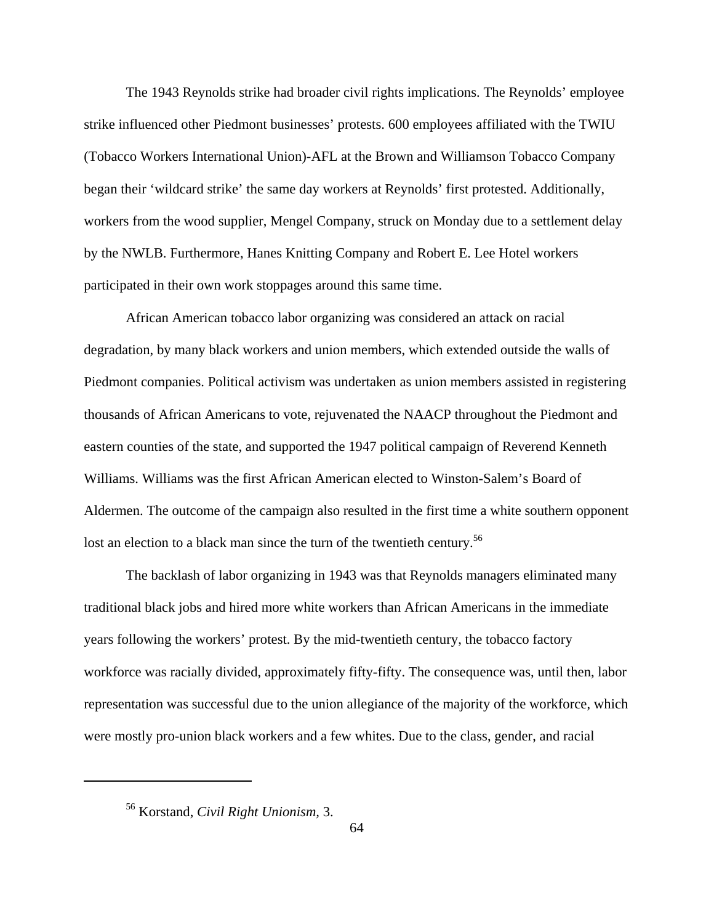The 1943 Reynolds strike had broader civil rights implications. The Reynolds' employee strike influenced other Piedmont businesses' protests. 600 employees affiliated with the TWIU (Tobacco Workers International Union)-AFL at the Brown and Williamson Tobacco Company began their 'wildcard strike' the same day workers at Reynolds' first protested. Additionally, workers from the wood supplier, Mengel Company, struck on Monday due to a settlement delay by the NWLB. Furthermore, Hanes Knitting Company and Robert E. Lee Hotel workers participated in their own work stoppages around this same time.

African American tobacco labor organizing was considered an attack on racial degradation, by many black workers and union members, which extended outside the walls of Piedmont companies. Political activism was undertaken as union members assisted in registering thousands of African Americans to vote, rejuvenated the NAACP throughout the Piedmont and eastern counties of the state, and supported the 1947 political campaign of Reverend Kenneth Williams. Williams was the first African American elected to Winston-Salem's Board of Aldermen. The outcome of the campaign also resulted in the first time a white southern opponent lost an election to a black man since the turn of the twentieth century.<sup>56</sup>

The backlash of labor organizing in 1943 was that Reynolds managers eliminated many traditional black jobs and hired more white workers than African Americans in the immediate years following the workers' protest. By the mid-twentieth century, the tobacco factory workforce was racially divided, approximately fifty-fifty. The consequence was, until then, labor representation was successful due to the union allegiance of the majority of the workforce, which were mostly pro-union black workers and a few whites. Due to the class, gender, and racial

<sup>56</sup> Korstand, *Civil Right Unionism,* 3.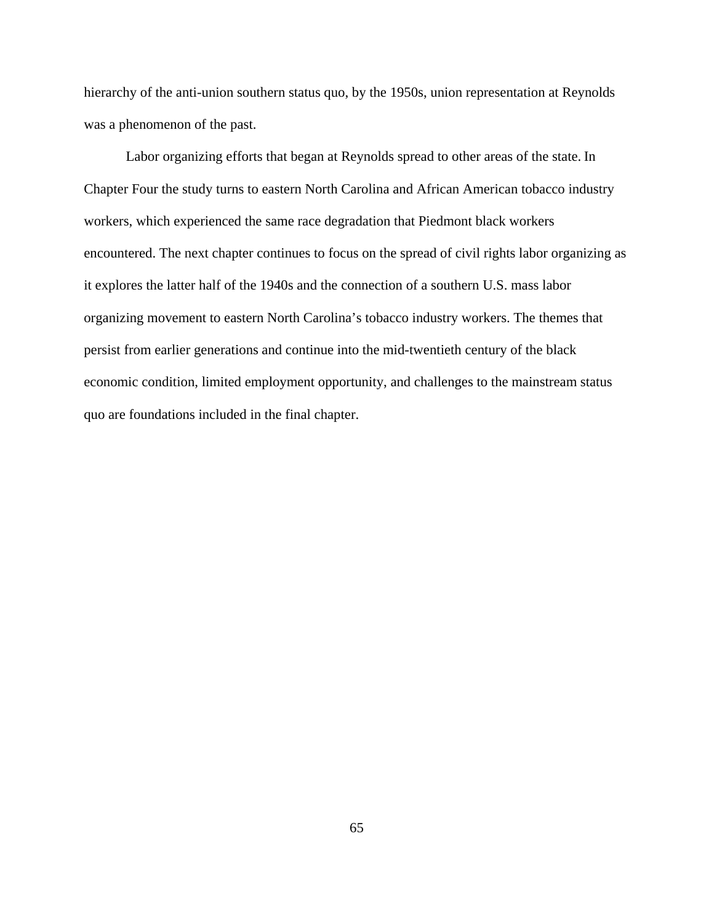hierarchy of the anti-union southern status quo, by the 1950s, union representation at Reynolds was a phenomenon of the past.

Labor organizing efforts that began at Reynolds spread to other areas of the state. In Chapter Four the study turns to eastern North Carolina and African American tobacco industry workers, which experienced the same race degradation that Piedmont black workers encountered. The next chapter continues to focus on the spread of civil rights labor organizing as it explores the latter half of the 1940s and the connection of a southern U.S. mass labor organizing movement to eastern North Carolina's tobacco industry workers. The themes that persist from earlier generations and continue into the mid-twentieth century of the black economic condition, limited employment opportunity, and challenges to the mainstream status quo are foundations included in the final chapter.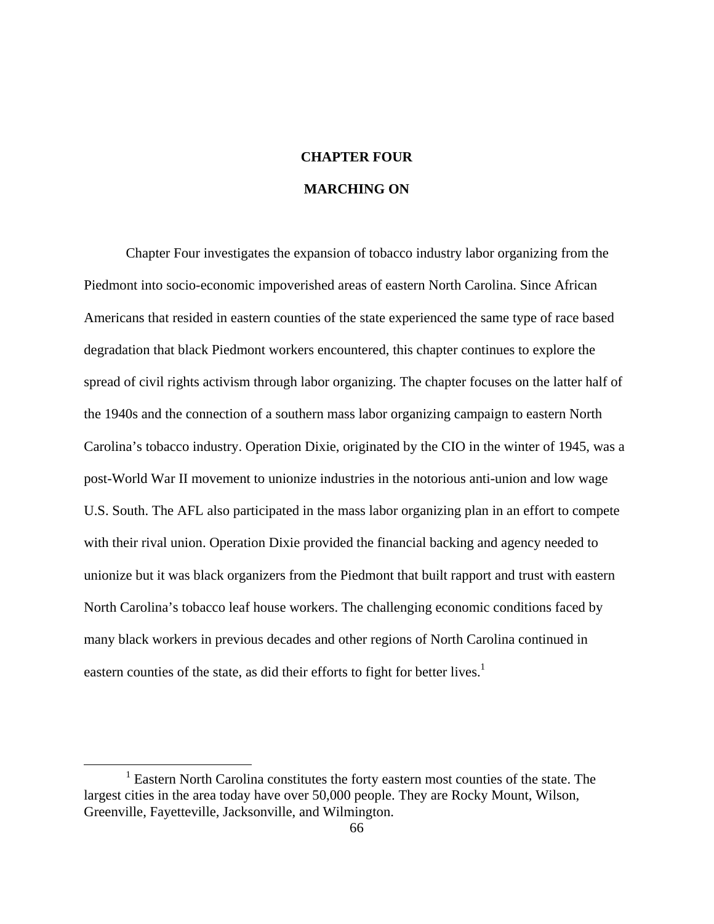# **CHAPTER FOUR MARCHING ON**

Chapter Four investigates the expansion of tobacco industry labor organizing from the Piedmont into socio-economic impoverished areas of eastern North Carolina. Since African Americans that resided in eastern counties of the state experienced the same type of race based degradation that black Piedmont workers encountered, this chapter continues to explore the spread of civil rights activism through labor organizing. The chapter focuses on the latter half of the 1940s and the connection of a southern mass labor organizing campaign to eastern North Carolina's tobacco industry. Operation Dixie, originated by the CIO in the winter of 1945, was a post-World War II movement to unionize industries in the notorious anti-union and low wage U.S. South. The AFL also participated in the mass labor organizing plan in an effort to compete with their rival union. Operation Dixie provided the financial backing and agency needed to unionize but it was black organizers from the Piedmont that built rapport and trust with eastern North Carolina's tobacco leaf house workers. The challenging economic conditions faced by many black workers in previous decades and other regions of North Carolina continued in eastern counties of the state, as did their efforts to fight for better lives.<sup>1</sup>

 <sup>1</sup> Eastern North Carolina constitutes the forty eastern most counties of the state. The largest cities in the area today have over 50,000 people. They are Rocky Mount, Wilson, Greenville, Fayetteville, Jacksonville, and Wilmington.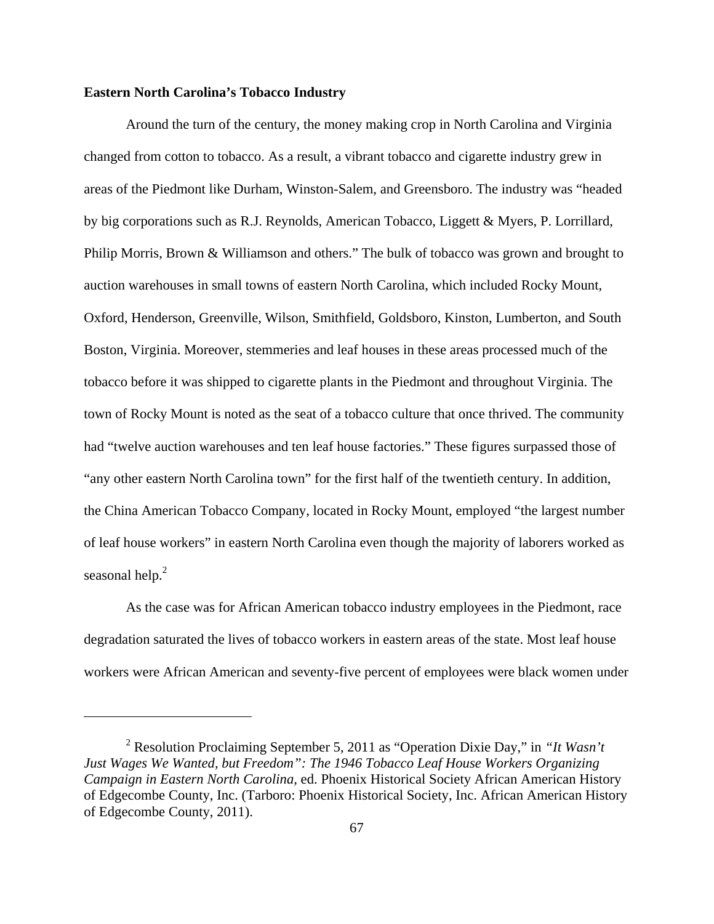### **Eastern North Carolina's Tobacco Industry**

 Around the turn of the century, the money making crop in North Carolina and Virginia changed from cotton to tobacco. As a result, a vibrant tobacco and cigarette industry grew in areas of the Piedmont like Durham, Winston-Salem, and Greensboro. The industry was "headed by big corporations such as R.J. Reynolds, American Tobacco, Liggett & Myers, P. Lorrillard, Philip Morris, Brown & Williamson and others." The bulk of tobacco was grown and brought to auction warehouses in small towns of eastern North Carolina, which included Rocky Mount, Oxford, Henderson, Greenville, Wilson, Smithfield, Goldsboro, Kinston, Lumberton, and South Boston, Virginia. Moreover, stemmeries and leaf houses in these areas processed much of the tobacco before it was shipped to cigarette plants in the Piedmont and throughout Virginia. The town of Rocky Mount is noted as the seat of a tobacco culture that once thrived. The community had "twelve auction warehouses and ten leaf house factories." These figures surpassed those of "any other eastern North Carolina town" for the first half of the twentieth century. In addition, the China American Tobacco Company, located in Rocky Mount, employed "the largest number of leaf house workers" in eastern North Carolina even though the majority of laborers worked as seasonal help.<sup>2</sup>

As the case was for African American tobacco industry employees in the Piedmont, race degradation saturated the lives of tobacco workers in eastern areas of the state. Most leaf house workers were African American and seventy-five percent of employees were black women under

<sup>2</sup> Resolution Proclaiming September 5, 2011 as "Operation Dixie Day," in *"It Wasn't Just Wages We Wanted, but Freedom": The 1946 Tobacco Leaf House Workers Organizing Campaign in Eastern North Carolina,* ed. Phoenix Historical Society African American History of Edgecombe County, Inc. (Tarboro: Phoenix Historical Society, Inc. African American History of Edgecombe County, 2011).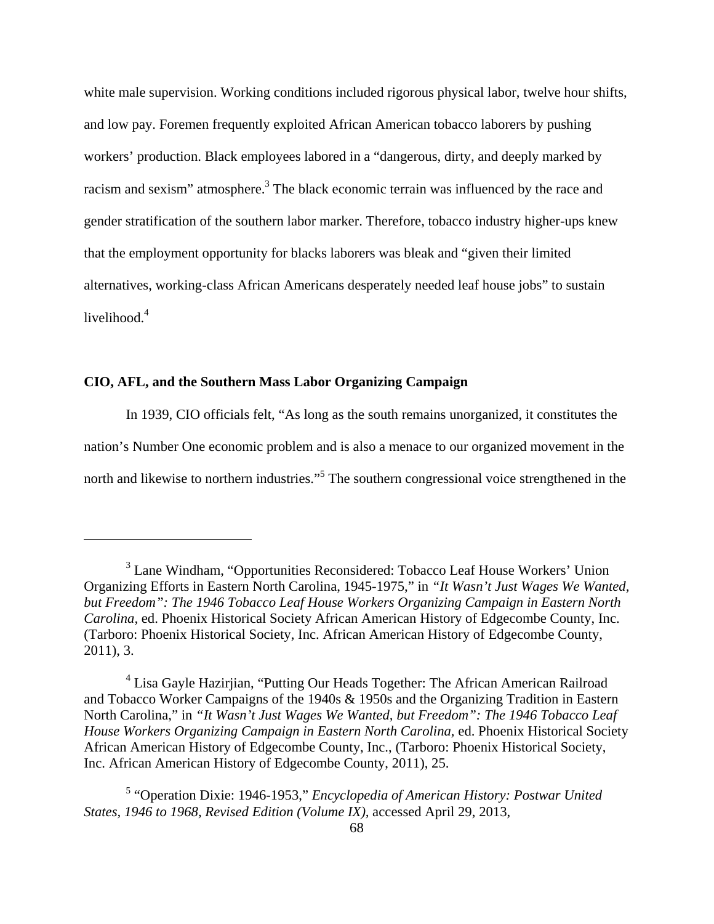white male supervision. Working conditions included rigorous physical labor, twelve hour shifts, and low pay. Foremen frequently exploited African American tobacco laborers by pushing workers' production. Black employees labored in a "dangerous, dirty, and deeply marked by racism and sexism" atmosphere.<sup>3</sup> The black economic terrain was influenced by the race and gender stratification of the southern labor marker. Therefore, tobacco industry higher-ups knew that the employment opportunity for blacks laborers was bleak and "given their limited alternatives, working-class African Americans desperately needed leaf house jobs" to sustain livelihood.<sup>4</sup>

# **CIO, AFL, and the Southern Mass Labor Organizing Campaign**

In 1939, CIO officials felt, "As long as the south remains unorganized, it constitutes the nation's Number One economic problem and is also a menace to our organized movement in the north and likewise to northern industries."<sup>5</sup> The southern congressional voice strengthened in the

<sup>&</sup>lt;sup>3</sup> Lane Windham, "Opportunities Reconsidered: Tobacco Leaf House Workers' Union Organizing Efforts in Eastern North Carolina, 1945-1975," in *"It Wasn't Just Wages We Wanted, but Freedom": The 1946 Tobacco Leaf House Workers Organizing Campaign in Eastern North Carolina,* ed. Phoenix Historical Society African American History of Edgecombe County, Inc. (Tarboro: Phoenix Historical Society, Inc. African American History of Edgecombe County, 2011), 3.

<sup>&</sup>lt;sup>4</sup> Lisa Gayle Hazirjian, "Putting Our Heads Together: The African American Railroad and Tobacco Worker Campaigns of the 1940s & 1950s and the Organizing Tradition in Eastern North Carolina," in *"It Wasn't Just Wages We Wanted, but Freedom": The 1946 Tobacco Leaf House Workers Organizing Campaign in Eastern North Carolina,* ed. Phoenix Historical Society African American History of Edgecombe County, Inc., (Tarboro: Phoenix Historical Society, Inc. African American History of Edgecombe County, 2011), 25.

<sup>5</sup> "Operation Dixie: 1946-1953," *Encyclopedia of American History: Postwar United States, 1946 to 1968, Revised Edition (Volume IX),* accessed April 29, 2013,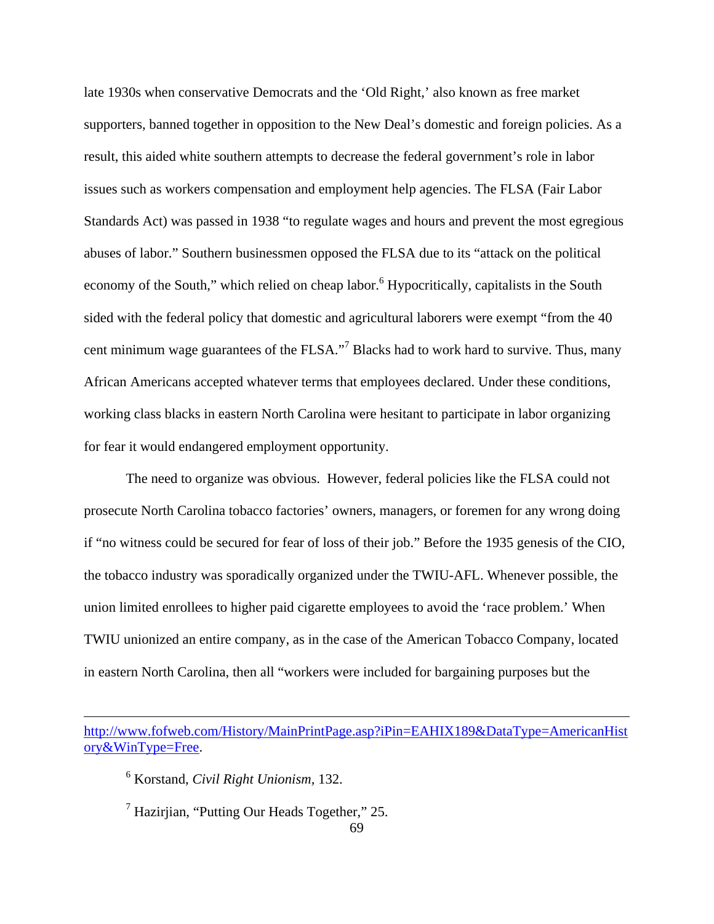late 1930s when conservative Democrats and the 'Old Right,' also known as free market supporters, banned together in opposition to the New Deal's domestic and foreign policies. As a result, this aided white southern attempts to decrease the federal government's role in labor issues such as workers compensation and employment help agencies. The FLSA (Fair Labor Standards Act) was passed in 1938 "to regulate wages and hours and prevent the most egregious abuses of labor." Southern businessmen opposed the FLSA due to its "attack on the political economy of the South," which relied on cheap labor. <sup>6</sup> Hypocritically, capitalists in the South sided with the federal policy that domestic and agricultural laborers were exempt "from the 40 cent minimum wage guarantees of the FLSA."<sup>7</sup> Blacks had to work hard to survive. Thus, many African Americans accepted whatever terms that employees declared. Under these conditions, working class blacks in eastern North Carolina were hesitant to participate in labor organizing for fear it would endangered employment opportunity.

The need to organize was obvious. However, federal policies like the FLSA could not prosecute North Carolina tobacco factories' owners, managers, or foremen for any wrong doing if "no witness could be secured for fear of loss of their job." Before the 1935 genesis of the CIO, the tobacco industry was sporadically organized under the TWIU-AFL. Whenever possible, the union limited enrollees to higher paid cigarette employees to avoid the 'race problem.' When TWIU unionized an entire company, as in the case of the American Tobacco Company, located in eastern North Carolina, then all "workers were included for bargaining purposes but the

<u> 1989 - Johann Stein, marwolaethau a gweledydd a ganlad y ganlad y ganlad y ganlad y ganlad y ganlad y ganlad</u>

6 Korstand, *Civil Right Unionism,* 132.

 $<sup>7</sup>$  Hazirjian, "Putting Our Heads Together," 25.</sup>

http://www.fofweb.com/History/MainPrintPage.asp?iPin=EAHIX189&DataType=AmericanHist ory&WinType=Free.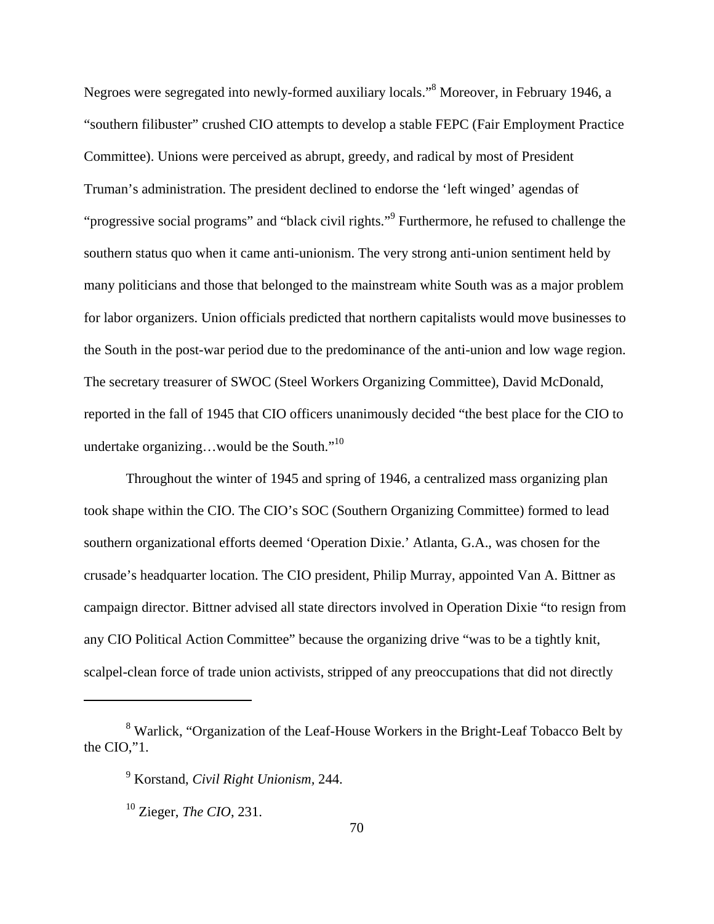Negroes were segregated into newly-formed auxiliary locals."<sup>8</sup> Moreover, in February 1946, a "southern filibuster" crushed CIO attempts to develop a stable FEPC (Fair Employment Practice Committee). Unions were perceived as abrupt, greedy, and radical by most of President Truman's administration. The president declined to endorse the 'left winged' agendas of "progressive social programs" and "black civil rights."<sup>9</sup> Furthermore, he refused to challenge the southern status quo when it came anti-unionism. The very strong anti-union sentiment held by many politicians and those that belonged to the mainstream white South was as a major problem for labor organizers. Union officials predicted that northern capitalists would move businesses to the South in the post-war period due to the predominance of the anti-union and low wage region. The secretary treasurer of SWOC (Steel Workers Organizing Committee), David McDonald, reported in the fall of 1945 that CIO officers unanimously decided "the best place for the CIO to undertake organizing...would be the South."<sup>10</sup>

Throughout the winter of 1945 and spring of 1946, a centralized mass organizing plan took shape within the CIO. The CIO's SOC (Southern Organizing Committee) formed to lead southern organizational efforts deemed 'Operation Dixie.' Atlanta, G.A., was chosen for the crusade's headquarter location. The CIO president, Philip Murray, appointed Van A. Bittner as campaign director. Bittner advised all state directors involved in Operation Dixie "to resign from any CIO Political Action Committee" because the organizing drive "was to be a tightly knit, scalpel-clean force of trade union activists, stripped of any preoccupations that did not directly

<sup>&</sup>lt;sup>8</sup> Warlick, "Organization of the Leaf-House Workers in the Bright-Leaf Tobacco Belt by the CIO,"1.

<sup>9</sup> Korstand, *Civil Right Unionism,* 244.

<sup>10</sup> Zieger, *The CIO*, 231.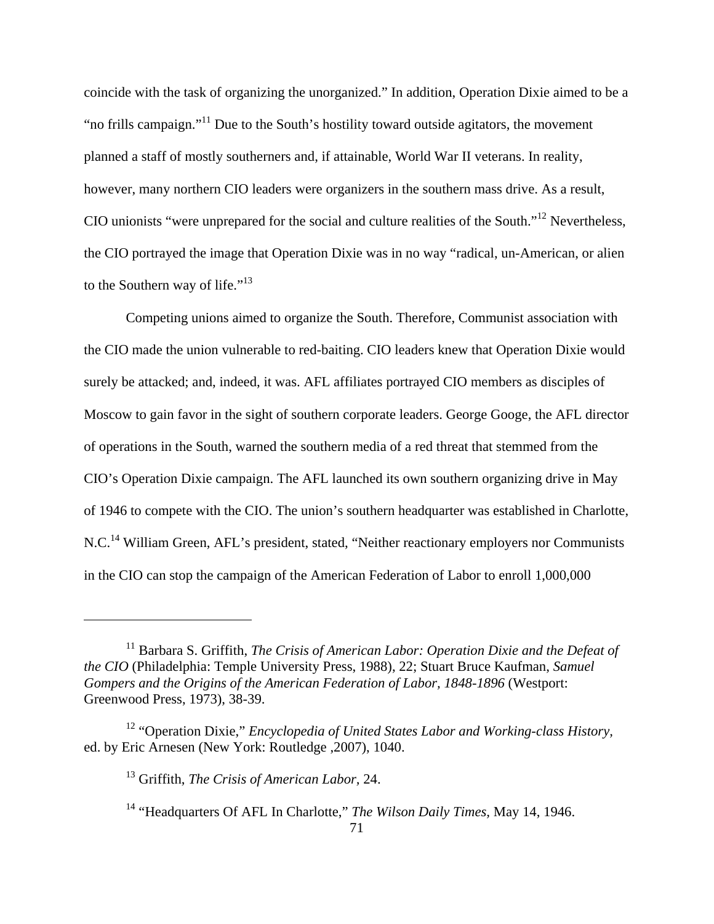coincide with the task of organizing the unorganized." In addition, Operation Dixie aimed to be a "no frills campaign."<sup>11</sup> Due to the South's hostility toward outside agitators, the movement planned a staff of mostly southerners and, if attainable, World War II veterans. In reality, however, many northern CIO leaders were organizers in the southern mass drive. As a result, CIO unionists "were unprepared for the social and culture realities of the South."12 Nevertheless, the CIO portrayed the image that Operation Dixie was in no way "radical, un-American, or alien to the Southern way of life."<sup>13</sup>

Competing unions aimed to organize the South. Therefore, Communist association with the CIO made the union vulnerable to red-baiting. CIO leaders knew that Operation Dixie would surely be attacked; and, indeed, it was. AFL affiliates portrayed CIO members as disciples of Moscow to gain favor in the sight of southern corporate leaders. George Googe, the AFL director of operations in the South, warned the southern media of a red threat that stemmed from the CIO's Operation Dixie campaign. The AFL launched its own southern organizing drive in May of 1946 to compete with the CIO. The union's southern headquarter was established in Charlotte, N.C.<sup>14</sup> William Green, AFL's president, stated, "Neither reactionary employers nor Communists in the CIO can stop the campaign of the American Federation of Labor to enroll 1,000,000

<sup>&</sup>lt;sup>11</sup> Barbara S. Griffith, *The Crisis of American Labor: Operation Dixie and the Defeat of the CIO* (Philadelphia: Temple University Press, 1988), 22; Stuart Bruce Kaufman, *Samuel Gompers and the Origins of the American Federation of Labor, 1848-1896 (Westport:* Greenwood Press, 1973), 38-39.

<sup>&</sup>lt;sup>12</sup> "Operation Dixie," *Encyclopedia of United States Labor and Working-class History*, ed. by Eric Arnesen (New York: Routledge ,2007), 1040.

<sup>13</sup> Griffith, *The Crisis of American Labor,* 24.

<sup>14 &</sup>quot;Headquarters Of AFL In Charlotte," *The Wilson Daily Times,* May 14, 1946.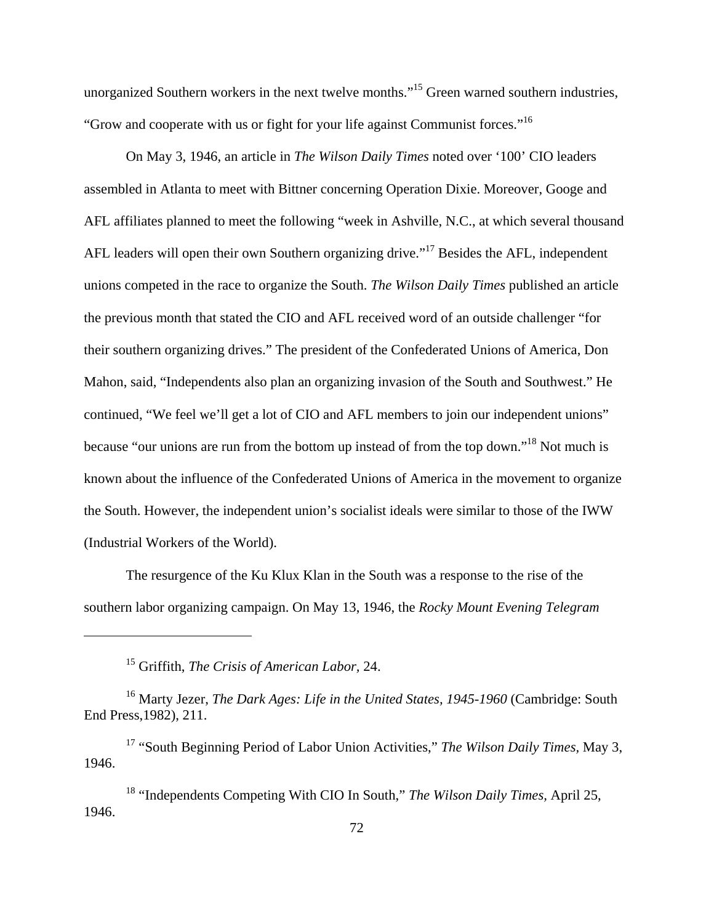unorganized Southern workers in the next twelve months."<sup>15</sup> Green warned southern industries, "Grow and cooperate with us or fight for your life against Communist forces."16

On May 3, 1946, an article in *The Wilson Daily Times* noted over '100' CIO leaders assembled in Atlanta to meet with Bittner concerning Operation Dixie. Moreover, Googe and AFL affiliates planned to meet the following "week in Ashville, N.C., at which several thousand AFL leaders will open their own Southern organizing drive."<sup>17</sup> Besides the AFL, independent unions competed in the race to organize the South. *The Wilson Daily Times* published an article the previous month that stated the CIO and AFL received word of an outside challenger "for their southern organizing drives." The president of the Confederated Unions of America, Don Mahon, said, "Independents also plan an organizing invasion of the South and Southwest." He continued, "We feel we'll get a lot of CIO and AFL members to join our independent unions" because "our unions are run from the bottom up instead of from the top down."<sup>18</sup> Not much is known about the influence of the Confederated Unions of America in the movement to organize the South. However, the independent union's socialist ideals were similar to those of the IWW (Industrial Workers of the World).

The resurgence of the Ku Klux Klan in the South was a response to the rise of the southern labor organizing campaign. On May 13, 1946, the *Rocky Mount Evening Telegram*

15 Griffith, *The Crisis of American Labor,* 24.

<sup>16</sup> Marty Jezer, *The Dark Ages: Life in the United States, 1945-1960* (Cambridge: South End Press,1982), 211.

17 "South Beginning Period of Labor Union Activities," *The Wilson Daily Times,* May 3, 1946.

18 "Independents Competing With CIO In South," *The Wilson Daily Times,* April 25, 1946.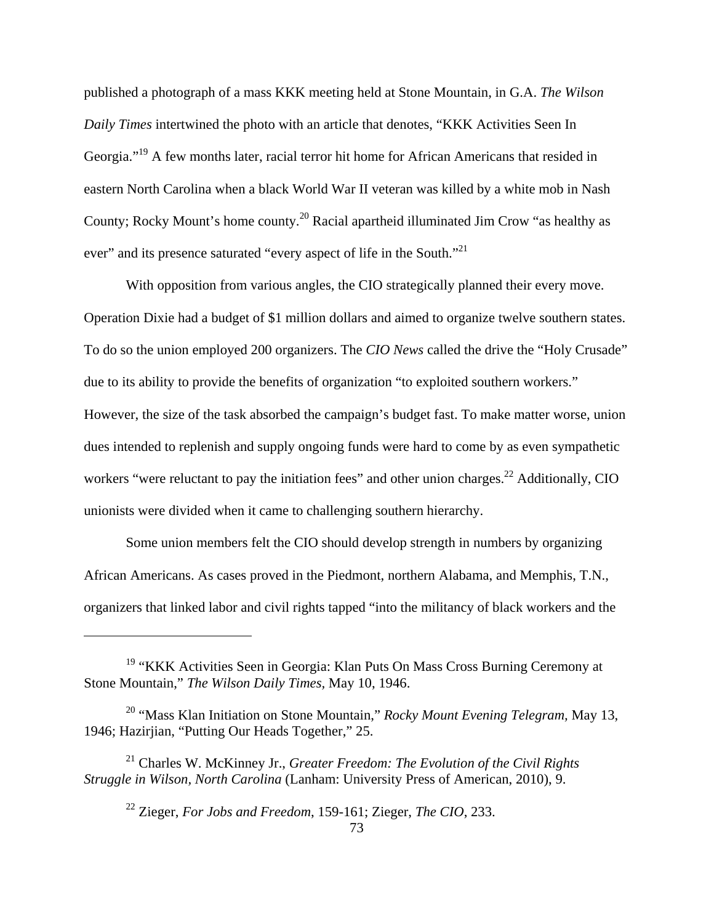published a photograph of a mass KKK meeting held at Stone Mountain, in G.A. *The Wilson Daily Times* intertwined the photo with an article that denotes, "KKK Activities Seen In Georgia."<sup>19</sup> A few months later, racial terror hit home for African Americans that resided in eastern North Carolina when a black World War II veteran was killed by a white mob in Nash County; Rocky Mount's home county.20 Racial apartheid illuminated Jim Crow "as healthy as ever" and its presence saturated "every aspect of life in the South."<sup>21</sup>

With opposition from various angles, the CIO strategically planned their every move. Operation Dixie had a budget of \$1 million dollars and aimed to organize twelve southern states. To do so the union employed 200 organizers. The *CIO News* called the drive the "Holy Crusade" due to its ability to provide the benefits of organization "to exploited southern workers." However, the size of the task absorbed the campaign's budget fast. To make matter worse, union dues intended to replenish and supply ongoing funds were hard to come by as even sympathetic workers "were reluctant to pay the initiation fees" and other union charges.<sup>22</sup> Additionally, CIO unionists were divided when it came to challenging southern hierarchy.

Some union members felt the CIO should develop strength in numbers by organizing African Americans. As cases proved in the Piedmont, northern Alabama, and Memphis, T.N., organizers that linked labor and civil rights tapped "into the militancy of black workers and the

<sup>&</sup>lt;sup>19</sup> "KKK Activities Seen in Georgia: Klan Puts On Mass Cross Burning Ceremony at Stone Mountain," *The Wilson Daily Times,* May 10, 1946.

<sup>20 &</sup>quot;Mass Klan Initiation on Stone Mountain," *Rocky Mount Evening Telegram,* May 13, 1946; Hazirjian, "Putting Our Heads Together," 25.

<sup>21</sup> Charles W. McKinney Jr., *Greater Freedom: The Evolution of the Civil Rights Struggle in Wilson, North Carolina* (Lanham: University Press of American, 2010), 9.

<sup>22</sup> Zieger, *For Jobs and Freedom*, 159-161; Zieger, *The CIO*, 233.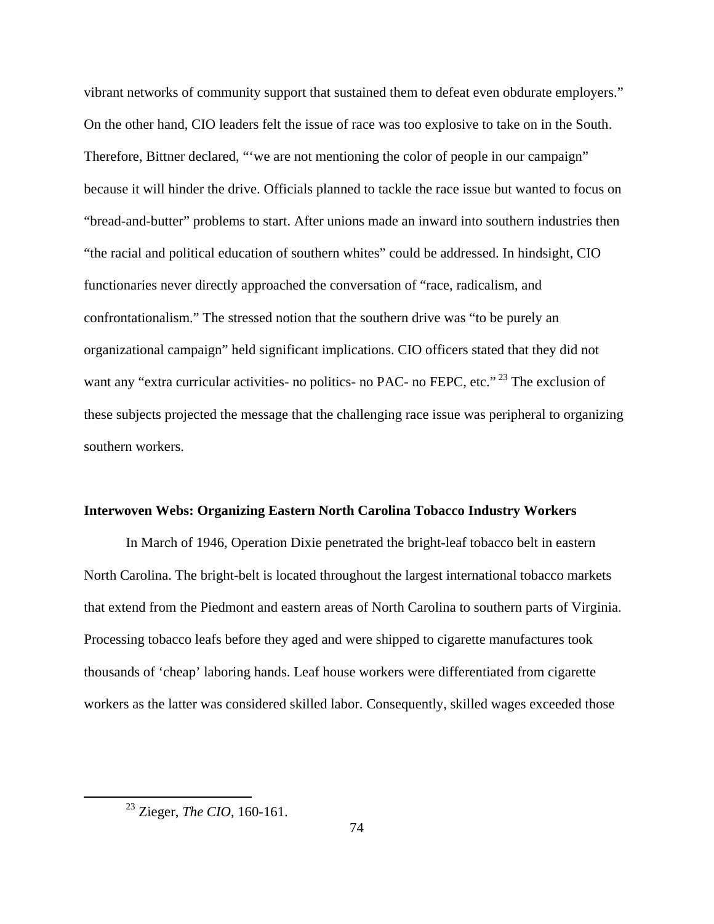vibrant networks of community support that sustained them to defeat even obdurate employers." On the other hand, CIO leaders felt the issue of race was too explosive to take on in the South. Therefore, Bittner declared, ""we are not mentioning the color of people in our campaign" because it will hinder the drive. Officials planned to tackle the race issue but wanted to focus on "bread-and-butter" problems to start. After unions made an inward into southern industries then "the racial and political education of southern whites" could be addressed. In hindsight, CIO functionaries never directly approached the conversation of "race, radicalism, and confrontationalism." The stressed notion that the southern drive was "to be purely an organizational campaign" held significant implications. CIO officers stated that they did not want any "extra curricular activities- no politics- no PAC- no FEPC, etc."<sup>23</sup> The exclusion of these subjects projected the message that the challenging race issue was peripheral to organizing southern workers.

#### **Interwoven Webs: Organizing Eastern North Carolina Tobacco Industry Workers**

 In March of 1946, Operation Dixie penetrated the bright-leaf tobacco belt in eastern North Carolina. The bright-belt is located throughout the largest international tobacco markets that extend from the Piedmont and eastern areas of North Carolina to southern parts of Virginia. Processing tobacco leafs before they aged and were shipped to cigarette manufactures took thousands of 'cheap' laboring hands. Leaf house workers were differentiated from cigarette workers as the latter was considered skilled labor. Consequently, skilled wages exceeded those

 23 Zieger, *The CIO*, 160-161.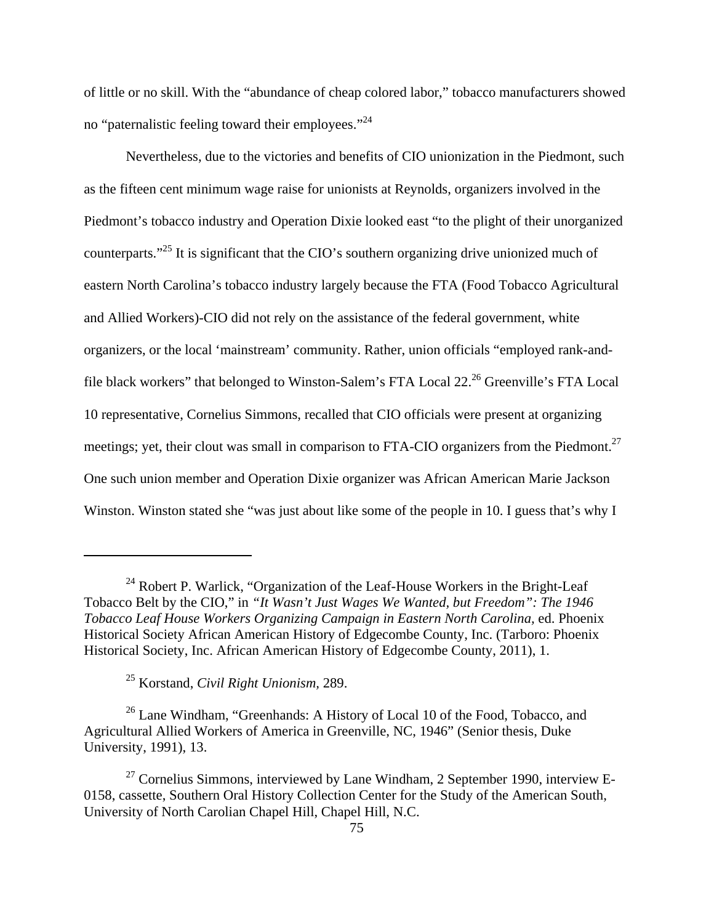of little or no skill. With the "abundance of cheap colored labor," tobacco manufacturers showed no "paternalistic feeling toward their employees."24

 Nevertheless, due to the victories and benefits of CIO unionization in the Piedmont, such as the fifteen cent minimum wage raise for unionists at Reynolds, organizers involved in the Piedmont's tobacco industry and Operation Dixie looked east "to the plight of their unorganized counterparts."<sup>25</sup> It is significant that the CIO's southern organizing drive unionized much of eastern North Carolina's tobacco industry largely because the FTA (Food Tobacco Agricultural and Allied Workers)-CIO did not rely on the assistance of the federal government, white organizers, or the local 'mainstream' community. Rather, union officials "employed rank-andfile black workers" that belonged to Winston-Salem's FTA Local 22.<sup>26</sup> Greenville's FTA Local 10 representative, Cornelius Simmons, recalled that CIO officials were present at organizing meetings; yet, their clout was small in comparison to FTA-CIO organizers from the Piedmont.<sup>27</sup> One such union member and Operation Dixie organizer was African American Marie Jackson Winston. Winston stated she "was just about like some of the people in 10. I guess that's why I

25 Korstand, *Civil Right Unionism,* 289.

 $^{26}$  Lane Windham, "Greenhands: A History of Local 10 of the Food, Tobacco, and Agricultural Allied Workers of America in Greenville, NC, 1946" (Senior thesis, Duke University, 1991), 13.

 $24$  Robert P. Warlick, "Organization of the Leaf-House Workers in the Bright-Leaf Tobacco Belt by the CIO," in *"It Wasn't Just Wages We Wanted, but Freedom": The 1946 Tobacco Leaf House Workers Organizing Campaign in Eastern North Carolina,* ed. Phoenix Historical Society African American History of Edgecombe County, Inc. (Tarboro: Phoenix Historical Society, Inc. African American History of Edgecombe County, 2011), 1.

<sup>&</sup>lt;sup>27</sup> Cornelius Simmons, interviewed by Lane Windham, 2 September 1990, interview E-0158, cassette, Southern Oral History Collection Center for the Study of the American South, University of North Carolian Chapel Hill, Chapel Hill, N.C.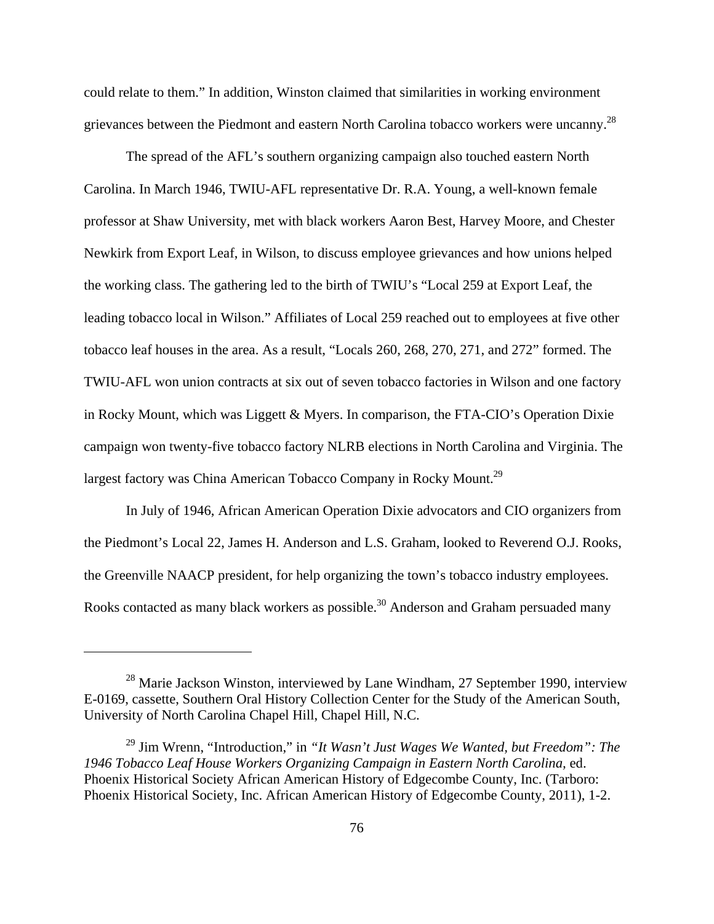could relate to them." In addition, Winston claimed that similarities in working environment grievances between the Piedmont and eastern North Carolina tobacco workers were uncanny.28

The spread of the AFL's southern organizing campaign also touched eastern North Carolina. In March 1946, TWIU-AFL representative Dr. R.A. Young, a well-known female professor at Shaw University, met with black workers Aaron Best, Harvey Moore, and Chester Newkirk from Export Leaf, in Wilson, to discuss employee grievances and how unions helped the working class. The gathering led to the birth of TWIU's "Local 259 at Export Leaf, the leading tobacco local in Wilson." Affiliates of Local 259 reached out to employees at five other tobacco leaf houses in the area. As a result, "Locals 260, 268, 270, 271, and 272" formed. The TWIU-AFL won union contracts at six out of seven tobacco factories in Wilson and one factory in Rocky Mount, which was Liggett & Myers. In comparison, the FTA-CIO's Operation Dixie campaign won twenty-five tobacco factory NLRB elections in North Carolina and Virginia. The largest factory was China American Tobacco Company in Rocky Mount.<sup>29</sup>

In July of 1946, African American Operation Dixie advocators and CIO organizers from the Piedmont's Local 22, James H. Anderson and L.S. Graham, looked to Reverend O.J. Rooks, the Greenville NAACP president, for help organizing the town's tobacco industry employees. Rooks contacted as many black workers as possible.<sup>30</sup> Anderson and Graham persuaded many

<sup>28</sup> Marie Jackson Winston, interviewed by Lane Windham, 27 September 1990, interview E-0169, cassette, Southern Oral History Collection Center for the Study of the American South, University of North Carolina Chapel Hill, Chapel Hill, N.C.

<sup>29</sup> Jim Wrenn, "Introduction," in *"It Wasn't Just Wages We Wanted, but Freedom": The 1946 Tobacco Leaf House Workers Organizing Campaign in Eastern North Carolina,* ed. Phoenix Historical Society African American History of Edgecombe County, Inc. (Tarboro: Phoenix Historical Society, Inc. African American History of Edgecombe County, 2011), 1-2.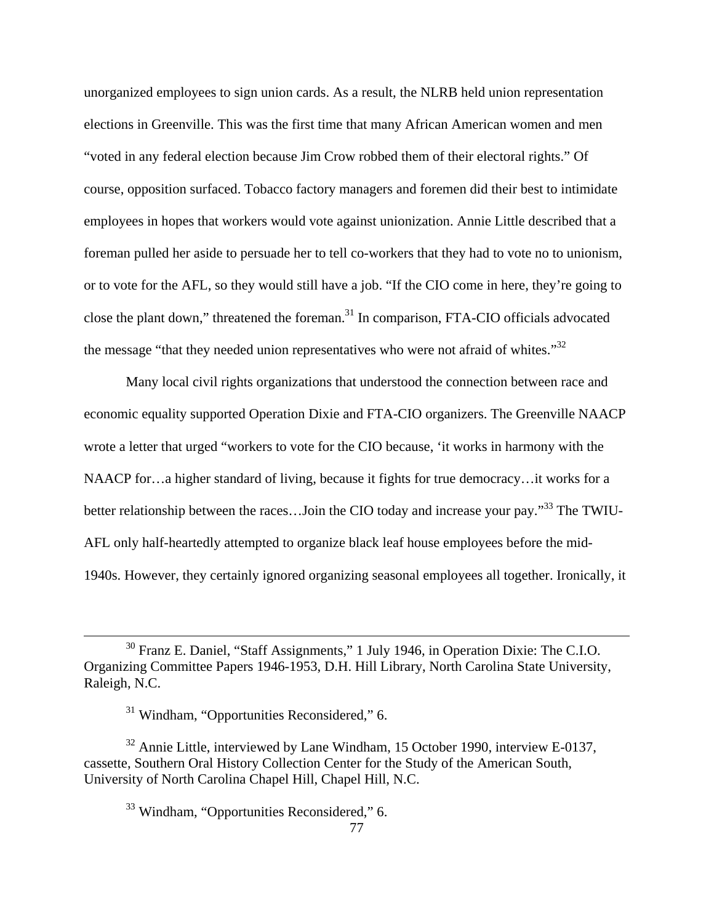unorganized employees to sign union cards. As a result, the NLRB held union representation elections in Greenville. This was the first time that many African American women and men "voted in any federal election because Jim Crow robbed them of their electoral rights." Of course, opposition surfaced. Tobacco factory managers and foremen did their best to intimidate employees in hopes that workers would vote against unionization. Annie Little described that a foreman pulled her aside to persuade her to tell co-workers that they had to vote no to unionism, or to vote for the AFL, so they would still have a job. "If the CIO come in here, they're going to close the plant down," threatened the foreman.<sup>31</sup> In comparison, FTA-CIO officials advocated the message "that they needed union representatives who were not afraid of whites."<sup>32</sup>

Many local civil rights organizations that understood the connection between race and economic equality supported Operation Dixie and FTA-CIO organizers. The Greenville NAACP wrote a letter that urged "workers to vote for the CIO because, 'it works in harmony with the NAACP for…a higher standard of living, because it fights for true democracy…it works for a better relationship between the races...Join the CIO today and increase your pay."<sup>33</sup> The TWIU-AFL only half-heartedly attempted to organize black leaf house employees before the mid-1940s. However, they certainly ignored organizing seasonal employees all together. Ironically, it

 $32$  Annie Little, interviewed by Lane Windham, 15 October 1990, interview E-0137, cassette, Southern Oral History Collection Center for the Study of the American South, University of North Carolina Chapel Hill, Chapel Hill, N.C.

<sup>33</sup> Windham, "Opportunities Reconsidered," 6.

 30 Franz E. Daniel, "Staff Assignments," 1 July 1946, in Operation Dixie: The C.I.O. Organizing Committee Papers 1946-1953, D.H. Hill Library, North Carolina State University, Raleigh, N.C.

 $31$  Windham, "Opportunities Reconsidered," 6.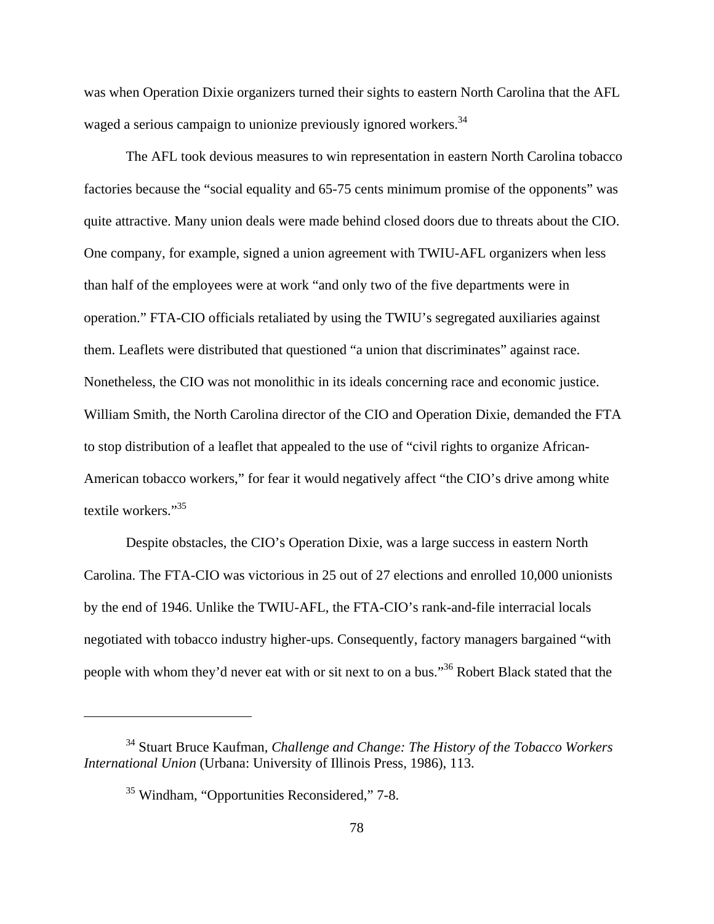was when Operation Dixie organizers turned their sights to eastern North Carolina that the AFL waged a serious campaign to unionize previously ignored workers.<sup>34</sup>

The AFL took devious measures to win representation in eastern North Carolina tobacco factories because the "social equality and 65-75 cents minimum promise of the opponents" was quite attractive. Many union deals were made behind closed doors due to threats about the CIO. One company, for example, signed a union agreement with TWIU-AFL organizers when less than half of the employees were at work "and only two of the five departments were in operation." FTA-CIO officials retaliated by using the TWIU's segregated auxiliaries against them. Leaflets were distributed that questioned "a union that discriminates" against race. Nonetheless, the CIO was not monolithic in its ideals concerning race and economic justice. William Smith, the North Carolina director of the CIO and Operation Dixie, demanded the FTA to stop distribution of a leaflet that appealed to the use of "civil rights to organize African-American tobacco workers," for fear it would negatively affect "the CIO's drive among white textile workers."<sup>35</sup>

Despite obstacles, the CIO's Operation Dixie, was a large success in eastern North Carolina. The FTA-CIO was victorious in 25 out of 27 elections and enrolled 10,000 unionists by the end of 1946. Unlike the TWIU-AFL, the FTA-CIO's rank-and-file interracial locals negotiated with tobacco industry higher-ups. Consequently, factory managers bargained "with people with whom they'd never eat with or sit next to on a bus."36 Robert Black stated that the

<sup>34</sup> Stuart Bruce Kaufman, *Challenge and Change: The History of the Tobacco Workers International Union* (Urbana: University of Illinois Press, 1986), 113.

<sup>35</sup> Windham, "Opportunities Reconsidered," 7-8.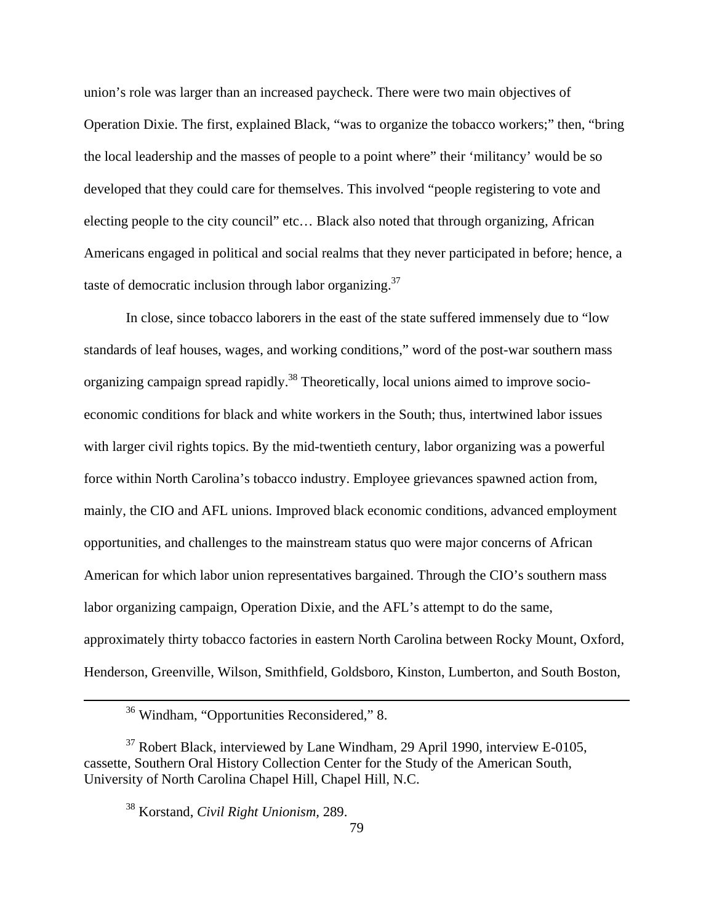union's role was larger than an increased paycheck. There were two main objectives of Operation Dixie. The first, explained Black, "was to organize the tobacco workers;" then, "bring the local leadership and the masses of people to a point where" their 'militancy' would be so developed that they could care for themselves. This involved "people registering to vote and electing people to the city council" etc… Black also noted that through organizing, African Americans engaged in political and social realms that they never participated in before; hence, a taste of democratic inclusion through labor organizing. $37$ 

In close, since tobacco laborers in the east of the state suffered immensely due to "low standards of leaf houses, wages, and working conditions," word of the post-war southern mass organizing campaign spread rapidly.<sup>38</sup> Theoretically, local unions aimed to improve socioeconomic conditions for black and white workers in the South; thus, intertwined labor issues with larger civil rights topics. By the mid-twentieth century, labor organizing was a powerful force within North Carolina's tobacco industry. Employee grievances spawned action from, mainly, the CIO and AFL unions. Improved black economic conditions, advanced employment opportunities, and challenges to the mainstream status quo were major concerns of African American for which labor union representatives bargained. Through the CIO's southern mass labor organizing campaign, Operation Dixie, and the AFL's attempt to do the same, approximately thirty tobacco factories in eastern North Carolina between Rocky Mount, Oxford, Henderson, Greenville, Wilson, Smithfield, Goldsboro, Kinston, Lumberton, and South Boston,

 36 Windham, "Opportunities Reconsidered," 8.

 $37$  Robert Black, interviewed by Lane Windham, 29 April 1990, interview E-0105, cassette, Southern Oral History Collection Center for the Study of the American South, University of North Carolina Chapel Hill, Chapel Hill, N.C.

<sup>38</sup> Korstand, *Civil Right Unionism,* 289.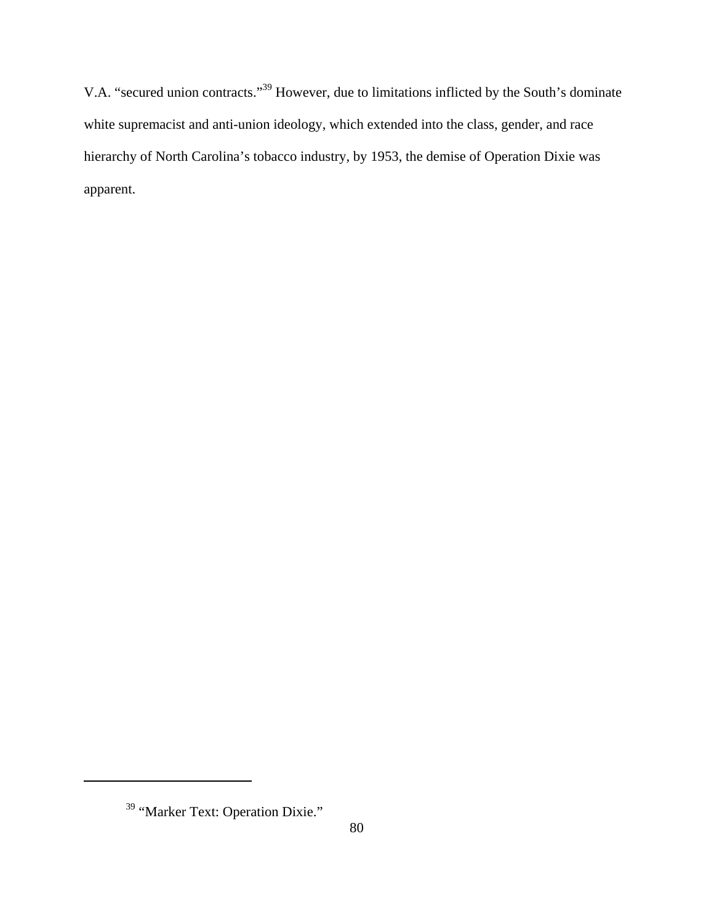V.A. "secured union contracts."39 However, due to limitations inflicted by the South's dominate white supremacist and anti-union ideology, which extended into the class, gender, and race hierarchy of North Carolina's tobacco industry, by 1953, the demise of Operation Dixie was apparent.

<sup>&</sup>lt;sup>39</sup> "Marker Text: Operation Dixie."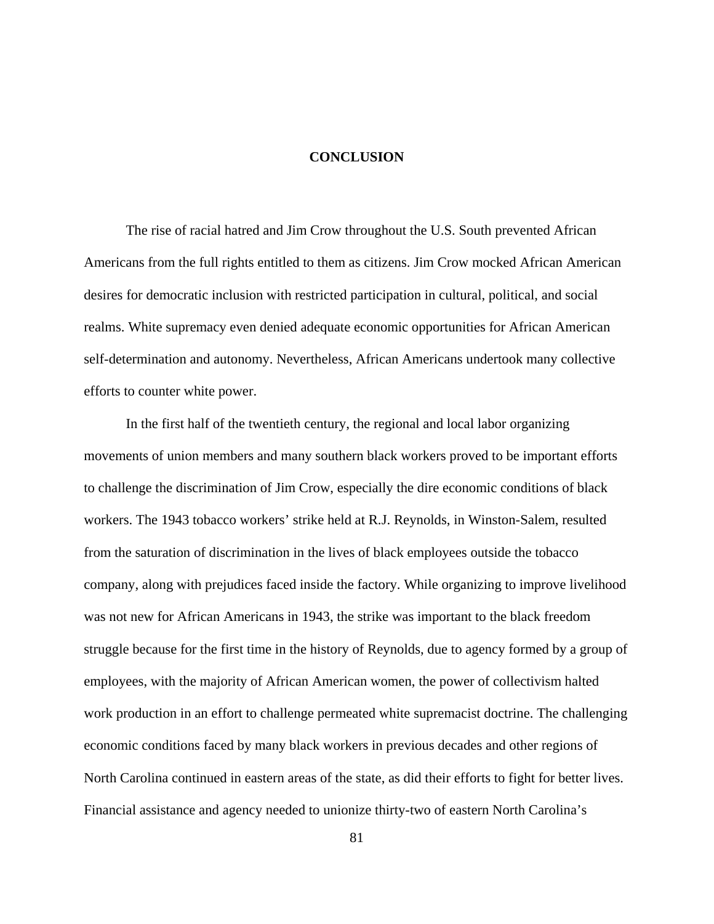#### **CONCLUSION**

The rise of racial hatred and Jim Crow throughout the U.S. South prevented African Americans from the full rights entitled to them as citizens. Jim Crow mocked African American desires for democratic inclusion with restricted participation in cultural, political, and social realms. White supremacy even denied adequate economic opportunities for African American self-determination and autonomy. Nevertheless, African Americans undertook many collective efforts to counter white power.

In the first half of the twentieth century, the regional and local labor organizing movements of union members and many southern black workers proved to be important efforts to challenge the discrimination of Jim Crow, especially the dire economic conditions of black workers. The 1943 tobacco workers' strike held at R.J. Reynolds, in Winston-Salem, resulted from the saturation of discrimination in the lives of black employees outside the tobacco company, along with prejudices faced inside the factory. While organizing to improve livelihood was not new for African Americans in 1943, the strike was important to the black freedom struggle because for the first time in the history of Reynolds, due to agency formed by a group of employees, with the majority of African American women, the power of collectivism halted work production in an effort to challenge permeated white supremacist doctrine. The challenging economic conditions faced by many black workers in previous decades and other regions of North Carolina continued in eastern areas of the state, as did their efforts to fight for better lives. Financial assistance and agency needed to unionize thirty-two of eastern North Carolina's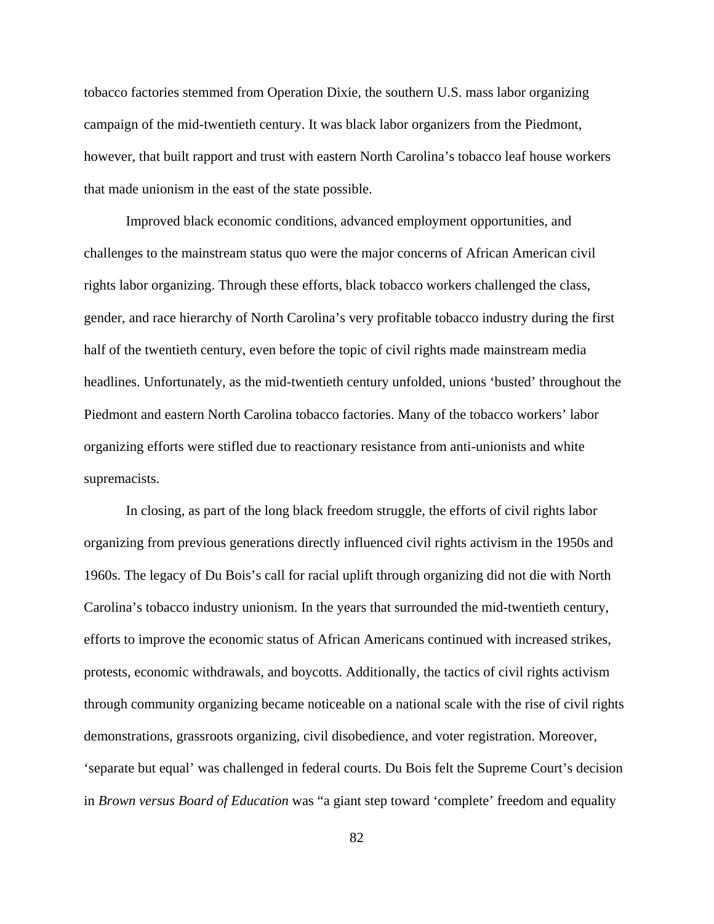tobacco factories stemmed from Operation Dixie, the southern U.S. mass labor organizing campaign of the mid-twentieth century. It was black labor organizers from the Piedmont, however, that built rapport and trust with eastern North Carolina's tobacco leaf house workers that made unionism in the east of the state possible.

Improved black economic conditions, advanced employment opportunities, and challenges to the mainstream status quo were the major concerns of African American civil rights labor organizing. Through these efforts, black tobacco workers challenged the class, gender, and race hierarchy of North Carolina's very profitable tobacco industry during the first half of the twentieth century, even before the topic of civil rights made mainstream media headlines. Unfortunately, as the mid-twentieth century unfolded, unions 'busted' throughout the Piedmont and eastern North Carolina tobacco factories. Many of the tobacco workers' labor organizing efforts were stifled due to reactionary resistance from anti-unionists and white supremacists.

In closing, as part of the long black freedom struggle, the efforts of civil rights labor organizing from previous generations directly influenced civil rights activism in the 1950s and 1960s. The legacy of Du Bois's call for racial uplift through organizing did not die with North Carolina's tobacco industry unionism. In the years that surrounded the mid-twentieth century, efforts to improve the economic status of African Americans continued with increased strikes, protests, economic withdrawals, and boycotts. Additionally, the tactics of civil rights activism through community organizing became noticeable on a national scale with the rise of civil rights demonstrations, grassroots organizing, civil disobedience, and voter registration. Moreover, 'separate but equal' was challenged in federal courts. Du Bois felt the Supreme Court's decision in *Brown versus Board of Education* was "a giant step toward 'complete' freedom and equality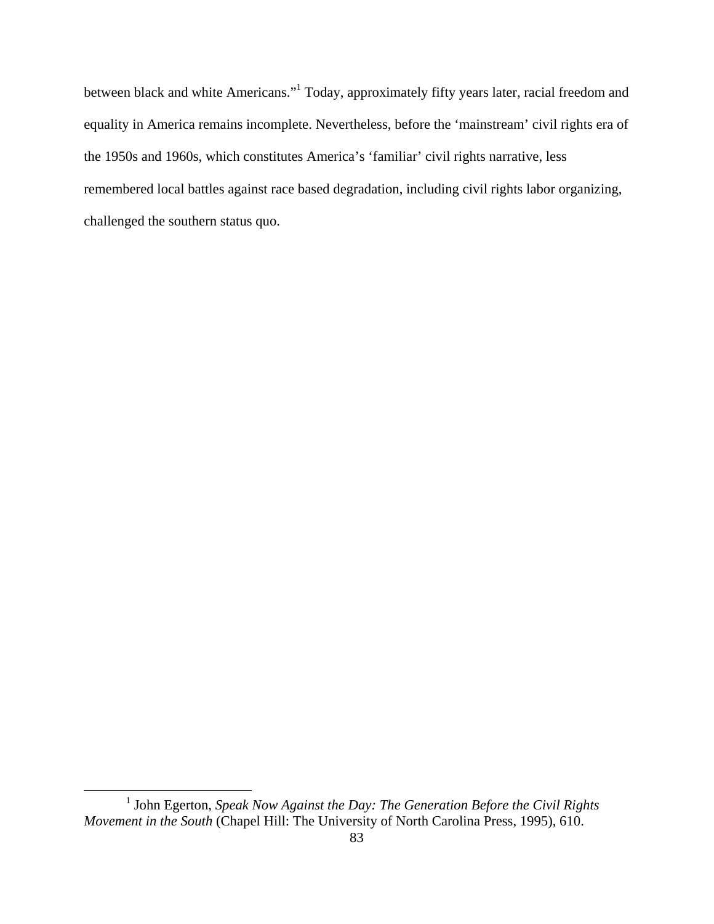between black and white Americans."<sup>1</sup> Today, approximately fifty years later, racial freedom and equality in America remains incomplete. Nevertheless, before the 'mainstream' civil rights era of the 1950s and 1960s, which constitutes America's 'familiar' civil rights narrative, less remembered local battles against race based degradation, including civil rights labor organizing, challenged the southern status quo.

 <sup>1</sup> John Egerton, *Speak Now Against the Day: The Generation Before the Civil Rights Movement in the South* (Chapel Hill: The University of North Carolina Press, 1995), 610.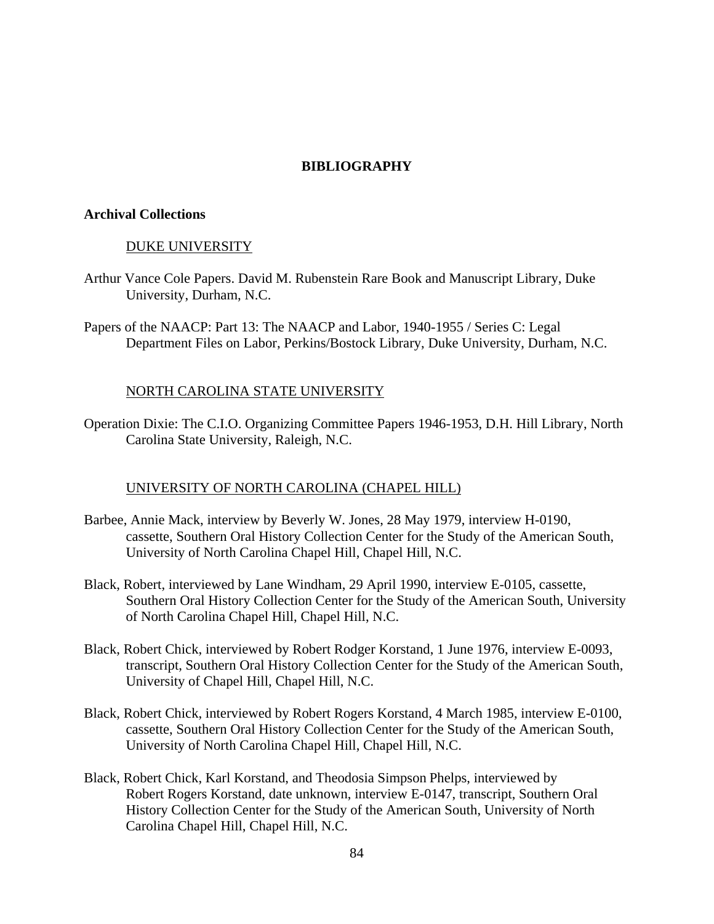# **BIBLIOGRAPHY**

#### **Archival Collections**

#### DUKE UNIVERSITY

- Arthur Vance Cole Papers. David M. Rubenstein Rare Book and Manuscript Library, Duke University, Durham, N.C.
- Papers of the NAACP: Part 13: The NAACP and Labor, 1940-1955 / Series C: Legal Department Files on Labor, Perkins/Bostock Library, Duke University, Durham, N.C.

### NORTH CAROLINA STATE UNIVERSITY

Operation Dixie: The C.I.O. Organizing Committee Papers 1946-1953, D.H. Hill Library, North Carolina State University, Raleigh, N.C.

### UNIVERSITY OF NORTH CAROLINA (CHAPEL HILL)

- Barbee, Annie Mack, interview by Beverly W. Jones, 28 May 1979, interview H-0190, cassette, Southern Oral History Collection Center for the Study of the American South, University of North Carolina Chapel Hill, Chapel Hill, N.C.
- Black, Robert, interviewed by Lane Windham, 29 April 1990, interview E-0105, cassette, Southern Oral History Collection Center for the Study of the American South, University of North Carolina Chapel Hill, Chapel Hill, N.C.
- Black, Robert Chick, interviewed by Robert Rodger Korstand, 1 June 1976, interview E-0093, transcript, Southern Oral History Collection Center for the Study of the American South, University of Chapel Hill, Chapel Hill, N.C.
- Black, Robert Chick, interviewed by Robert Rogers Korstand, 4 March 1985, interview E-0100, cassette, Southern Oral History Collection Center for the Study of the American South, University of North Carolina Chapel Hill, Chapel Hill, N.C.
- Black, Robert Chick, Karl Korstand, and Theodosia Simpson Phelps, interviewed by Robert Rogers Korstand, date unknown, interview E-0147, transcript, Southern Oral History Collection Center for the Study of the American South, University of North Carolina Chapel Hill, Chapel Hill, N.C.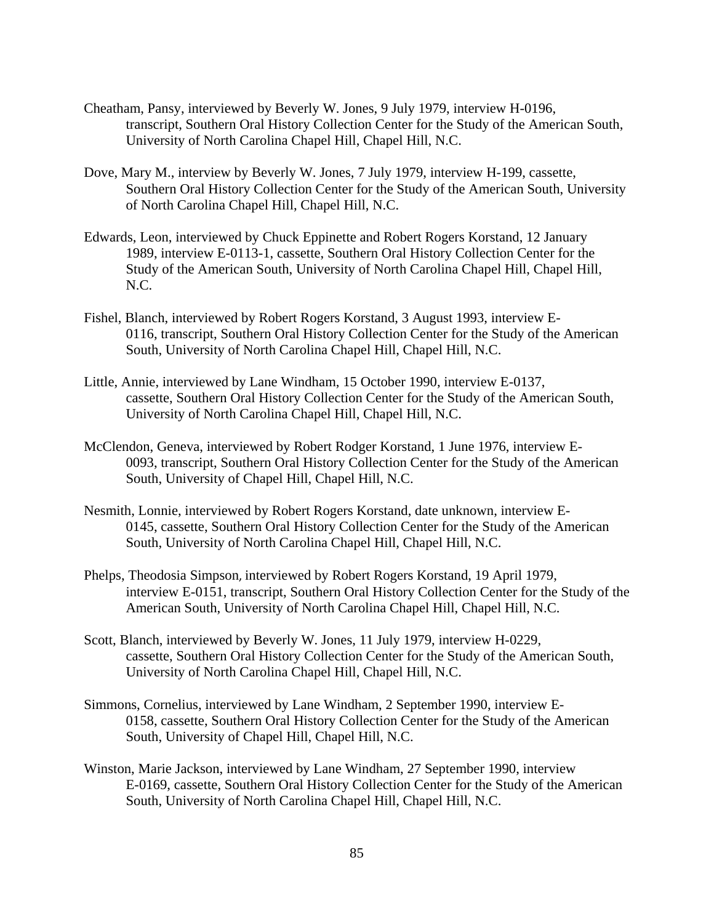- Cheatham, Pansy, interviewed by Beverly W. Jones, 9 July 1979, interview H-0196, transcript, Southern Oral History Collection Center for the Study of the American South, University of North Carolina Chapel Hill, Chapel Hill, N.C.
- Dove, Mary M., interview by Beverly W. Jones, 7 July 1979, interview H-199, cassette, Southern Oral History Collection Center for the Study of the American South, University of North Carolina Chapel Hill, Chapel Hill, N.C.
- Edwards, Leon, interviewed by Chuck Eppinette and Robert Rogers Korstand, 12 January 1989, interview E-0113-1, cassette, Southern Oral History Collection Center for the Study of the American South, University of North Carolina Chapel Hill, Chapel Hill, N.C.
- Fishel, Blanch, interviewed by Robert Rogers Korstand, 3 August 1993, interview E-0116, transcript, Southern Oral History Collection Center for the Study of the American South, University of North Carolina Chapel Hill, Chapel Hill, N.C.
- Little, Annie, interviewed by Lane Windham, 15 October 1990, interview E-0137, cassette, Southern Oral History Collection Center for the Study of the American South, University of North Carolina Chapel Hill, Chapel Hill, N.C.
- McClendon, Geneva, interviewed by Robert Rodger Korstand, 1 June 1976, interview E-0093, transcript, Southern Oral History Collection Center for the Study of the American South, University of Chapel Hill, Chapel Hill, N.C.
- Nesmith, Lonnie, interviewed by Robert Rogers Korstand, date unknown, interview E-0145, cassette, Southern Oral History Collection Center for the Study of the American South, University of North Carolina Chapel Hill, Chapel Hill, N.C.
- Phelps, Theodosia Simpson, interviewed by Robert Rogers Korstand, 19 April 1979, interview E-0151, transcript, Southern Oral History Collection Center for the Study of the American South, University of North Carolina Chapel Hill, Chapel Hill, N.C.
- Scott, Blanch, interviewed by Beverly W. Jones, 11 July 1979, interview H-0229, cassette, Southern Oral History Collection Center for the Study of the American South, University of North Carolina Chapel Hill, Chapel Hill, N.C.
- Simmons, Cornelius, interviewed by Lane Windham, 2 September 1990, interview E-0158, cassette, Southern Oral History Collection Center for the Study of the American South, University of Chapel Hill, Chapel Hill, N.C.
- Winston, Marie Jackson, interviewed by Lane Windham, 27 September 1990, interview E-0169, cassette, Southern Oral History Collection Center for the Study of the American South, University of North Carolina Chapel Hill, Chapel Hill, N.C.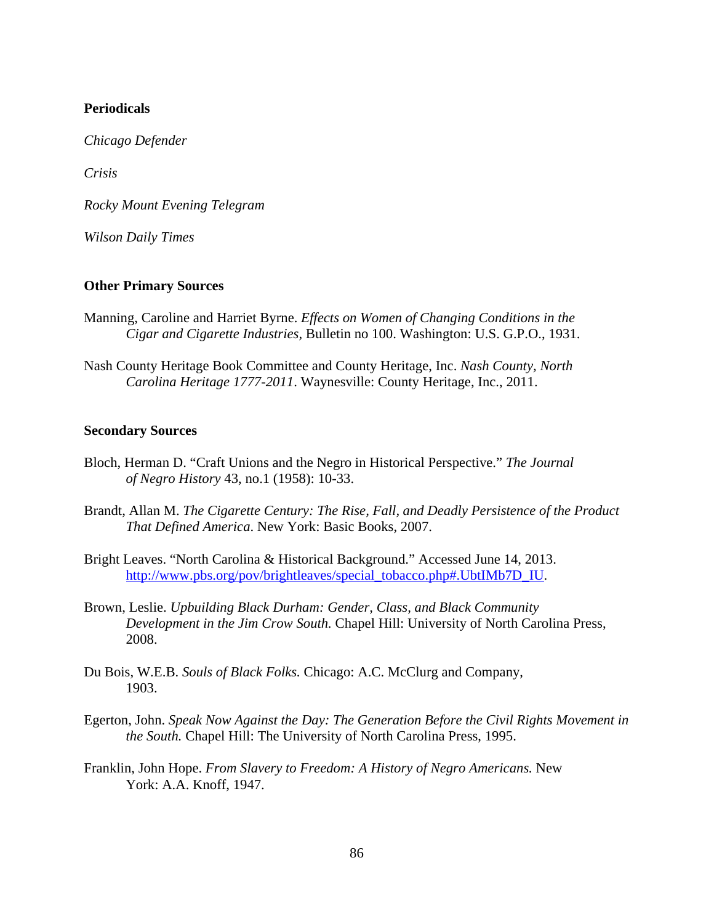# **Periodicals**

*Chicago Defender*

*Crisis*

*Rocky Mount Evening Telegram*

*Wilson Daily Times*

#### **Other Primary Sources**

- Manning, Caroline and Harriet Byrne. *Effects on Women of Changing Conditions in the Cigar and Cigarette Industries,* Bulletin no 100. Washington: U.S. G.P.O., 1931.
- Nash County Heritage Book Committee and County Heritage, Inc. *Nash County, North Carolina Heritage 1777-2011*. Waynesville: County Heritage, Inc., 2011.

### **Secondary Sources**

- Bloch, Herman D. "Craft Unions and the Negro in Historical Perspective." *The Journal of Negro History* 43, no.1 (1958): 10-33.
- Brandt, Allan M. *The Cigarette Century: The Rise, Fall, and Deadly Persistence of the Product That Defined America*. New York: Basic Books, 2007.
- Bright Leaves. "North Carolina & Historical Background." Accessed June 14, 2013. http://www.pbs.org/pov/brightleaves/special\_tobacco.php#.UbtIMb7D\_IU.
- Brown, Leslie. *Upbuilding Black Durham: Gender, Class, and Black Community Development in the Jim Crow South.* Chapel Hill: University of North Carolina Press, 2008.
- Du Bois, W.E.B. *Souls of Black Folks.* Chicago: A.C. McClurg and Company, 1903.
- Egerton, John. *Speak Now Against the Day: The Generation Before the Civil Rights Movement in the South.* Chapel Hill: The University of North Carolina Press, 1995.
- Franklin, John Hope. *From Slavery to Freedom: A History of Negro Americans.* New York: A.A. Knoff, 1947.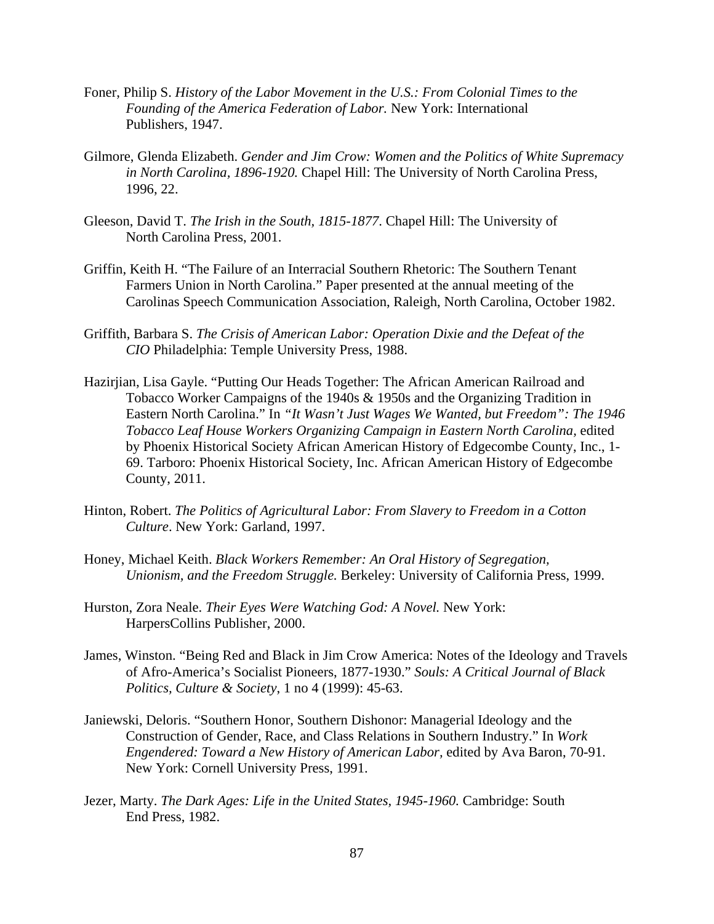- Foner, Philip S. *History of the Labor Movement in the U.S.: From Colonial Times to the Founding of the America Federation of Labor.* New York: International Publishers, 1947.
- Gilmore, Glenda Elizabeth. *Gender and Jim Crow: Women and the Politics of White Supremacy in North Carolina, 1896-1920.* Chapel Hill: The University of North Carolina Press, 1996, 22.
- Gleeson, David T. *The Irish in the South, 1815-1877*. Chapel Hill: The University of North Carolina Press, 2001.
- Griffin, Keith H. "The Failure of an Interracial Southern Rhetoric: The Southern Tenant Farmers Union in North Carolina." Paper presented at the annual meeting of the Carolinas Speech Communication Association, Raleigh, North Carolina, October 1982.
- Griffith, Barbara S. *The Crisis of American Labor: Operation Dixie and the Defeat of the CIO* Philadelphia: Temple University Press, 1988.
- Hazirjian, Lisa Gayle. "Putting Our Heads Together: The African American Railroad and Tobacco Worker Campaigns of the 1940s & 1950s and the Organizing Tradition in Eastern North Carolina." In *"It Wasn't Just Wages We Wanted, but Freedom": The 1946 Tobacco Leaf House Workers Organizing Campaign in Eastern North Carolina,* edited by Phoenix Historical Society African American History of Edgecombe County, Inc., 1- 69. Tarboro: Phoenix Historical Society, Inc. African American History of Edgecombe County, 2011.
- Hinton, Robert. *The Politics of Agricultural Labor: From Slavery to Freedom in a Cotton Culture*. New York: Garland, 1997.
- Honey, Michael Keith. *Black Workers Remember: An Oral History of Segregation, Unionism, and the Freedom Struggle.* Berkeley: University of California Press, 1999.
- Hurston, Zora Neale. *Their Eyes Were Watching God: A Novel.* New York: HarpersCollins Publisher, 2000.
- James, Winston. "Being Red and Black in Jim Crow America: Notes of the Ideology and Travels of Afro-America's Socialist Pioneers, 1877-1930." *Souls: A Critical Journal of Black Politics, Culture & Society*, 1 no 4 (1999): 45-63.
- Janiewski, Deloris. "Southern Honor, Southern Dishonor: Managerial Ideology and the Construction of Gender, Race, and Class Relations in Southern Industry." In *Work Engendered: Toward a New History of American Labor,* edited by Ava Baron, 70-91. New York: Cornell University Press, 1991.
- Jezer, Marty. *The Dark Ages: Life in the United States, 1945-1960.* Cambridge: South End Press, 1982.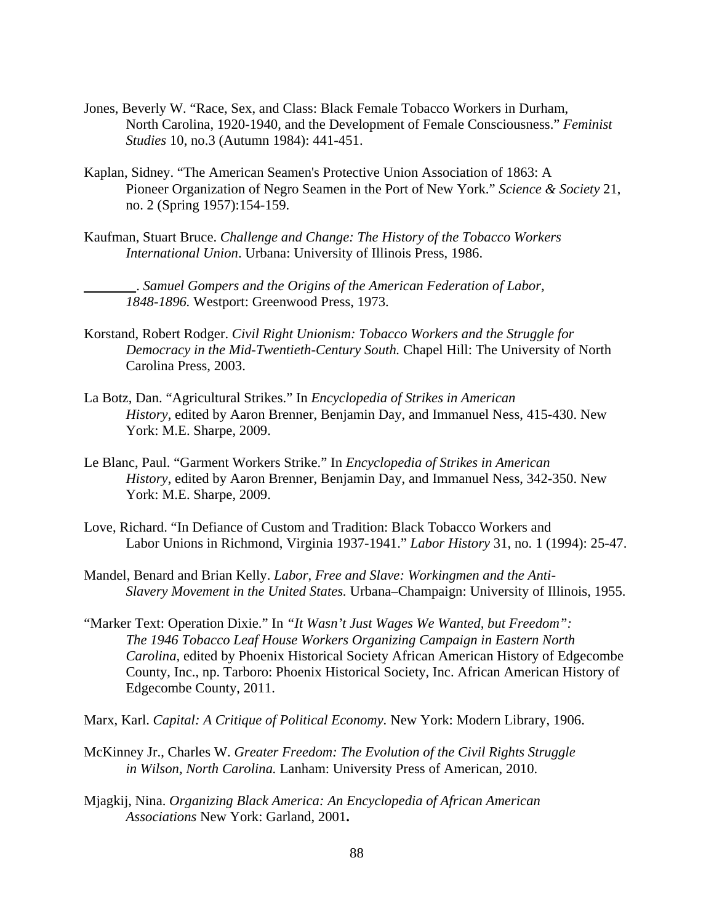- Jones, Beverly W. "Race, Sex, and Class: Black Female Tobacco Workers in Durham, North Carolina, 1920-1940, and the Development of Female Consciousness." *Feminist Studies* 10, no.3 (Autumn 1984): 441-451.
- Kaplan, Sidney. "The American Seamen's Protective Union Association of 1863: A Pioneer Organization of Negro Seamen in the Port of New York." *Science & Society* 21, no. 2 (Spring 1957):154-159.
- Kaufman, Stuart Bruce. *Challenge and Change: The History of the Tobacco Workers International Union*. Urbana: University of Illinois Press, 1986.

\_\_\_\_\_\_\_\_\_. *Samuel Gompers and the Origins of the American Federation of Labor, 1848-1896.* Westport: Greenwood Press, 1973.

- Korstand, Robert Rodger. *Civil Right Unionism: Tobacco Workers and the Struggle for Democracy in the Mid-Twentieth-Century South.* Chapel Hill: The University of North Carolina Press, 2003.
- La Botz, Dan. "Agricultural Strikes." In *Encyclopedia of Strikes in American History*, edited by Aaron Brenner, Benjamin Day, and Immanuel Ness, 415-430. New York: M.E. Sharpe, 2009.
- Le Blanc, Paul. "Garment Workers Strike." In *Encyclopedia of Strikes in American History*, edited by Aaron Brenner, Benjamin Day, and Immanuel Ness, 342-350. New York: M.E. Sharpe, 2009.
- Love, Richard. "In Defiance of Custom and Tradition: Black Tobacco Workers and Labor Unions in Richmond, Virginia 1937-1941." *Labor History* 31, no. 1 (1994): 25-47.
- Mandel, Benard and Brian Kelly. *Labor, Free and Slave: Workingmen and the Anti-Slavery Movement in the United States.* Urbana–Champaign: University of Illinois, 1955.
- "Marker Text: Operation Dixie." In *"It Wasn't Just Wages We Wanted, but Freedom": The 1946 Tobacco Leaf House Workers Organizing Campaign in Eastern North Carolina,* edited by Phoenix Historical Society African American History of Edgecombe County, Inc., np. Tarboro: Phoenix Historical Society, Inc. African American History of Edgecombe County, 2011.
- Marx, Karl. *Capital: A Critique of Political Economy.* New York: Modern Library, 1906.
- McKinney Jr., Charles W. *Greater Freedom: The Evolution of the Civil Rights Struggle in Wilson, North Carolina.* Lanham: University Press of American, 2010.
- Mjagkij, Nina. *Organizing Black America: An Encyclopedia of African American Associations* New York: Garland, 2001**.**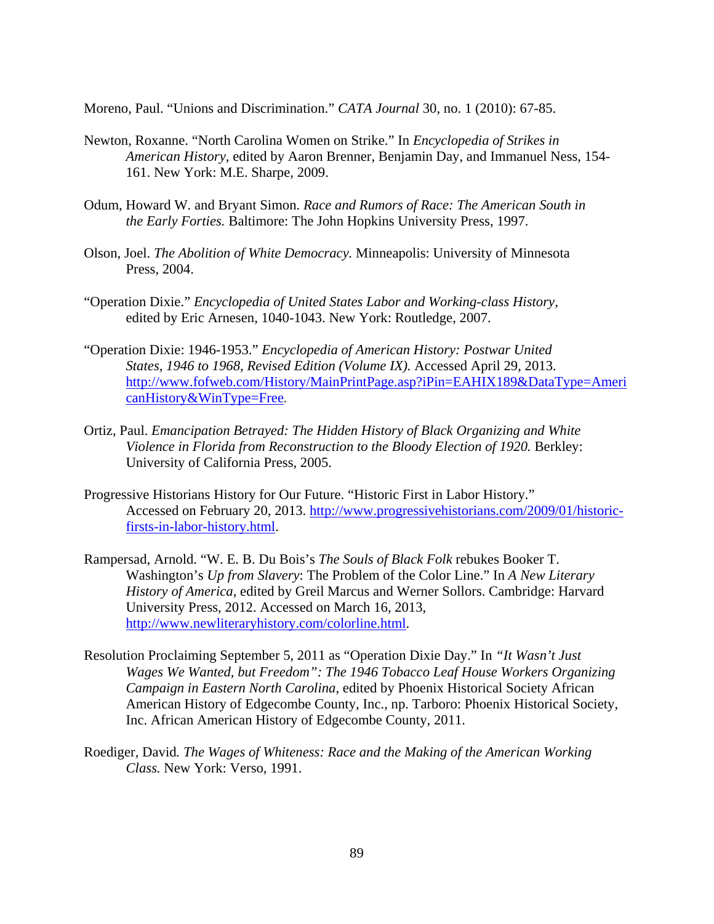Moreno, Paul. "Unions and Discrimination." *CATA Journal* 30, no. 1 (2010): 67-85.

- Newton, Roxanne. "North Carolina Women on Strike." In *Encyclopedia of Strikes in American History*, edited by Aaron Brenner, Benjamin Day, and Immanuel Ness, 154- 161. New York: M.E. Sharpe, 2009.
- Odum, Howard W. and Bryant Simon. *Race and Rumors of Race: The American South in the Early Forties.* Baltimore: The John Hopkins University Press, 1997.
- Olson, Joel. *The Abolition of White Democracy.* Minneapolis: University of Minnesota Press, 2004.
- "Operation Dixie." *Encyclopedia of United States Labor and Working-class History,*  edited by Eric Arnesen, 1040-1043. New York: Routledge, 2007.
- "Operation Dixie: 1946-1953." *Encyclopedia of American History: Postwar United States, 1946 to 1968, Revised Edition (Volume IX).* Accessed April 29, 2013. http://www.fofweb.com/History/MainPrintPage.asp?iPin=EAHIX189&DataType=Ameri canHistory&WinType=Free*.*
- Ortiz, Paul. *Emancipation Betrayed: The Hidden History of Black Organizing and White Violence in Florida from Reconstruction to the Bloody Election of 1920. Berkley:* University of California Press, 2005.
- Progressive Historians History for Our Future. "Historic First in Labor History." Accessed on February 20, 2013. http://www.progressivehistorians.com/2009/01/historicfirsts-in-labor-history.html.
- Rampersad, Arnold. "W. E. B. Du Bois's *The Souls of Black Folk* rebukes Booker T. Washington's *Up from Slavery*: The Problem of the Color Line." In *A New Literary History of America,* edited by Greil Marcus and Werner Sollors. Cambridge: Harvard University Press, 2012. Accessed on March 16, 2013, http://www.newliteraryhistory.com/colorline.html.
- Resolution Proclaiming September 5, 2011 as "Operation Dixie Day." In *"It Wasn't Just Wages We Wanted, but Freedom": The 1946 Tobacco Leaf House Workers Organizing Campaign in Eastern North Carolina,* edited by Phoenix Historical Society African American History of Edgecombe County, Inc., np. Tarboro: Phoenix Historical Society, Inc. African American History of Edgecombe County, 2011.
- Roediger, David*. The Wages of Whiteness: Race and the Making of the American Working Class.* New York: Verso, 1991.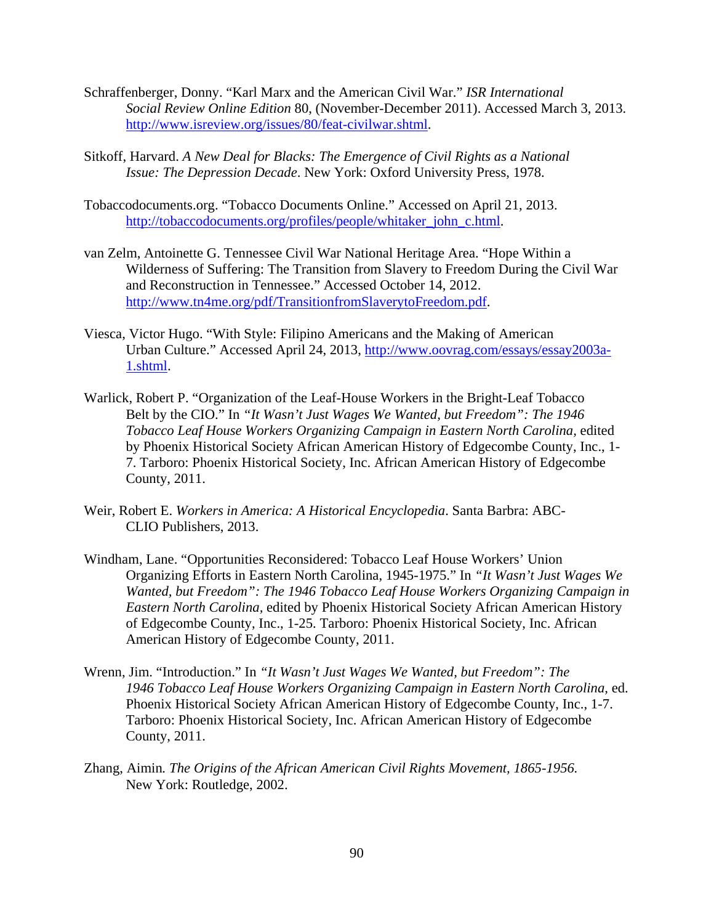- Schraffenberger, Donny. "Karl Marx and the American Civil War." *ISR International Social Review Online Edition* 80, (November-December 2011). Accessed March 3, 2013. http://www.isreview.org/issues/80/feat-civilwar.shtml.
- Sitkoff, Harvard. *A New Deal for Blacks: The Emergence of Civil Rights as a National Issue: The Depression Decade*. New York: Oxford University Press, 1978.
- Tobaccodocuments.org. "Tobacco Documents Online." Accessed on April 21, 2013. http://tobaccodocuments.org/profiles/people/whitaker\_john\_c.html.
- van Zelm, Antoinette G. Tennessee Civil War National Heritage Area. "Hope Within a Wilderness of Suffering: The Transition from Slavery to Freedom During the Civil War and Reconstruction in Tennessee." Accessed October 14, 2012. http://www.tn4me.org/pdf/TransitionfromSlaverytoFreedom.pdf.
- Viesca, Victor Hugo. "With Style: Filipino Americans and the Making of American Urban Culture." Accessed April 24, 2013, http://www.oovrag.com/essays/essay2003a-1.shtml.
- Warlick, Robert P. "Organization of the Leaf-House Workers in the Bright-Leaf Tobacco Belt by the CIO." In *"It Wasn't Just Wages We Wanted, but Freedom": The 1946 Tobacco Leaf House Workers Organizing Campaign in Eastern North Carolina,* edited by Phoenix Historical Society African American History of Edgecombe County, Inc., 1- 7. Tarboro: Phoenix Historical Society, Inc. African American History of Edgecombe County, 2011.
- Weir, Robert E. *Workers in America: A Historical Encyclopedia*. Santa Barbra: ABC-CLIO Publishers, 2013.
- Windham, Lane. "Opportunities Reconsidered: Tobacco Leaf House Workers' Union Organizing Efforts in Eastern North Carolina, 1945-1975." In *"It Wasn't Just Wages We Wanted, but Freedom": The 1946 Tobacco Leaf House Workers Organizing Campaign in Eastern North Carolina,* edited by Phoenix Historical Society African American History of Edgecombe County, Inc., 1-25. Tarboro: Phoenix Historical Society, Inc. African American History of Edgecombe County, 2011.
- Wrenn, Jim. "Introduction." In *"It Wasn't Just Wages We Wanted, but Freedom": The 1946 Tobacco Leaf House Workers Organizing Campaign in Eastern North Carolina,* ed. Phoenix Historical Society African American History of Edgecombe County, Inc., 1-7. Tarboro: Phoenix Historical Society, Inc. African American History of Edgecombe County, 2011.
- Zhang, Aimin*. The Origins of the African American Civil Rights Movement, 1865-1956.* New York: Routledge, 2002.